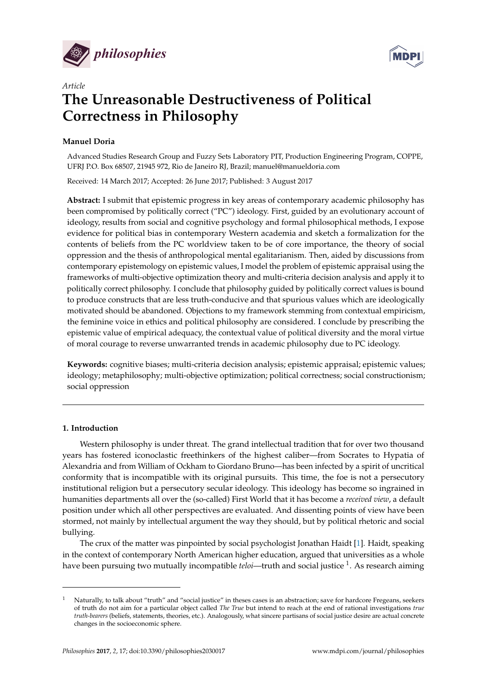



# *Article* **The Unreasonable Destructiveness of Political Correctness in Philosophy**

# **Manuel Doria**

Advanced Studies Research Group and Fuzzy Sets Laboratory PIT, Production Engineering Program, COPPE, UFRJ P.O. Box 68507, 21945 972, Rio de Janeiro RJ, Brazil; manuel@manueldoria.com

Received: 14 March 2017; Accepted: 26 June 2017; Published: 3 August 2017

**Abstract:** I submit that epistemic progress in key areas of contemporary academic philosophy has been compromised by politically correct ("PC") ideology. First, guided by an evolutionary account of ideology, results from social and cognitive psychology and formal philosophical methods, I expose evidence for political bias in contemporary Western academia and sketch a formalization for the contents of beliefs from the PC worldview taken to be of core importance, the theory of social oppression and the thesis of anthropological mental egalitarianism. Then, aided by discussions from contemporary epistemology on epistemic values, I model the problem of epistemic appraisal using the frameworks of multi-objective optimization theory and multi-criteria decision analysis and apply it to politically correct philosophy. I conclude that philosophy guided by politically correct values is bound to produce constructs that are less truth-conducive and that spurious values which are ideologically motivated should be abandoned. Objections to my framework stemming from contextual empiricism, the feminine voice in ethics and political philosophy are considered. I conclude by prescribing the epistemic value of empirical adequacy, the contextual value of political diversity and the moral virtue of moral courage to reverse unwarranted trends in academic philosophy due to PC ideology.

**Keywords:** cognitive biases; multi-criteria decision analysis; epistemic appraisal; epistemic values; ideology; metaphilosophy; multi-objective optimization; political correctness; social constructionism; social oppression

# **1. Introduction**

Western philosophy is under threat. The grand intellectual tradition that for over two thousand years has fostered iconoclastic freethinkers of the highest caliber—from Socrates to Hypatia of Alexandria and from William of Ockham to Giordano Bruno—has been infected by a spirit of uncritical conformity that is incompatible with its original pursuits. This time, the foe is not a persecutory institutional religion but a persecutory secular ideology. This ideology has become so ingrained in humanities departments all over the (so-called) First World that it has become a *received view*, a default position under which all other perspectives are evaluated. And dissenting points of view have been stormed, not mainly by intellectual argument the way they should, but by political rhetoric and social bullying.

The crux of the matter was pinpointed by social psychologist Jonathan Haidt [\[1\]](#page-49-0). Haidt, speaking in the context of contemporary North American higher education, argued that universities as a whole have been pursuing two mutually incompatible *teloi*—truth and social justice <sup>1</sup> . As research aiming

<sup>1</sup> Naturally, to talk about "truth" and "social justice" in theses cases is an abstraction; save for hardcore Fregeans, seekers of truth do not aim for a particular object called *The True* but intend to reach at the end of rational investigations *true truth-bearers* (beliefs, statements, theories, etc.). Analogously, what sincere partisans of social justice desire are actual concrete changes in the socioeconomic sphere.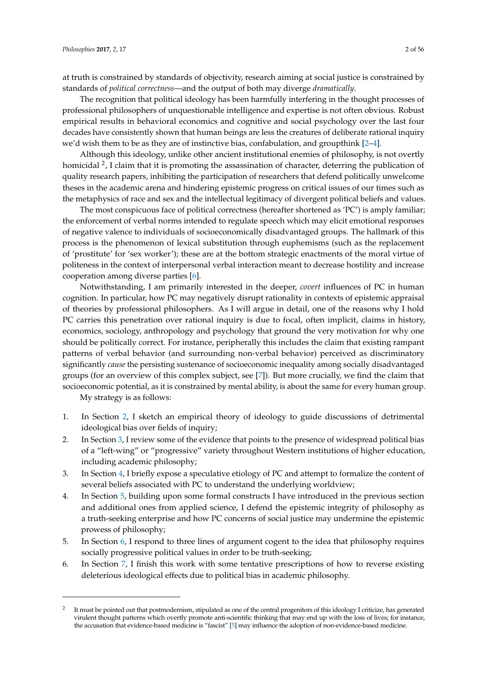at truth is constrained by standards of objectivity, research aiming at social justice is constrained by standards of *political correctness*—and the output of both may diverge *dramatically*.

The recognition that political ideology has been harmfully interfering in the thought processes of professional philosophers of unquestionable intelligence and expertise is not often obvious. Robust empirical results in behavioral economics and cognitive and social psychology over the last four decades have consistently shown that human beings are less the creatures of deliberate rational inquiry we'd wish them to be as they are of instinctive bias, confabulation, and groupthink [\[2–](#page-49-1)[4\]](#page-49-2).

Although this ideology, unlike other ancient institutional enemies of philosophy, is not overtly homicidal <sup>2</sup>, I claim that it is promoting the assassination of character, deterring the publication of quality research papers, inhibiting the participation of researchers that defend politically unwelcome theses in the academic arena and hindering epistemic progress on critical issues of our times such as the metaphysics of race and sex and the intellectual legitimacy of divergent political beliefs and values.

The most conspicuous face of political correctness (hereafter shortened as 'PC') is amply familiar; the enforcement of verbal norms intended to regulate speech which may elicit emotional responses of negative valence to individuals of socioeconomically disadvantaged groups. The hallmark of this process is the phenomenon of lexical substitution through euphemisms (such as the replacement of 'prostitute' for 'sex worker'); these are at the bottom strategic enactments of the moral virtue of politeness in the context of interpersonal verbal interaction meant to decrease hostility and increase cooperation among diverse parties [\[6\]](#page-49-3).

Notwithstanding, I am primarily interested in the deeper, *covert* influences of PC in human cognition. In particular, how PC may negatively disrupt rationality in contexts of epistemic appraisal of theories by professional philosophers. As I will argue in detail, one of the reasons why I hold PC carries this penetration over rational inquiry is due to focal, often implicit, claims in history, economics, sociology, anthropology and psychology that ground the very motivation for why one should be politically correct. For instance, peripherally this includes the claim that existing rampant patterns of verbal behavior (and surrounding non-verbal behavior) perceived as discriminatory significantly *cause* the persisting sustenance of socioeconomic inequality among socially disadvantaged groups (for an overview of this complex subject, see [\[7\]](#page-49-4)). But more crucially, we find the claim that socioeconomic potential, as it is constrained by mental ability, is about the same for every human group.

My strategy is as follows:

- 1. In Section [2,](#page-2-0) I sketch an empirical theory of ideology to guide discussions of detrimental ideological bias over fields of inquiry;
- 2. In Section [3,](#page-4-0) I review some of the evidence that points to the presence of widespread political bias of a "left-wing" or "progressive" variety throughout Western institutions of higher education, including academic philosophy;
- 3. In Section [4,](#page-6-0) I briefly expose a speculative etiology of PC and attempt to formalize the content of several beliefs associated with PC to understand the underlying worldview;
- 4. In Section [5,](#page-22-0) building upon some formal constructs I have introduced in the previous section and additional ones from applied science, I defend the epistemic integrity of philosophy as a truth-seeking enterprise and how PC concerns of social justice may undermine the epistemic prowess of philosophy;
- 5. In Section [6,](#page-34-0) I respond to three lines of argument cogent to the idea that philosophy requires socially progressive political values in order to be truth-seeking;
- 6. In Section [7,](#page-41-0) I finish this work with some tentative prescriptions of how to reverse existing deleterious ideological effects due to political bias in academic philosophy.

<sup>2</sup> It must be pointed out that postmodernism, stipulated as one of the central progenitors of this ideology I criticize, has generated virulent thought patterns which overtly promote anti-scientific thinking that may end up with the loss of lives; for instance, the accusation that evidence-based medicine is "fascist" [\[5\]](#page-49-5) may influence the adoption of non-evidence-based medicine.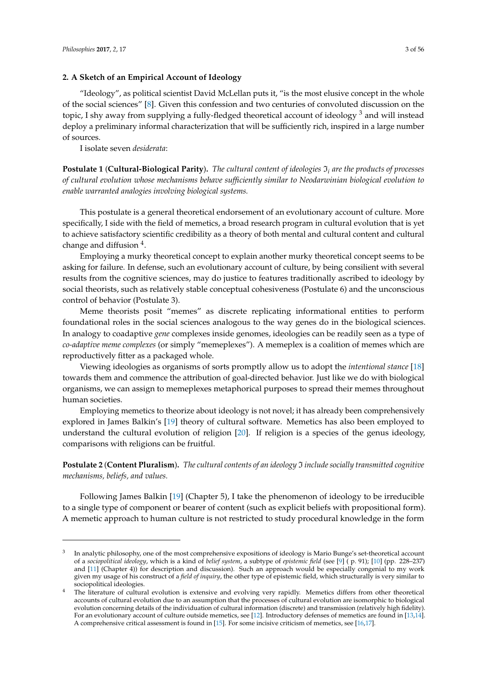# <span id="page-2-0"></span>**2. A Sketch of an Empirical Account of Ideology**

"Ideology", as political scientist David McLellan puts it, "is the most elusive concept in the whole of the social sciences" [\[8\]](#page-49-6). Given this confession and two centuries of convoluted discussion on the topic, I shy away from supplying a fully-fledged theoretical account of ideology<sup>3</sup> and will instead deploy a preliminary informal characterization that will be sufficiently rich, inspired in a large number of sources.

I isolate seven *desiderata*:

**Postulate 1** (**Cultural-Biological Parity**)**.** *The cultural content of ideologies* I*<sup>i</sup> are the products of processes of cultural evolution whose mechanisms behave sufficiently similar to Neodarwinian biological evolution to enable warranted analogies involving biological systems.*

This postulate is a general theoretical endorsement of an evolutionary account of culture. More specifically, I side with the field of memetics, a broad research program in cultural evolution that is yet to achieve satisfactory scientific credibility as a theory of both mental and cultural content and cultural change and diffusion <sup>4</sup>.

Employing a murky theoretical concept to explain another murky theoretical concept seems to be asking for failure. In defense, such an evolutionary account of culture, by being consilient with several results from the cognitive sciences, may do justice to features traditionally ascribed to ideology by social theorists, such as relatively stable conceptual cohesiveness (Postulate 6) and the unconscious control of behavior (Postulate 3).

Meme theorists posit "memes" as discrete replicating informational entities to perform foundational roles in the social sciences analogous to the way genes do in the biological sciences. In analogy to coadaptive *gene* complexes inside genomes, ideologies can be readily seen as a type of *co-adaptive meme complexes* (or simply "memeplexes"). A memeplex is a coalition of memes which are reproductively fitter as a packaged whole.

Viewing ideologies as organisms of sorts promptly allow us to adopt the *intentional stance* [\[18\]](#page-50-0) towards them and commence the attribution of goal-directed behavior. Just like we do with biological organisms, we can assign to memeplexes metaphorical purposes to spread their memes throughout human societies.

Employing memetics to theorize about ideology is not novel; it has already been comprehensively explored in James Balkin's [\[19\]](#page-50-1) theory of cultural software. Memetics has also been employed to understand the cultural evolution of religion [\[20\]](#page-50-2). If religion is a species of the genus ideology, comparisons with religions can be fruitful.

**Postulate 2** (**Content Pluralism**)**.** *The cultural contents of an ideology* I *include socially transmitted cognitive mechanisms, beliefs, and values.*

Following James Balkin [\[19\]](#page-50-1) (Chapter 5), I take the phenomenon of ideology to be irreducible to a single type of component or bearer of content (such as explicit beliefs with propositional form). A memetic approach to human culture is not restricted to study procedural knowledge in the form

<sup>3</sup> In analytic philosophy, one of the most comprehensive expositions of ideology is Mario Bunge's set-theoretical account of a *sociopolitical ideology*, which is a kind of *belief system*, a subtype of *epistemic field* (see [\[9\]](#page-49-7) ( p. 91); [\[10\]](#page-50-3) (pp. 228–237) and [\[11\]](#page-50-4) (Chapter 4)) for description and discussion). Such an approach would be especially congenial to my work given my usage of his construct of a *field of inquiry*, the other type of epistemic field, which structurally is very similar to sociopolitical ideologies.

<sup>&</sup>lt;sup>4</sup> The literature of cultural evolution is extensive and evolving very rapidly. Memetics differs from other theoretical accounts of cultural evolution due to an assumption that the processes of cultural evolution are isomorphic to biological evolution concerning details of the individuation of cultural information (discrete) and transmission (relatively high fidelity). For an evolutionary account of culture outside memetics, see [\[12\]](#page-50-5). Introductory defenses of memetics are found in [\[13](#page-50-6)[,14\]](#page-50-7). A comprehensive critical assessment is found in [\[15\]](#page-50-8). For some incisive criticism of memetics, see [\[16,](#page-50-9)[17\]](#page-50-10).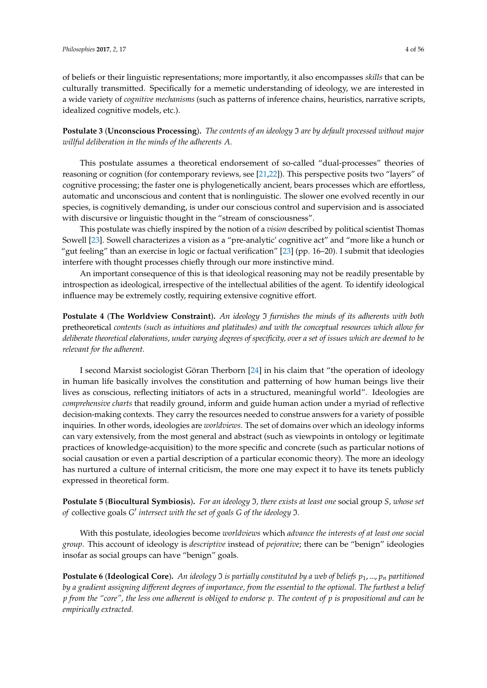of beliefs or their linguistic representations; more importantly, it also encompasses *skills* that can be culturally transmitted. Specifically for a memetic understanding of ideology, we are interested in a wide variety of *cognitive mechanisms* (such as patterns of inference chains, heuristics, narrative scripts, idealized cognitive models, etc.).

**Postulate 3** (**Unconscious Processing**)**.** *The contents of an ideology* I *are by default processed without major willful deliberation in the minds of the adherents A.*

This postulate assumes a theoretical endorsement of so-called "dual-processes" theories of reasoning or cognition (for contemporary reviews, see [\[21,](#page-50-11)[22\]](#page-50-12)). This perspective posits two "layers" of cognitive processing; the faster one is phylogenetically ancient, bears processes which are effortless, automatic and unconscious and content that is nonlinguistic. The slower one evolved recently in our species, is cognitively demanding, is under our conscious control and supervision and is associated with discursive or linguistic thought in the "stream of consciousness".

This postulate was chiefly inspired by the notion of a *vision* described by political scientist Thomas Sowell [\[23\]](#page-50-13). Sowell characterizes a vision as a "pre-analytic' cognitive act" and "more like a hunch or "gut feeling" than an exercise in logic or factual verification" [\[23\]](#page-50-13) (pp. 16–20). I submit that ideologies interfere with thought processes chiefly through our more instinctive mind.

An important consequence of this is that ideological reasoning may not be readily presentable by introspection as ideological, irrespective of the intellectual abilities of the agent. To identify ideological influence may be extremely costly, requiring extensive cognitive effort.

**Postulate 4** (**The Worldview Constraint**)**.** *An ideology* I *furnishes the minds of its adherents with both* pretheoretical *contents (such as intuitions and platitudes) and with the conceptual resources which allow for deliberate theoretical elaborations, under varying degrees of specificity, over a set of issues which are deemed to be relevant for the adherent.*

I second Marxist sociologist Göran Therborn [\[24\]](#page-50-14) in his claim that "the operation of ideology in human life basically involves the constitution and patterning of how human beings live their lives as conscious, reflecting initiators of acts in a structured, meaningful world". Ideologies are *comprehensive charts* that readily ground, inform and guide human action under a myriad of reflective decision-making contexts. They carry the resources needed to construe answers for a variety of possible inquiries. In other words, ideologies are *worldviews*. The set of domains over which an ideology informs can vary extensively, from the most general and abstract (such as viewpoints in ontology or legitimate practices of knowledge-acquisition) to the more specific and concrete (such as particular notions of social causation or even a partial description of a particular economic theory). The more an ideology has nurtured a culture of internal criticism, the more one may expect it to have its tenets publicly expressed in theoretical form.

**Postulate 5** (**Biocultural Symbiosis**)**.** *For an ideology* I*, there exists at least one* social group *S, whose set* of collective goals G' intersect with the set of goals G of the ideology  $\mathfrak I$ *.* 

With this postulate, ideologies become *worldviews* which *advance the interests of at least one social group*. This account of ideology is *descriptive* instead of *pejorative*; there can be "benign" ideologies insofar as social groups can have "benign" goals.

**Postulate 6** (**Ideological Core**)**.** *An ideology* I *is partially constituted by a web of beliefs p*1, ..., *p<sup>n</sup> partitioned by a gradient assigning different degrees of importance, from the essential to the optional. The furthest a belief p from the "core", the less one adherent is obliged to endorse p. The content of p is propositional and can be empirically extracted.*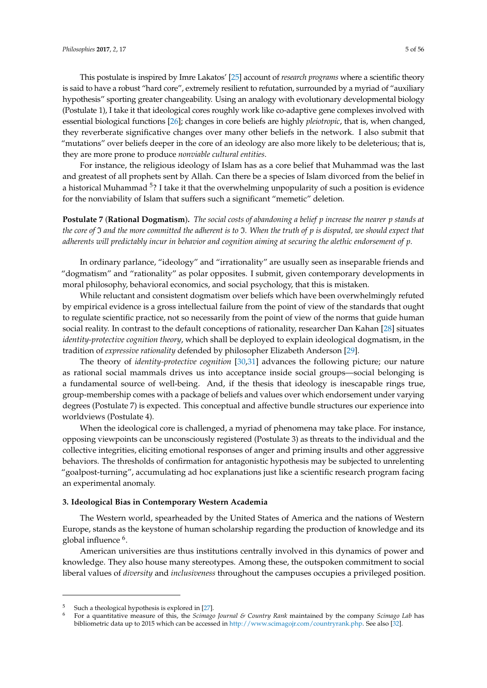This postulate is inspired by Imre Lakatos' [\[25\]](#page-50-15) account of *research programs* where a scientific theory is said to have a robust "hard core", extremely resilient to refutation, surrounded by a myriad of "auxiliary hypothesis" sporting greater changeability. Using an analogy with evolutionary developmental biology (Postulate 1), I take it that ideological cores roughly work like co-adaptive gene complexes involved with essential biological functions [\[26\]](#page-50-16); changes in core beliefs are highly *pleiotropic*, that is, when changed, they reverberate significative changes over many other beliefs in the network. I also submit that "mutations" over beliefs deeper in the core of an ideology are also more likely to be deleterious; that is, they are more prone to produce *nonviable cultural entities*.

For instance, the religious ideology of Islam has as a core belief that Muhammad was the last and greatest of all prophets sent by Allah. Can there be a species of Islam divorced from the belief in a historical Muhammad <sup>5</sup>? I take it that the overwhelming unpopularity of such a position is evidence for the nonviability of Islam that suffers such a significant "memetic" deletion.

**Postulate 7** (**Rational Dogmatism**)**.** *The social costs of abandoning a belief p increase the nearer p stands at the core of* I *and the more committed the adherent is to* I*. When the truth of p is disputed, we should expect that adherents will predictably incur in behavior and cognition aiming at securing the alethic endorsement of p.*

In ordinary parlance, "ideology" and "irrationality" are usually seen as inseparable friends and "dogmatism" and "rationality" as polar opposites. I submit, given contemporary developments in moral philosophy, behavioral economics, and social psychology, that this is mistaken.

While reluctant and consistent dogmatism over beliefs which have been overwhelmingly refuted by empirical evidence is a gross intellectual failure from the point of view of the standards that ought to regulate scientific practice, not so necessarily from the point of view of the norms that guide human social reality. In contrast to the default conceptions of rationality, researcher Dan Kahan [\[28\]](#page-50-17) situates *identity-protective cognition theory*, which shall be deployed to explain ideological dogmatism, in the tradition of *expressive rationality* defended by philosopher Elizabeth Anderson [\[29\]](#page-50-18).

The theory of *identity-protective cognition* [\[30](#page-50-19)[,31\]](#page-50-20) advances the following picture; our nature as rational social mammals drives us into acceptance inside social groups—social belonging is a fundamental source of well-being. And, if the thesis that ideology is inescapable rings true, group-membership comes with a package of beliefs and values over which endorsement under varying degrees (Postulate 7) is expected. This conceptual and affective bundle structures our experience into worldviews (Postulate 4).

When the ideological core is challenged, a myriad of phenomena may take place. For instance, opposing viewpoints can be unconsciously registered (Postulate 3) as threats to the individual and the collective integrities, eliciting emotional responses of anger and priming insults and other aggressive behaviors. The thresholds of confirmation for antagonistic hypothesis may be subjected to unrelenting "goalpost-turning", accumulating ad hoc explanations just like a scientific research program facing an experimental anomaly.

#### <span id="page-4-0"></span>**3. Ideological Bias in Contemporary Western Academia**

The Western world, spearheaded by the United States of America and the nations of Western Europe, stands as the keystone of human scholarship regarding the production of knowledge and its global influence <sup>6</sup>.

American universities are thus institutions centrally involved in this dynamics of power and knowledge. They also house many stereotypes. Among these, the outspoken commitment to social liberal values of *diversity* and *inclusiveness* throughout the campuses occupies a privileged position.

Such a theological hypothesis is explored in [\[27\]](#page-50-21).

<sup>6</sup> For a quantitative measure of this, the *Scimago Journal & Country Rank* maintained by the company *Scimago Lab* has bibliometric data up to 2015 which can be accessed in [http://www.scimagojr.com/countryrank.php.](http://www.scimagojr.com/countryrank.php) See also [\[32\]](#page-50-22).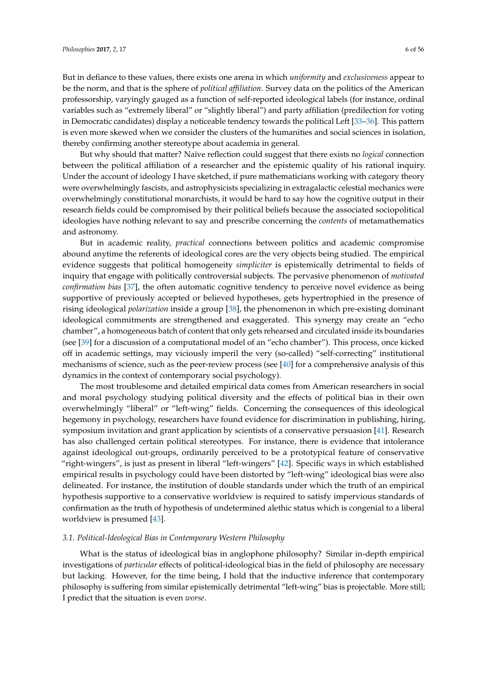But in defiance to these values, there exists one arena in which *uniformity* and *exclusiveness* appear to be the norm, and that is the sphere of *political affiliation*. Survey data on the politics of the American professorship, varyingly gauged as a function of self-reported ideological labels (for instance, ordinal variables such as "extremely liberal" or "slightly liberal") and party affiliation (predilection for voting in Democratic candidates) display a noticeable tendency towards the political Left [\[33–](#page-50-23)[36\]](#page-50-24). This pattern is even more skewed when we consider the clusters of the humanities and social sciences in isolation,

But why should that matter? Naïve reflection could suggest that there exists no *logical* connection between the political affiliation of a researcher and the epistemic quality of his rational inquiry. Under the account of ideology I have sketched, if pure mathematicians working with category theory were overwhelmingly fascists, and astrophysicists specializing in extragalactic celestial mechanics were overwhelmingly constitutional monarchists, it would be hard to say how the cognitive output in their research fields could be compromised by their political beliefs because the associated sociopolitical ideologies have nothing relevant to say and prescribe concerning the *contents* of metamathematics and astronomy.

thereby confirming another stereotype about academia in general.

But in academic reality, *practical* connections between politics and academic compromise abound anytime the referents of ideological cores are the very objects being studied. The empirical evidence suggests that political homogeneity *simpliciter* is epistemically detrimental to fields of inquiry that engage with politically controversial subjects. The pervasive phenomenon of *motivated confirmation bias* [\[37\]](#page-50-25), the often automatic cognitive tendency to perceive novel evidence as being supportive of previously accepted or believed hypotheses, gets hypertrophied in the presence of rising ideological *polarization* inside a group [\[38\]](#page-50-26), the phenomenon in which pre-existing dominant ideological commitments are strengthened and exaggerated. This synergy may create an "echo chamber", a homogeneous batch of content that only gets rehearsed and circulated inside its boundaries (see [\[39\]](#page-50-27) for a discussion of a computational model of an "echo chamber"). This process, once kicked off in academic settings, may viciously imperil the very (so-called) "self-correcting" institutional mechanisms of science, such as the peer-review process (see [\[40\]](#page-50-28) for a comprehensive analysis of this dynamics in the context of contemporary social psychology).

The most troublesome and detailed empirical data comes from American researchers in social and moral psychology studying political diversity and the effects of political bias in their own overwhelmingly "liberal" or "left-wing" fields. Concerning the consequences of this ideological hegemony in psychology, researchers have found evidence for discrimination in publishing, hiring, symposium invitation and grant application by scientists of a conservative persuasion [\[41\]](#page-51-0). Research has also challenged certain political stereotypes. For instance, there is evidence that intolerance against ideological out-groups, ordinarily perceived to be a prototypical feature of conservative "right-wingers", is just as present in liberal "left-wingers" [\[42\]](#page-51-1). Specific ways in which established empirical results in psychology could have been distorted by "left-wing" ideological bias were also delineated. For instance, the institution of double standards under which the truth of an empirical hypothesis supportive to a conservative worldview is required to satisfy impervious standards of confirmation as the truth of hypothesis of undetermined alethic status which is congenial to a liberal worldview is presumed [\[43\]](#page-51-2).

#### <span id="page-5-0"></span>*3.1. Political-Ideological Bias in Contemporary Western Philosophy*

What is the status of ideological bias in anglophone philosophy? Similar in-depth empirical investigations of *particular* effects of political-ideological bias in the field of philosophy are necessary but lacking. However, for the time being, I hold that the inductive inference that contemporary philosophy is suffering from similar epistemically detrimental "left-wing" bias is projectable. More still; I predict that the situation is even *worse*.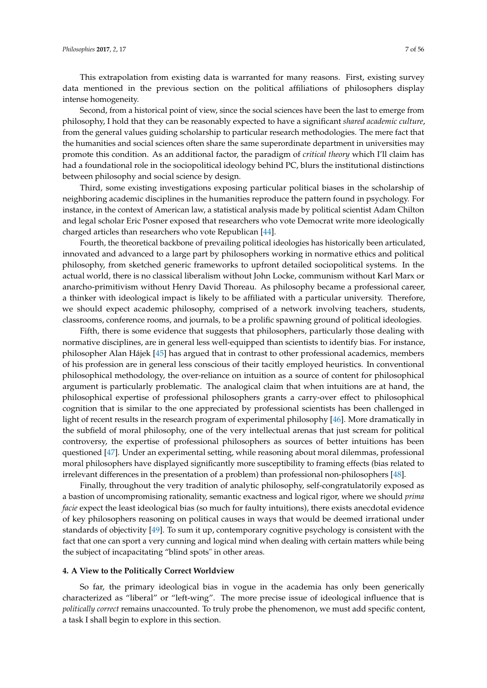This extrapolation from existing data is warranted for many reasons. First, existing survey data mentioned in the previous section on the political affiliations of philosophers display intense homogeneity.

Second, from a historical point of view, since the social sciences have been the last to emerge from philosophy, I hold that they can be reasonably expected to have a significant *shared academic culture*, from the general values guiding scholarship to particular research methodologies. The mere fact that the humanities and social sciences often share the same superordinate department in universities may promote this condition. As an additional factor, the paradigm of *critical theory* which I'll claim has had a foundational role in the sociopolitical ideology behind PC, blurs the institutional distinctions between philosophy and social science by design.

Third, some existing investigations exposing particular political biases in the scholarship of neighboring academic disciplines in the humanities reproduce the pattern found in psychology. For instance, in the context of American law, a statistical analysis made by political scientist Adam Chilton and legal scholar Eric Posner exposed that researchers who vote Democrat write more ideologically charged articles than researchers who vote Republican [\[44\]](#page-51-3).

Fourth, the theoretical backbone of prevailing political ideologies has historically been articulated, innovated and advanced to a large part by philosophers working in normative ethics and political philosophy, from sketched generic frameworks to upfront detailed sociopolitical systems. In the actual world, there is no classical liberalism without John Locke, communism without Karl Marx or anarcho-primitivism without Henry David Thoreau. As philosophy became a professional career, a thinker with ideological impact is likely to be affiliated with a particular university. Therefore, we should expect academic philosophy, comprised of a network involving teachers, students, classrooms, conference rooms, and journals, to be a prolific spawning ground of political ideologies.

Fifth, there is some evidence that suggests that philosophers, particularly those dealing with normative disciplines, are in general less well-equipped than scientists to identify bias. For instance, philosopher Alan Hájek [\[45\]](#page-51-4) has argued that in contrast to other professional academics, members of his profession are in general less conscious of their tacitly employed heuristics. In conventional philosophical methodology, the over-reliance on intuition as a source of content for philosophical argument is particularly problematic. The analogical claim that when intuitions are at hand, the philosophical expertise of professional philosophers grants a carry-over effect to philosophical cognition that is similar to the one appreciated by professional scientists has been challenged in light of recent results in the research program of experimental philosophy [\[46\]](#page-51-5). More dramatically in the subfield of moral philosophy, one of the very intellectual arenas that just scream for political controversy, the expertise of professional philosophers as sources of better intuitions has been questioned [\[47\]](#page-51-6). Under an experimental setting, while reasoning about moral dilemmas, professional moral philosophers have displayed significantly more susceptibility to framing effects (bias related to irrelevant differences in the presentation of a problem) than professional non-philosophers [\[48\]](#page-51-7).

Finally, throughout the very tradition of analytic philosophy, self-congratulatorily exposed as a bastion of uncompromising rationality, semantic exactness and logical rigor, where we should *prima facie* expect the least ideological bias (so much for faulty intuitions), there exists anecdotal evidence of key philosophers reasoning on political causes in ways that would be deemed irrational under standards of objectivity [\[49\]](#page-51-8). To sum it up, contemporary cognitive psychology is consistent with the fact that one can sport a very cunning and logical mind when dealing with certain matters while being the subject of incapacitating "blind spots" in other areas.

#### <span id="page-6-0"></span>**4. A View to the Politically Correct Worldview**

So far, the primary ideological bias in vogue in the academia has only been generically characterized as "liberal" or "left-wing". The more precise issue of ideological influence that is *politically correct* remains unaccounted. To truly probe the phenomenon, we must add specific content, a task I shall begin to explore in this section.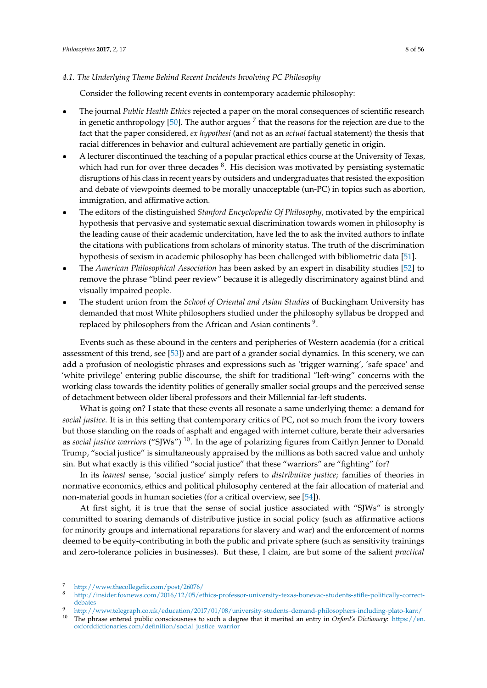#### *4.1. The Underlying Theme Behind Recent Incidents Involving PC Philosophy*

Consider the following recent events in contemporary academic philosophy:

- The journal *Public Health Ethics* rejected a paper on the moral consequences of scientific research in genetic anthropology [\[50\]](#page-51-9). The author argues  $^7$  that the reasons for the rejection are due to the fact that the paper considered, *ex hypothesi* (and not as an *actual* factual statement) the thesis that racial differences in behavior and cultural achievement are partially genetic in origin.
- A lecturer discontinued the teaching of a popular practical ethics course at the University of Texas, which had run for over three decades  ${}^{8}$ . His decision was motivated by persisting systematic disruptions of his class in recent years by outsiders and undergraduates that resisted the exposition and debate of viewpoints deemed to be morally unacceptable (un-PC) in topics such as abortion, immigration, and affirmative action.
- The editors of the distinguished *Stanford Encyclopedia Of Philosophy*, motivated by the empirical hypothesis that pervasive and systematic sexual discrimination towards women in philosophy is the leading cause of their academic undercitation, have led the to ask the invited authors to inflate the citations with publications from scholars of minority status. The truth of the discrimination hypothesis of sexism in academic philosophy has been challenged with bibliometric data [\[51\]](#page-51-10).
- The *American Philosophical Association* has been asked by an expert in disability studies [\[52\]](#page-51-11) to remove the phrase "blind peer review" because it is allegedly discriminatory against blind and visually impaired people.
- The student union from the *School of Oriental and Asian Studies* of Buckingham University has demanded that most White philosophers studied under the philosophy syllabus be dropped and replaced by philosophers from the African and Asian continents  $9$ .

Events such as these abound in the centers and peripheries of Western academia (for a critical assessment of this trend, see [\[53\]](#page-51-12)) and are part of a grander social dynamics. In this scenery, we can add a profusion of neologistic phrases and expressions such as 'trigger warning', 'safe space' and 'white privilege' entering public discourse, the shift for traditional "left-wing" concerns with the working class towards the identity politics of generally smaller social groups and the perceived sense of detachment between older liberal professors and their Millennial far-left students.

What is going on? I state that these events all resonate a same underlying theme: a demand for *social justice*. It is in this setting that contemporary critics of PC, not so much from the ivory towers but those standing on the roads of asphalt and engaged with internet culture, berate their adversaries as *social justice warriors* ("SJWs") <sup>10</sup>. In the age of polarizing figures from Caitlyn Jenner to Donald Trump, "social justice" is simultaneously appraised by the millions as both sacred value and unholy sin. But what exactly is this vilified "social justice" that these "warriors" are "fighting" for?

In its *leanest* sense, 'social justice' simply refers to *distributive justice*; families of theories in normative economics, ethics and political philosophy centered at the fair allocation of material and non-material goods in human societies (for a critical overview, see [\[54\]](#page-51-13)).

At first sight, it is true that the sense of social justice associated with "SJWs" is strongly committed to soaring demands of distributive justice in social policy (such as affirmative actions for minority groups and international reparations for slavery and war) and the enforcement of norms deemed to be equity-contributing in both the public and private sphere (such as sensitivity trainings and zero-tolerance policies in businesses). But these, I claim, are but some of the salient *practical*

<sup>7</sup> <http://www.thecollegefix.com/post/26076/>

<sup>8</sup> [http://insider.foxnews.com/2016/12/05/ethics-professor-university-texas-bonevac-students-stifle-politically-correct](http://insider.foxnews.com/2016/12/05/ethics-professor-university-texas-bonevac-students-stifle-politically-correct-debates)[debates](http://insider.foxnews.com/2016/12/05/ethics-professor-university-texas-bonevac-students-stifle-politically-correct-debates)

<sup>9</sup> <http://www.telegraph.co.uk/education/2017/01/08/university-students-demand-philosophers-including-plato-kant/>

<sup>10</sup> The phrase entered public consciousness to such a degree that it merited an entry in *Oxford's Dictionary*: [https://en.](https://en.oxforddictionaries.com/definition/social_justice_warrior) [oxforddictionaries.com/definition/social\\_justice\\_warrior](https://en.oxforddictionaries.com/definition/social_justice_warrior)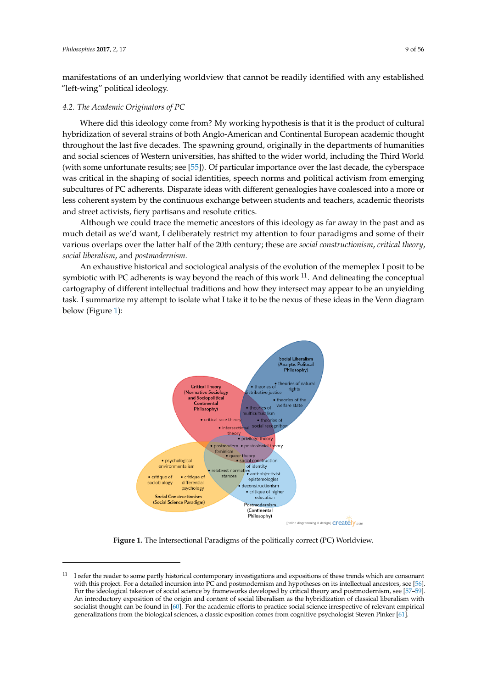manifestations of an underlying worldview that cannot be readily identified with any established "left-wing" political ideology.

#### *4.2. The Academic Originators of PC*

Where did this ideology come from? My working hypothesis is that it is the product of cultural hybridization of several strains of both Anglo-American and Continental European academic thought throughout the last five decades. The spawning ground, originally in the departments of humanities and social sciences of Western universities, has shifted to the wider world, including the Third World (with some unfortunate results; see [\[55\]](#page-51-14)). Of particular importance over the last decade, the cyberspace was critical in the shaping of social identities, speech norms and political activism from emerging subcultures of PC adherents. Disparate ideas with different genealogies have coalesced into a more or less coherent system by the continuous exchange between students and teachers, academic theorists and street activists, fiery partisans and resolute critics.

Although we could trace the memetic ancestors of this ideology as far away in the past and as much detail as we'd want, I deliberately restrict my attention to four paradigms and some of their various overlaps over the latter half of the 20th century; these are *social constructionism*, *critical theory*, *social liberalism*, and *postmodernism.*

<span id="page-8-0"></span>An exhaustive historical and sociological analysis of the evolution of the memeplex I posit to be symbiotic with PC adherents is way beyond the reach of this work  $^{11}$ . And delineating the conceptual cartography of different intellectual traditions and how they intersect may appear to be an unyielding task. I summarize my attempt to isolate what I take it to be the nexus of these ideas in the Venn diagram below (Figure [1\)](#page-8-0):



**Figure 1.** The Intersectional Paradigms of the politically correct (PC) Worldview.

<sup>&</sup>lt;sup>11</sup> I refer the reader to some partly historical contemporary investigations and expositions of these trends which are consonant with this project. For a detailed incursion into PC and postmodernism and hypotheses on its intellectual ancestors, see [\[56\]](#page-51-15). For the ideological takeover of social science by frameworks developed by critical theory and postmodernism, see [\[57–](#page-51-16)[59\]](#page-51-17). An introductory exposition of the origin and content of social liberalism as the hybridization of classical liberalism with socialist thought can be found in [\[60\]](#page-51-18). For the academic efforts to practice social science irrespective of relevant empirical generalizations from the biological sciences, a classic exposition comes from cognitive psychologist Steven Pinker [\[61\]](#page-51-19).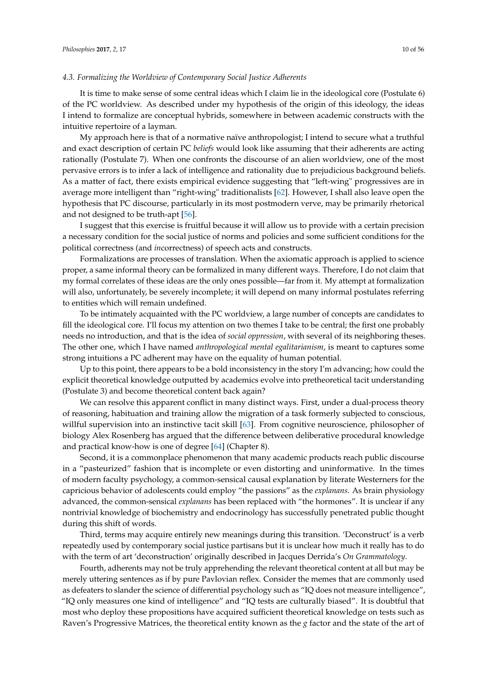#### *4.3. Formalizing the Worldview of Contemporary Social Justice Adherents*

It is time to make sense of some central ideas which I claim lie in the ideological core (Postulate 6) of the PC worldview. As described under my hypothesis of the origin of this ideology, the ideas I intend to formalize are conceptual hybrids, somewhere in between academic constructs with the intuitive repertoire of a layman.

My approach here is that of a normative naïve anthropologist; I intend to secure what a truthful and exact description of certain PC *beliefs* would look like assuming that their adherents are acting rationally (Postulate 7). When one confronts the discourse of an alien worldview, one of the most pervasive errors is to infer a lack of intelligence and rationality due to prejudicious background beliefs. As a matter of fact, there exists empirical evidence suggesting that "left-wing" progressives are in average more intelligent than "right-wing" traditionalists [\[62\]](#page-51-20). However, I shall also leave open the hypothesis that PC discourse, particularly in its most postmodern verve, may be primarily rhetorical and not designed to be truth-apt [\[56\]](#page-51-15).

I suggest that this exercise is fruitful because it will allow us to provide with a certain precision a necessary condition for the social justice of norms and policies and some sufficient conditions for the political correctness (and *in*correctness) of speech acts and constructs.

Formalizations are processes of translation. When the axiomatic approach is applied to science proper, a same informal theory can be formalized in many different ways. Therefore, I do not claim that my formal correlates of these ideas are the only ones possible—far from it. My attempt at formalization will also, unfortunately, be severely incomplete; it will depend on many informal postulates referring to entities which will remain undefined.

To be intimately acquainted with the PC worldview, a large number of concepts are candidates to fill the ideological core. I'll focus my attention on two themes I take to be central; the first one probably needs no introduction, and that is the idea of *social oppression*, with several of its neighboring theses. The other one, which I have named *anthropological mental egalitarianism*, is meant to captures some strong intuitions a PC adherent may have on the equality of human potential.

Up to this point, there appears to be a bold inconsistency in the story I'm advancing; how could the explicit theoretical knowledge outputted by academics evolve into pretheoretical tacit understanding (Postulate 3) and become theoretical content back again?

We can resolve this apparent conflict in many distinct ways. First, under a dual-process theory of reasoning, habituation and training allow the migration of a task formerly subjected to conscious, willful supervision into an instinctive tacit skill [\[63\]](#page-51-21). From cognitive neuroscience, philosopher of biology Alex Rosenberg has argued that the difference between deliberative procedural knowledge and practical know-how is one of degree [\[64\]](#page-51-22) (Chapter 8).

Second, it is a commonplace phenomenon that many academic products reach public discourse in a "pasteurized" fashion that is incomplete or even distorting and uninformative. In the times of modern faculty psychology, a common-sensical causal explanation by literate Westerners for the capricious behavior of adolescents could employ "the passions" as the *explanans*. As brain physiology advanced, the common-sensical *explanans* has been replaced with "the hormones". It is unclear if any nontrivial knowledge of biochemistry and endocrinology has successfully penetrated public thought during this shift of words.

Third, terms may acquire entirely new meanings during this transition. 'Deconstruct' is a verb repeatedly used by contemporary social justice partisans but it is unclear how much it really has to do with the term of art 'deconstruction' originally described in Jacques Derrida's *On Grammatology*.

Fourth, adherents may not be truly apprehending the relevant theoretical content at all but may be merely uttering sentences as if by pure Pavlovian reflex. Consider the memes that are commonly used as defeaters to slander the science of differential psychology such as "IQ does not measure intelligence", "IQ only measures one kind of intelligence" and "IQ tests are culturally biased". It is doubtful that most who deploy these propositions have acquired sufficient theoretical knowledge on tests such as Raven's Progressive Matrices, the theoretical entity known as the *g* factor and the state of the art of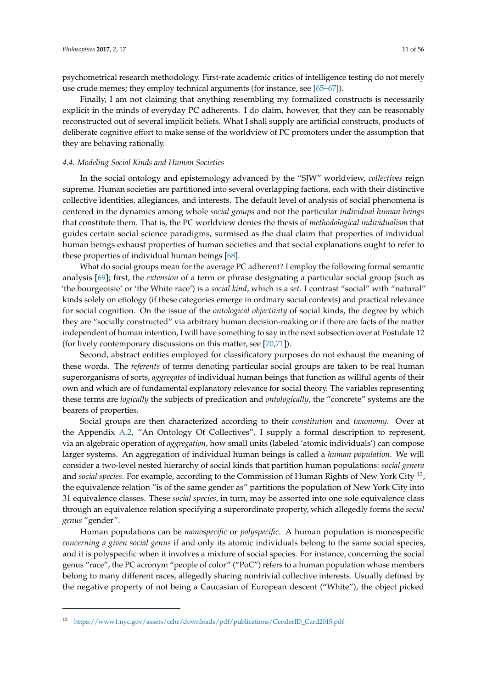psychometrical research methodology. First-rate academic critics of intelligence testing do not merely use crude memes; they employ technical arguments (for instance, see [\[65](#page-51-23)[–67\]](#page-51-24)).

Finally, I am not claiming that anything resembling my formalized constructs is necessarily explicit in the minds of everyday PC adherents. I do claim, however, that they can be reasonably reconstructed out of several implicit beliefs. What I shall supply are artificial constructs, products of deliberate cognitive effort to make sense of the worldview of PC promoters under the assumption that they are behaving rationally.

#### *4.4. Modeling Social Kinds and Human Societies*

In the social ontology and epistemology advanced by the "SJW" worldview, *collectives* reign supreme. Human societies are partitioned into several overlapping factions, each with their distinctive collective identities, allegiances, and interests. The default level of analysis of social phenomena is centered in the dynamics among whole *social groups* and not the particular *individual human beings* that constitute them. That is, the PC worldview denies the thesis of *methodological individualism* that guides certain social science paradigms, surmised as the dual claim that properties of individual human beings exhaust properties of human societies and that social explanations ought to refer to these properties of individual human beings [\[68\]](#page-51-25).

What do social groups mean for the average PC adherent? I employ the following formal semantic analysis [\[69\]](#page-51-26); first, the *extension* of a term or phrase designating a particular social group (such as 'the bourgeoisie' or 'the White race') is a *social kind*, which is a *set*. I contrast "social" with "natural" kinds solely on etiology (if these categories emerge in ordinary social contexts) and practical relevance for social cognition. On the issue of the *ontological objectivity* of social kinds, the degree by which they are "socially constructed" via arbitrary human decision-making or if there are facts of the matter independent of human intention, I will have something to say in the next subsection over at Postulate 12 (for lively contemporary discussions on this matter, see [\[70,](#page-51-27)[71\]](#page-51-28)).

Second, abstract entities employed for classificatory purposes do not exhaust the meaning of these words. The *referents* of terms denoting particular social groups are taken to be real human superorganisms of sorts, *aggregates* of individual human beings that function as willful agents of their own and which are of fundamental explanatory relevance for social theory. The variables representing these terms are *logically* the subjects of predication and *ontologically*, the "concrete" systems are the bearers of properties.

Social groups are then characterized according to their *constitution* and *taxonomy*. Over at the Appendix [A.2,](#page-45-0) "An Ontology Of Collectives", I supply a formal description to represent, via an algebraic operation of *aggregation*, how small units (labeled 'atomic individuals') can compose larger systems. An aggregation of individual human beings is called a *human population*. We will consider a two-level nested hierarchy of social kinds that partition human populations: *social genera* and *social species*. For example, according to the Commission of Human Rights of New York City <sup>12</sup> , the equivalence relation "is of the same gender as" partitions the population of New York City into 31 equivalence classes. These *social species*, in turn, may be assorted into one sole equivalence class through an equivalence relation specifying a superordinate property, which allegedly forms the *social genus* "gender".

Human populations can be *monospecific* or *polyspecific*. A human population is monospecific *concerning a given social genus* if and only its atomic individuals belong to the same social species, and it is polyspecific when it involves a mixture of social species. For instance, concerning the social genus "race", the PC acronym "people of color" ("PoC") refers to a human population whose members belong to many different races, allegedly sharing nontrivial collective interests. Usually defined by the negative property of not being a Caucasian of European descent ("White"), the object picked

<sup>12</sup> [https://www1.nyc.gov/assets/cchr/downloads/pdf/publications/GenderID\\_Card2015.pdf](https://www1.nyc.gov/assets/cchr/downloads/pdf/publications/GenderID_Card2015.pdf)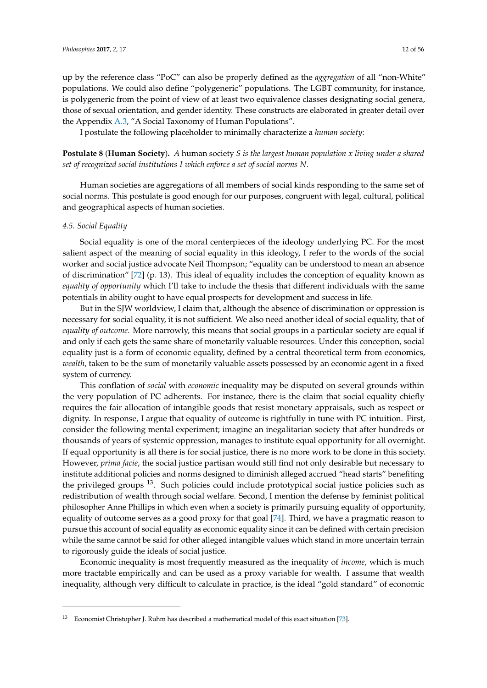up by the reference class "PoC" can also be properly defined as the *aggregation* of all "non-White" populations. We could also define "polygeneric" populations. The LGBT community, for instance, is polygeneric from the point of view of at least two equivalence classes designating social genera, those of sexual orientation, and gender identity. These constructs are elaborated in greater detail over the Appendix [A.3,](#page-46-0) "A Social Taxonomy of Human Populations".

I postulate the following placeholder to minimally characterize a *human society*:

**Postulate 8** (**Human Society**)**.** *A* human society *S is the largest human population x living under a shared set of recognized social institutions I which enforce a set of social norms N.*

Human societies are aggregations of all members of social kinds responding to the same set of social norms. This postulate is good enough for our purposes, congruent with legal, cultural, political and geographical aspects of human societies.

#### <span id="page-11-0"></span>*4.5. Social Equality*

Social equality is one of the moral centerpieces of the ideology underlying PC. For the most salient aspect of the meaning of social equality in this ideology, I refer to the words of the social worker and social justice advocate Neil Thompson; "equality can be understood to mean an absence of discrimination" [\[72\]](#page-51-29) (p. 13). This ideal of equality includes the conception of equality known as *equality of opportunity* which I'll take to include the thesis that different individuals with the same potentials in ability ought to have equal prospects for development and success in life.

But in the SJW worldview, I claim that, although the absence of discrimination or oppression is necessary for social equality, it is not sufficient. We also need another ideal of social equality, that of *equality of outcome*. More narrowly, this means that social groups in a particular society are equal if and only if each gets the same share of monetarily valuable resources. Under this conception, social equality just is a form of economic equality, defined by a central theoretical term from economics, *wealth*, taken to be the sum of monetarily valuable assets possessed by an economic agent in a fixed system of currency.

This conflation of *social* with *economic* inequality may be disputed on several grounds within the very population of PC adherents. For instance, there is the claim that social equality chiefly requires the fair allocation of intangible goods that resist monetary appraisals, such as respect or dignity. In response, I argue that equality of outcome is rightfully in tune with PC intuition. First, consider the following mental experiment; imagine an inegalitarian society that after hundreds or thousands of years of systemic oppression, manages to institute equal opportunity for all overnight. If equal opportunity is all there is for social justice, there is no more work to be done in this society. However, *prima facie*, the social justice partisan would still find not only desirable but necessary to institute additional policies and norms designed to diminish alleged accrued "head starts" benefiting the privileged groups  $^{13}$ . Such policies could include prototypical social justice policies such as redistribution of wealth through social welfare. Second, I mention the defense by feminist political philosopher Anne Phillips in which even when a society is primarily pursuing equality of opportunity, equality of outcome serves as a good proxy for that goal [\[74\]](#page-52-0). Third, we have a pragmatic reason to pursue this account of social equality as economic equality since it can be defined with certain precision while the same cannot be said for other alleged intangible values which stand in more uncertain terrain to rigorously guide the ideals of social justice.

Economic inequality is most frequently measured as the inequality of *income*, which is much more tractable empirically and can be used as a proxy variable for wealth. I assume that wealth inequality, although very difficult to calculate in practice, is the ideal "gold standard" of economic

 $13$  Economist Christopher J. Ruhm has described a mathematical model of this exact situation [\[73\]](#page-52-1).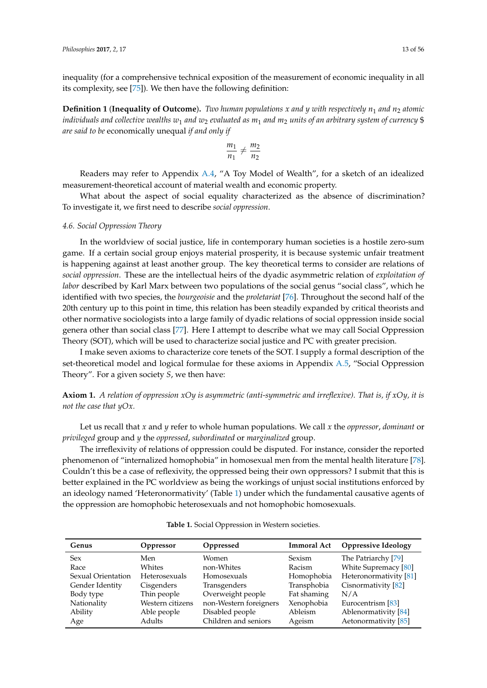inequality (for a comprehensive technical exposition of the measurement of economic inequality in all its complexity, see [\[75\]](#page-52-2)). We then have the following definition:

**Definition 1** (**Inequality of Outcome**). Two human populations x and y with respectively  $n_1$  and  $n_2$  atomic *individuals and collective wealths w*<sup>1</sup> *and w*<sup>2</sup> *evaluated as m*<sup>1</sup> *and m*<sup>2</sup> *units of an arbitrary system of currency* \$ *are said to be* economically unequal *if and only if*

$$
\frac{m_1}{n_1}\neq \frac{m_2}{n_2}
$$

Readers may refer to Appendix [A.4,](#page-46-1) "A Toy Model of Wealth", for a sketch of an idealized measurement-theoretical account of material wealth and economic property.

What about the aspect of social equality characterized as the absence of discrimination? To investigate it, we first need to describe *social oppression*.

#### <span id="page-12-1"></span>*4.6. Social Oppression Theory*

In the worldview of social justice, life in contemporary human societies is a hostile zero-sum game. If a certain social group enjoys material prosperity, it is because systemic unfair treatment is happening against at least another group. The key theoretical terms to consider are relations of *social oppression*. These are the intellectual heirs of the dyadic asymmetric relation of *exploitation of labor* described by Karl Marx between two populations of the social genus "social class", which he identified with two species, the *bourgeoisie* and the *proletariat* [\[76\]](#page-52-3). Throughout the second half of the 20th century up to this point in time, this relation has been steadily expanded by critical theorists and other normative sociologists into a large family of dyadic relations of social oppression inside social genera other than social class [\[77\]](#page-52-4). Here I attempt to describe what we may call Social Oppression Theory (SOT), which will be used to characterize social justice and PC with greater precision.

I make seven axioms to characterize core tenets of the SOT. I supply a formal description of the set-theoretical model and logical formulae for these axioms in Appendix [A.5,](#page-47-0) "Social Oppression Theory". For a given society *S*, we then have:

**Axiom 1.** *A relation of oppression xOy is asymmetric (anti-symmetric and irreflexive). That is, if xOy, it is not the case that yOx.*

Let us recall that *x* and *y* refer to whole human populations. We call *x* the *oppressor*, *dominant* or *privileged* group and *y* the *oppressed*, *subordinated* or *marginalized* group.

The irreflexivity of relations of oppression could be disputed. For instance, consider the reported phenomenon of "internalized homophobia" in homosexual men from the mental health literature [\[78\]](#page-52-5). Couldn't this be a case of reflexivity, the oppressed being their own oppressors? I submit that this is better explained in the PC worldview as being the workings of unjust social institutions enforced by an ideology named 'Heteronormativity' (Table [1\)](#page-12-0) under which the fundamental causative agents of the oppression are homophobic heterosexuals and not homophobic homosexuals.

<span id="page-12-0"></span>

| Genus              | Oppressor            | Oppressed              | <b>Immoral Act</b> | <b>Oppressive Ideology</b> |
|--------------------|----------------------|------------------------|--------------------|----------------------------|
| <b>Sex</b>         | Men                  | Women                  | <b>Sexism</b>      | The Patriarchy [79]        |
| Race               | Whites               | non-Whites             | Racism             | White Supremacy [80]       |
| Sexual Orientation | <b>Heterosexuals</b> | <b>Homosexuals</b>     | Homophobia         | Heteronormativity [81]     |
| Gender Identity    | Cisgenders           | Transgenders           | Transphobia        | Cisnormativity [82]        |
| Body type          | Thin people          | Overweight people      | Fat shaming        | N/A                        |
| Nationality        | Western citizens     | non-Western foreigners | Xenophobia         | Eurocentrism [83]          |
| Ability            | Able people          | Disabled people        | <b>Ableism</b>     | Ablenormativity [84]       |
| Age                | Adults               | Children and seniors   | Ageism             | Aetonormativity [85]       |

**Table 1.** Social Oppression in Western societies.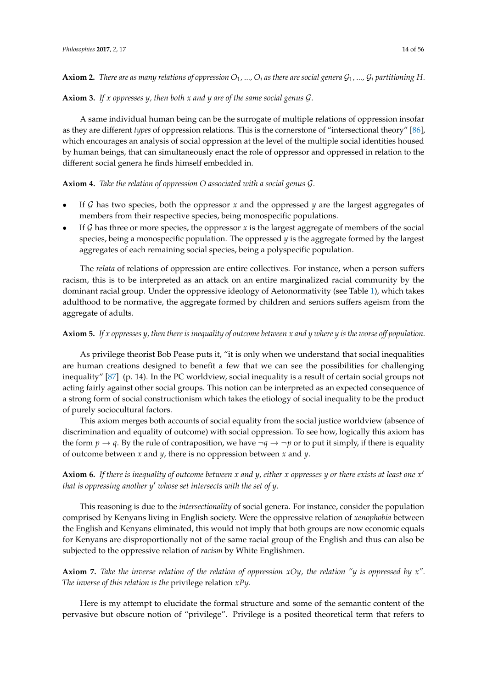# **Axiom 2.** There are as many relations of oppression  $O_1$ , ...,  $O_i$  as there are social genera  $\mathcal{G}_1$ , ...,  $\mathcal{G}_i$  partitioning H.

### **Axiom 3.** *If x oppresses y, then both x and y are of the same social genus* G*.*

A same individual human being can be the surrogate of multiple relations of oppression insofar as they are different *types* of oppression relations. This is the cornerstone of "intersectional theory" [\[86\]](#page-52-13), which encourages an analysis of social oppression at the level of the multiple social identities housed by human beings, that can simultaneously enact the role of oppressor and oppressed in relation to the different social genera he finds himself embedded in.

# **Axiom 4.** *Take the relation of oppression O associated with a social genus* G*.*

- If  $G$  has two species, both the oppressor  $x$  and the oppressed  $y$  are the largest aggregates of members from their respective species, being monospecific populations.
- If  $G$  has three or more species, the oppressor  $x$  is the largest aggregate of members of the social species, being a monospecific population. The oppressed *y* is the aggregate formed by the largest aggregates of each remaining social species, being a polyspecific population.

The *relata* of relations of oppression are entire collectives. For instance, when a person suffers racism, this is to be interpreted as an attack on an entire marginalized racial community by the dominant racial group. Under the oppressive ideology of Aetonormativity (see Table [1\)](#page-12-0), which takes adulthood to be normative, the aggregate formed by children and seniors suffers ageism from the aggregate of adults.

# **Axiom 5.** *If x oppresses y, then there is inequality of outcome between x and y where y is the worse off population.*

As privilege theorist Bob Pease puts it, "it is only when we understand that social inequalities are human creations designed to benefit a few that we can see the possibilities for challenging inequality" [\[87\]](#page-52-14) (p. 14). In the PC worldview, social inequality is a result of certain social groups not acting fairly against other social groups. This notion can be interpreted as an expected consequence of a strong form of social constructionism which takes the etiology of social inequality to be the product of purely sociocultural factors.

This axiom merges both accounts of social equality from the social justice worldview (absence of discrimination and equality of outcome) with social oppression. To see how, logically this axiom has the form  $p \rightarrow q$ . By the rule of contraposition, we have  $\neg q \rightarrow \neg p$  or to put it simply, if there is equality of outcome between *x* and *y*, there is no oppression between *x* and *y*.

# **Axiom 6.** *If there is inequality of outcome between x and y, either x oppresses y or there exists at least one x* 0 *that is oppressing another y*<sup>0</sup> *whose set intersects with the set of y.*

This reasoning is due to the *intersectionality* of social genera. For instance, consider the population comprised by Kenyans living in English society. Were the oppressive relation of *xenophobia* between the English and Kenyans eliminated, this would not imply that both groups are now economic equals for Kenyans are disproportionally not of the same racial group of the English and thus can also be subjected to the oppressive relation of *racism* by White Englishmen.

**Axiom 7.** *Take the inverse relation of the relation of oppression xOy, the relation "y is oppressed by x". The inverse of this relation is the* privilege relation *xPy.*

Here is my attempt to elucidate the formal structure and some of the semantic content of the pervasive but obscure notion of "privilege". Privilege is a posited theoretical term that refers to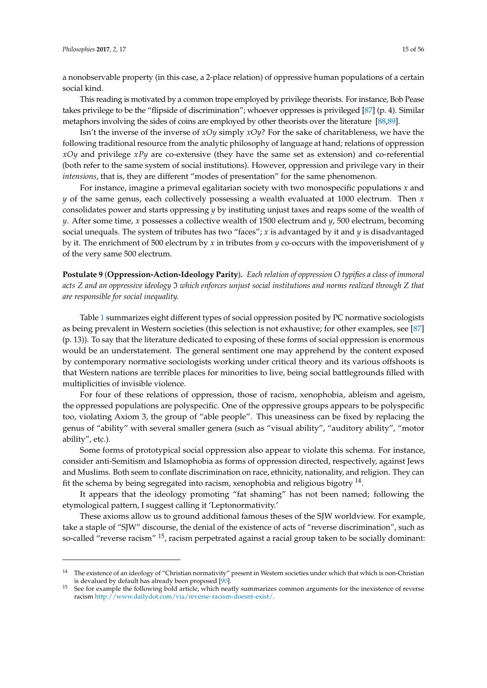a nonobservable property (in this case, a 2-place relation) of oppressive human populations of a certain social kind.

This reading is motivated by a common trope employed by privilege theorists. For instance, Bob Pease takes privilege to be the "flipside of discrimination"; whoever oppresses is privileged [\[87\]](#page-52-14) (p. 4). Similar metaphors involving the sides of coins are employed by other theorists over the literature [\[88,](#page-52-15)[89\]](#page-52-16).

Isn't the inverse of the inverse of *xOy* simply *xOy*? For the sake of charitableness, we have the following traditional resource from the analytic philosophy of language at hand; relations of oppression *xOy* and privilege *xPy* are co-extensive (they have the same set as extension) and co-referential (both refer to the same system of social institutions). However, oppression and privilege vary in their *intensions*, that is, they are different "modes of presentation" for the same phenomenon.

For instance, imagine a primeval egalitarian society with two monospecific populations *x* and *y* of the same genus, each collectively possessing a wealth evaluated at 1000 electrum. Then *x* consolidates power and starts oppressing *y* by instituting unjust taxes and reaps some of the wealth of *y*. After some time, *x* possesses a collective wealth of 1500 electrum and *y*, 500 electrum, becoming social unequals. The system of tributes has two "faces"; *x* is advantaged by it and *y* is disadvantaged by it. The enrichment of 500 electrum by *x* in tributes from *y* co-occurs with the impoverishment of *y* of the very same 500 electrum.

**Postulate 9** (**Oppression-Action-Ideology Parity**)**.** *Each relation of oppression O typifies a class of immoral acts Z and an oppressive ideology* I *which enforces unjust social institutions and norms realized through Z that are responsible for social inequality.*

Table [1](#page-12-0) summarizes eight different types of social oppression posited by PC normative sociologists as being prevalent in Western societies (this selection is not exhaustive; for other examples, see [\[87\]](#page-52-14) (p. 13)). To say that the literature dedicated to exposing of these forms of social oppression is enormous would be an understatement. The general sentiment one may apprehend by the content exposed by contemporary normative sociologists working under critical theory and its various offshoots is that Western nations are terrible places for minorities to live, being social battlegrounds filled with multiplicities of invisible violence.

For four of these relations of oppression, those of racism, xenophobia, ableism and ageism, the oppressed populations are polyspecific. One of the oppressive groups appears to be polyspecific too, violating Axiom 3, the group of "able people". This uneasiness can be fixed by replacing the genus of "ability" with several smaller genera (such as "visual ability", "auditory ability", "motor ability", etc.).

Some forms of prototypical social oppression also appear to violate this schema. For instance, consider anti-Semitism and Islamophobia as forms of oppression directed, respectively, against Jews and Muslims. Both seem to conflate discrimination on race, ethnicity, nationality, and religion. They can fit the schema by being segregated into racism, xenophobia and religious bigotry  $^{14}$ .

It appears that the ideology promoting "fat shaming" has not been named; following the etymological pattern, I suggest calling it 'Leptonormativity.'

These axioms allow us to ground additional famous theses of the SJW worldview. For example, take a staple of "SJW" discourse, the denial of the existence of acts of "reverse discrimination", such as so-called "reverse racism" <sup>15</sup>, racism perpetrated against a racial group taken to be socially dominant:

<sup>&</sup>lt;sup>14</sup> The existence of an ideology of "Christian normativity" present in Western societies under which that which is non-Christian is devalued by default has already been proposed [\[90\]](#page-52-17).

See for example the following bold article, which neatly summarizes common arguments for the inexistence of reverse racism [http://www.dailydot.com/via/reverse-racism-doesnt-exist/.](http://www.dailydot.com/via/reverse-racism-doesnt-exist/)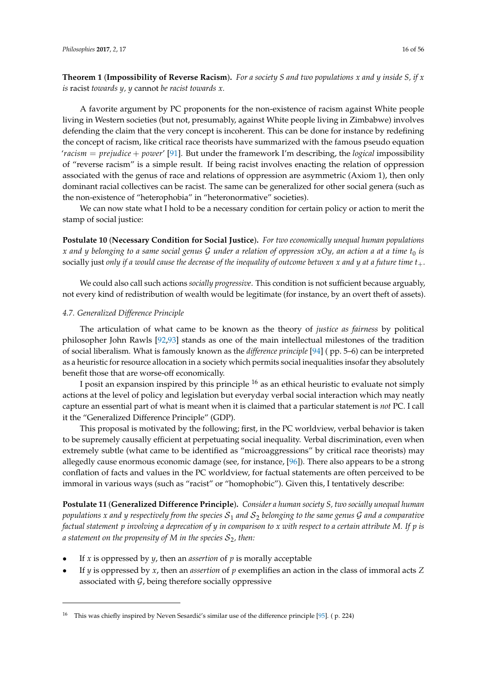**Theorem 1** (**Impossibility of Reverse Racism**)**.** *For a society S and two populations x and y inside S, if x is* racist *towards y, y* cannot *be racist towards x.*

A favorite argument by PC proponents for the non-existence of racism against White people living in Western societies (but not, presumably, against White people living in Zimbabwe) involves defending the claim that the very concept is incoherent. This can be done for instance by redefining the concept of racism, like critical race theorists have summarized with the famous pseudo equation '*racism* = *prejudice* + *power*' [\[91\]](#page-52-18). But under the framework I'm describing, the *logical* impossibility of "reverse racism" is a simple result. If being racist involves enacting the relation of oppression associated with the genus of race and relations of oppression are asymmetric (Axiom 1), then only dominant racial collectives can be racist. The same can be generalized for other social genera (such as the non-existence of "heterophobia" in "heteronormative" societies).

We can now state what I hold to be a necessary condition for certain policy or action to merit the stamp of social justice:

**Postulate 10** (**Necessary Condition for Social Justice**)**.** *For two economically unequal human populations x and y belonging to a same social genus* G *under a relation of oppression xOy, an action a at a time t*<sup>0</sup> *is* socially just *only if a would cause the decrease of the inequality of outcome between x and y at a future time t*+*.*

We could also call such actions *socially progressive*. This condition is not sufficient because arguably, not every kind of redistribution of wealth would be legitimate (for instance, by an overt theft of assets).

#### *4.7. Generalized Difference Principle*

The articulation of what came to be known as the theory of *justice as fairness* by political philosopher John Rawls [\[92](#page-52-19)[,93\]](#page-52-20) stands as one of the main intellectual milestones of the tradition of social liberalism. What is famously known as the *difference principle* [\[94\]](#page-52-21) ( pp. 5–6) can be interpreted as a heuristic for resource allocation in a society which permits social inequalities insofar they absolutely benefit those that are worse-off economically.

I posit an expansion inspired by this principle  $^{16}$  as an ethical heuristic to evaluate not simply actions at the level of policy and legislation but everyday verbal social interaction which may neatly capture an essential part of what is meant when it is claimed that a particular statement is *not* PC. I call it the "Generalized Difference Principle" (GDP).

This proposal is motivated by the following; first, in the PC worldview, verbal behavior is taken to be supremely causally efficient at perpetuating social inequality. Verbal discrimination, even when extremely subtle (what came to be identified as "microaggressions" by critical race theorists) may allegedly cause enormous economic damage (see, for instance, [\[96\]](#page-52-22)). There also appears to be a strong conflation of facts and values in the PC worldview, for factual statements are often perceived to be immoral in various ways (such as "racist" or "homophobic"). Given this, I tentatively describe:

**Postulate 11** (**Generalized Difference Principle**)**.** *Consider a human society S, two socially unequal human populations x* and *y* respectively from the species  $S_1$  and  $S_2$  belonging to the same genus  $G$  and a comparative *factual statement p involving a deprecation of y in comparison to x with respect to a certain attribute M. If p is a* statement on the propensity of M in the species  $S_2$ , then:

- If *x* is oppressed by *y*, then an *assertion* of *p* is morally acceptable
- If  $\gamma$  is oppressed by  $\chi$ , then an *assertion* of  $p$  exemplifies an action in the class of immoral acts  $\chi$ associated with  $G$ , being therefore socially oppressive

<sup>&</sup>lt;sup>16</sup> This was chiefly inspired by Neven Sesardić's similar use of the difference principle [\[95\]](#page-52-23). (p. 224)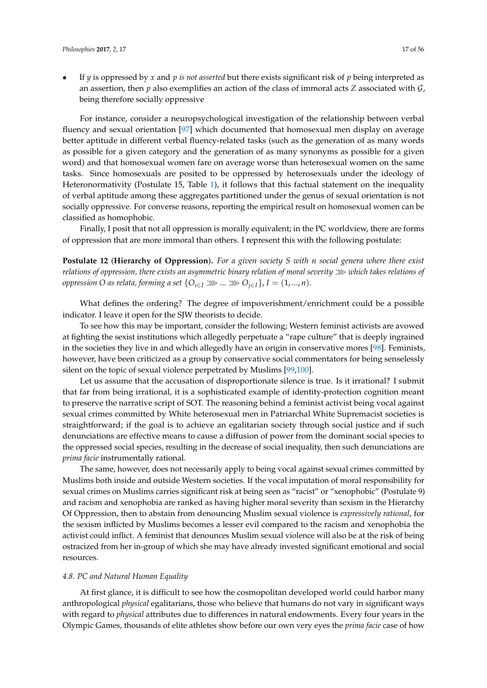- 
- If *y* is oppressed by *x* and *p is not asserted* but there exists significant risk of *p* being interpreted as an assertion, then *p* also exemplifies an action of the class of immoral acts *Z* associated with  $\mathcal{G}$ , being therefore socially oppressive

For instance, consider a neuropsychological investigation of the relationship between verbal fluency and sexual orientation [\[97\]](#page-52-24) which documented that homosexual men display on average better aptitude in different verbal fluency-related tasks (such as the generation of as many words as possible for a given category and the generation of as many synonyms as possible for a given word) and that homosexual women fare on average worse than heterosexual women on the same tasks. Since homosexuals are posited to be oppressed by heterosexuals under the ideology of Heteronormativity (Postulate 15, Table [1\)](#page-12-0), it follows that this factual statement on the inequality of verbal aptitude among these aggregates partitioned under the genus of sexual orientation is not socially oppressive. For converse reasons, reporting the empirical result on homosexual women can be classified as homophobic.

Finally, I posit that not all oppression is morally equivalent; in the PC worldview, there are forms of oppression that are more immoral than others. I represent this with the following postulate:

**Postulate 12** (**Hierarchy of Oppression**)**.** *For a given society S with n social genera where there exist relations of oppression, there exists an asymmetric binary relation of moral severity* ≫ *which takes relations of oppression O as relata, forming a set*  $\{O_{i \in I} \gg g \ldots \gg O_{i \in I}\}$ ,  $I = (1, ..., n)$ .

What defines the ordering? The degree of impoverishment/enrichment could be a possible indicator. I leave it open for the SJW theorists to decide.

To see how this may be important, consider the following; Western feminist activists are avowed at fighting the sexist institutions which allegedly perpetuate a "rape culture" that is deeply ingrained in the societies they live in and which allegedly have an origin in conservative mores [\[98\]](#page-52-25). Feminists, however, have been criticized as a group by conservative social commentators for being senselessly silent on the topic of sexual violence perpetrated by Muslims [\[99](#page-52-26)[,100\]](#page-52-27).

Let us assume that the accusation of disproportionate silence is true. Is it irrational? I submit that far from being irrational, it is a sophisticated example of identity-protection cognition meant to preserve the narrative script of SOT. The reasoning behind a feminist activist being vocal against sexual crimes committed by White heterosexual men in Patriarchal White Supremacist societies is straightforward; if the goal is to achieve an egalitarian society through social justice and if such denunciations are effective means to cause a diffusion of power from the dominant social species to the oppressed social species, resulting in the decrease of social inequality, then such denunciations are *prima facie* instrumentally rational.

The same, however, does not necessarily apply to being vocal against sexual crimes committed by Muslims both inside and outside Western societies. If the vocal imputation of moral responsibility for sexual crimes on Muslims carries significant risk at being seen as "racist" or "xenophobic" (Postulate 9) and racism and xenophobia are ranked as having higher moral severity than sexism in the Hierarchy Of Oppression, then to abstain from denouncing Muslim sexual violence is *expressively rational*, for the sexism inflicted by Muslims becomes a lesser evil compared to the racism and xenophobia the activist could inflict. A feminist that denounces Muslim sexual violence will also be at the risk of being ostracized from her in-group of which she may have already invested significant emotional and social resources.

#### *4.8. PC and Natural Human Equality*

At first glance, it is difficult to see how the cosmopolitan developed world could harbor many anthropological *physical* egalitarians, those who believe that humans do not vary in significant ways with regard to *physical* attributes due to differences in natural endowments. Every four years in the Olympic Games, thousands of elite athletes show before our own very eyes the *prima facie* case of how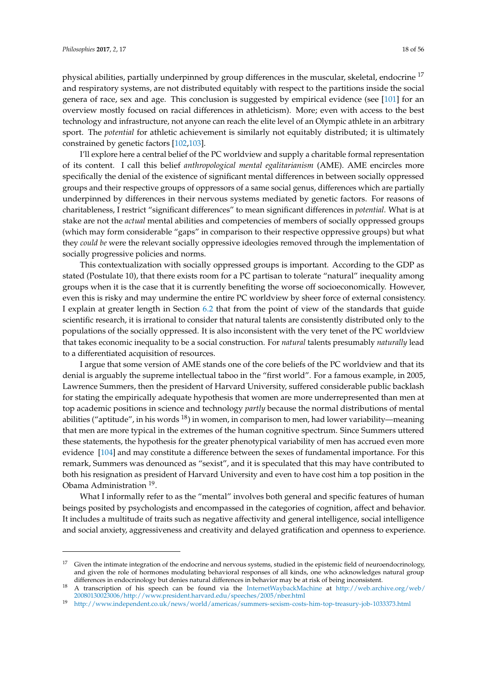physical abilities, partially underpinned by group differences in the muscular, skeletal, endocrine <sup>17</sup> and respiratory systems, are not distributed equitably with respect to the partitions inside the social genera of race, sex and age. This conclusion is suggested by empirical evidence (see [\[101\]](#page-52-28) for an overview mostly focused on racial differences in athleticism). More; even with access to the best technology and infrastructure, not anyone can reach the elite level of an Olympic athlete in an arbitrary sport. The *potential* for athletic achievement is similarly not equitably distributed; it is ultimately constrained by genetic factors [\[102](#page-52-29)[,103\]](#page-52-30).

I'll explore here a central belief of the PC worldview and supply a charitable formal representation of its content. I call this belief *anthropological mental egalitarianism* (AME). AME encircles more specifically the denial of the existence of significant mental differences in between socially oppressed groups and their respective groups of oppressors of a same social genus, differences which are partially underpinned by differences in their nervous systems mediated by genetic factors. For reasons of charitableness, I restrict "significant differences" to mean significant differences in *potential*. What is at stake are not the *actual* mental abilities and competencies of members of socially oppressed groups (which may form considerable "gaps" in comparison to their respective oppressive groups) but what they *could be* were the relevant socially oppressive ideologies removed through the implementation of socially progressive policies and norms.

This contextualization with socially oppressed groups is important. According to the GDP as stated (Postulate 10), that there exists room for a PC partisan to tolerate "natural" inequality among groups when it is the case that it is currently benefiting the worse off socioeconomically. However, even this is risky and may undermine the entire PC worldview by sheer force of external consistency. I explain at greater length in Section [6.2](#page-38-0) that from the point of view of the standards that guide scientific research, it is irrational to consider that natural talents are consistently distributed only to the populations of the socially oppressed. It is also inconsistent with the very tenet of the PC worldview that takes economic inequality to be a social construction. For *natural* talents presumably *naturally* lead to a differentiated acquisition of resources.

I argue that some version of AME stands one of the core beliefs of the PC worldview and that its denial is arguably the supreme intellectual taboo in the "first world". For a famous example, in 2005, Lawrence Summers, then the president of Harvard University, suffered considerable public backlash for stating the empirically adequate hypothesis that women are more underrepresented than men at top academic positions in science and technology *partly* because the normal distributions of mental abilities ("aptitude", in his words  $18$ ) in women, in comparison to men, had lower variability—meaning that men are more typical in the extremes of the human cognitive spectrum. Since Summers uttered these statements, the hypothesis for the greater phenotypical variability of men has accrued even more evidence [\[104\]](#page-52-31) and may constitute a difference between the sexes of fundamental importance. For this remark, Summers was denounced as "sexist", and it is speculated that this may have contributed to both his resignation as president of Harvard University and even to have cost him a top position in the Obama Administration<sup>19</sup>.

What I informally refer to as the "mental" involves both general and specific features of human beings posited by psychologists and encompassed in the categories of cognition, affect and behavior. It includes a multitude of traits such as negative affectivity and general intelligence, social intelligence and social anxiety, aggressiveness and creativity and delayed gratification and openness to experience.

 $17$  Given the intimate integration of the endocrine and nervous systems, studied in the epistemic field of neuroendocrinology, and given the role of hormones modulating behavioral responses of all kinds, one who acknowledges natural group differences in endocrinology but denies natural differences in behavior may be at risk of being inconsistent.

<sup>18</sup> A transcription of his speech can be found via the [InternetWaybackMachine](Internet Wayback Machine) at [http://web.archive.org/web/](http://web.archive.org/web/20080130023006/http://www.president.harvard.edu/speeches/2005/nber.html) [20080130023006/http://www.president.harvard.edu/speeches/2005/nber.html](http://web.archive.org/web/20080130023006/http://www.president.harvard.edu/speeches/2005/nber.html)

<sup>19</sup> <http://www.independent.co.uk/news/world/americas/summers-sexism-costs-him-top-treasury-job-1033373.html>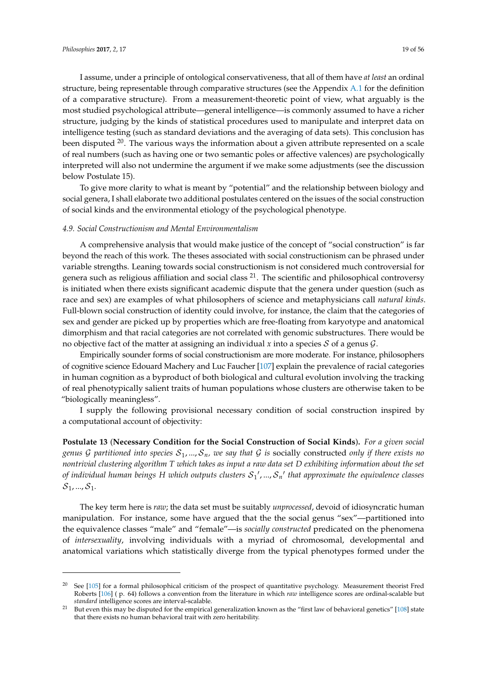I assume, under a principle of ontological conservativeness, that all of them have *at least* an ordinal structure, being representable through comparative structures (see the Appendix [A.1](#page-44-0) for the definition of a comparative structure). From a measurement-theoretic point of view, what arguably is the most studied psychological attribute—general intelligence—is commonly assumed to have a richer structure, judging by the kinds of statistical procedures used to manipulate and interpret data on intelligence testing (such as standard deviations and the averaging of data sets). This conclusion has been disputed  $20$ . The various ways the information about a given attribute represented on a scale of real numbers (such as having one or two semantic poles or affective valences) are psychologically interpreted will also not undermine the argument if we make some adjustments (see the discussion below Postulate 15).

To give more clarity to what is meant by "potential" and the relationship between biology and social genera, I shall elaborate two additional postulates centered on the issues of the social construction of social kinds and the environmental etiology of the psychological phenotype.

#### <span id="page-18-0"></span>*4.9. Social Constructionism and Mental Environmentalism*

A comprehensive analysis that would make justice of the concept of "social construction" is far beyond the reach of this work. The theses associated with social constructionism can be phrased under variable strengths. Leaning towards social constructionism is not considered much controversial for genera such as religious affiliation and social class  $^{21}$ . The scientific and philosophical controversy is initiated when there exists significant academic dispute that the genera under question (such as race and sex) are examples of what philosophers of science and metaphysicians call *natural kinds*. Full-blown social construction of identity could involve, for instance, the claim that the categories of sex and gender are picked up by properties which are free-floating from karyotype and anatomical dimorphism and that racial categories are not correlated with genomic substructures. There would be no objective fact of the matter at assigning an individual  $x$  into a species  $S$  of a genus  $G$ .

Empirically sounder forms of social constructionism are more moderate. For instance, philosophers of cognitive science Edouard Machery and Luc Faucher [\[107\]](#page-53-0) explain the prevalence of racial categories in human cognition as a byproduct of both biological and cultural evolution involving the tracking of real phenotypically salient traits of human populations whose clusters are otherwise taken to be "biologically meaningless".

I supply the following provisional necessary condition of social construction inspired by a computational account of objectivity:

**Postulate 13** (**Necessary Condition for the Social Construction of Social Kinds**)**.** *For a given social genus* G partitioned into species  $S_1, ..., S_n$ , we say that G is socially constructed only if there exists no *nontrivial clustering algorithm T which takes as input a raw data set D exhibiting information about the set* of individual human beings H which outputs clusters  ${\cal S}_1{}',...,{\cal S}_n{}'$  that approximate the equivalence classes  $S_1, ..., S_1$ .

The key term here is *raw*; the data set must be suitably *unprocessed*, devoid of idiosyncratic human manipulation. For instance, some have argued that the the social genus "sex"—partitioned into the equivalence classes "male" and "female"—is *socially constructed* predicated on the phenomena of *intersexuality*, involving individuals with a myriad of chromosomal, developmental and anatomical variations which statistically diverge from the typical phenotypes formed under the

<sup>20</sup> See [\[105\]](#page-53-1) for a formal philosophical criticism of the prospect of quantitative psychology. Measurement theorist Fred Roberts [\[106\]](#page-53-2) ( p. 64) follows a convention from the literature in which *raw* intelligence scores are ordinal-scalable but *standard* intelligence scores are interval-scalable.

But even this may be disputed for the empirical generalization known as the "first law of behavioral genetics" [\[108\]](#page-53-3) state that there exists no human behavioral trait with zero heritability.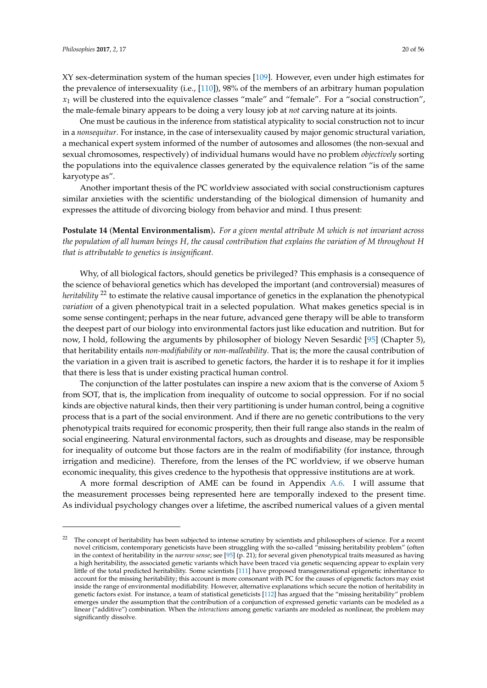XY sex-determination system of the human species [\[109\]](#page-53-4). However, even under high estimates for the prevalence of intersexuality (i.e., [\[110\]](#page-53-5)), 98% of the members of an arbitrary human population  $x_1$  will be clustered into the equivalence classes "male" and "female". For a "social construction", the male-female binary appears to be doing a very lousy job at *not* carving nature at its joints.

One must be cautious in the inference from statistical atypicality to social construction not to incur in a *nonsequitur*. For instance, in the case of intersexuality caused by major genomic structural variation, a mechanical expert system informed of the number of autosomes and allosomes (the non-sexual and sexual chromosomes, respectively) of individual humans would have no problem *objectively* sorting the populations into the equivalence classes generated by the equivalence relation "is of the same karyotype as".

Another important thesis of the PC worldview associated with social constructionism captures similar anxieties with the scientific understanding of the biological dimension of humanity and expresses the attitude of divorcing biology from behavior and mind. I thus present:

**Postulate 14** (**Mental Environmentalism**)**.** *For a given mental attribute M which is not invariant across the population of all human beings H, the causal contribution that explains the variation of M throughout H that is attributable to genetics is insignificant.*

Why, of all biological factors, should genetics be privileged? This emphasis is a consequence of the science of behavioral genetics which has developed the important (and controversial) measures of *heritability* <sup>22</sup> to estimate the relative causal importance of genetics in the explanation the phenotypical *variation* of a given phenotypical trait in a selected population. What makes genetics special is in some sense contingent; perhaps in the near future, advanced gene therapy will be able to transform the deepest part of our biology into environmental factors just like education and nutrition. But for now, I hold, following the arguments by philosopher of biology Neven Sesardić [\[95\]](#page-52-23) (Chapter 5), that heritability entails *non-modifiability* or *non-malleability*. That is; the more the causal contribution of the variation in a given trait is ascribed to genetic factors, the harder it is to reshape it for it implies that there is less that is under existing practical human control.

The conjunction of the latter postulates can inspire a new axiom that is the converse of Axiom 5 from SOT, that is, the implication from inequality of outcome to social oppression. For if no social kinds are objective natural kinds, then their very partitioning is under human control, being a cognitive process that is a part of the social environment. And if there are no genetic contributions to the very phenotypical traits required for economic prosperity, then their full range also stands in the realm of social engineering. Natural environmental factors, such as droughts and disease, may be responsible for inequality of outcome but those factors are in the realm of modifiability (for instance, through irrigation and medicine). Therefore, from the lenses of the PC worldview, if we observe human economic inequality, this gives credence to the hypothesis that oppressive institutions are at work.

A more formal description of AME can be found in Appendix [A.6.](#page-48-0) I will assume that the measurement processes being represented here are temporally indexed to the present time. As individual psychology changes over a lifetime, the ascribed numerical values of a given mental

The concept of heritability has been subjected to intense scrutiny by scientists and philosophers of science. For a recent novel criticism, contemporary geneticists have been struggling with the so-called "missing heritability problem" (often in the context of heritability in the *narrow sense*; see [\[95\]](#page-52-23) (p. 21); for several given phenotypical traits measured as having a high heritability, the associated genetic variants which have been traced via genetic sequencing appear to explain very little of the total predicted heritability. Some scientists [\[111\]](#page-53-6) have proposed transgenerational epigenetic inheritance to account for the missing heritability; this account is more consonant with PC for the causes of epigenetic factors may exist inside the range of environmental modifiability. However, alternative explanations which secure the notion of heritability in genetic factors exist. For instance, a team of statistical geneticists [\[112\]](#page-53-7) has argued that the "missing heritability" problem emerges under the assumption that the contribution of a conjunction of expressed genetic variants can be modeled as a linear ("additive") combination. When the *interactions* among genetic variants are modeled as nonlinear, the problem may significantly dissolve.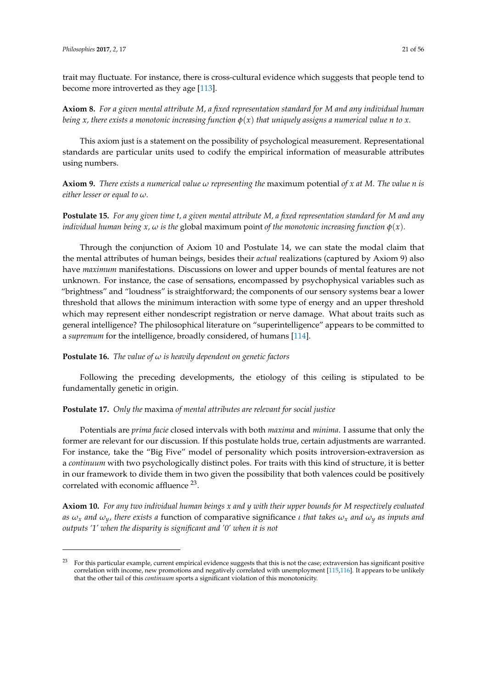trait may fluctuate. For instance, there is cross-cultural evidence which suggests that people tend to become more introverted as they age [\[113\]](#page-53-8).

**Axiom 8.** *For a given mental attribute M, a fixed representation standard for M and any individual human being x, there exists a monotonic increasing function*  $\varphi(x)$  *that uniquely assigns a numerical value n to x.* 

This axiom just is a statement on the possibility of psychological measurement. Representational standards are particular units used to codify the empirical information of measurable attributes using numbers.

**Axiom 9.** *There exists a numerical value ω representing the* maximum potential *of x at M. The value n is either lesser or equal to ω.*

**Postulate 15.** *For any given time t, a given mental attribute M, a fixed representation standard for M and any individual human being x,*  $\omega$  *is the global maximum point of the monotonic increasing function*  $\phi(x)$ *.* 

Through the conjunction of Axiom 10 and Postulate 14, we can state the modal claim that the mental attributes of human beings, besides their *actual* realizations (captured by Axiom 9) also have *maximum* manifestations. Discussions on lower and upper bounds of mental features are not unknown. For instance, the case of sensations, encompassed by psychophysical variables such as "brightness" and "loudness" is straightforward; the components of our sensory systems bear a lower threshold that allows the minimum interaction with some type of energy and an upper threshold which may represent either nondescript registration or nerve damage. What about traits such as general intelligence? The philosophical literature on "superintelligence" appears to be committed to a *supremum* for the intelligence, broadly considered, of humans [\[114\]](#page-53-9).

**Postulate 16.** *The value of ω is heavily dependent on genetic factors*

Following the preceding developments, the etiology of this ceiling is stipulated to be fundamentally genetic in origin.

### **Postulate 17.** *Only the* maxima *of mental attributes are relevant for social justice*

Potentials are *prima facie* closed intervals with both *maxima* and *minima*. I assume that only the former are relevant for our discussion. If this postulate holds true, certain adjustments are warranted. For instance, take the "Big Five" model of personality which posits introversion-extraversion as a *continuum* with two psychologically distinct poles. For traits with this kind of structure, it is better in our framework to divide them in two given the possibility that both valences could be positively correlated with economic affluence <sup>23</sup>.

**Axiom 10.** *For any two individual human beings x and y with their upper bounds for M respectively evaluated as*  $\omega_x$  *and*  $\omega_y$ *, there exists a* function of comparative significance *ι that takes*  $\omega_x$  *and*  $\omega_y$  *as inputs and outputs '1' when the disparity is significant and '0' when it is not*

<sup>&</sup>lt;sup>23</sup> For this particular example, current empirical evidence suggests that this is not the case; extraversion has significant positive correlation with income, new promotions and negatively correlated with unemployment [\[115](#page-53-10)[,116\]](#page-53-11). It appears to be unlikely that the other tail of this *continuum* sports a significant violation of this monotonicity.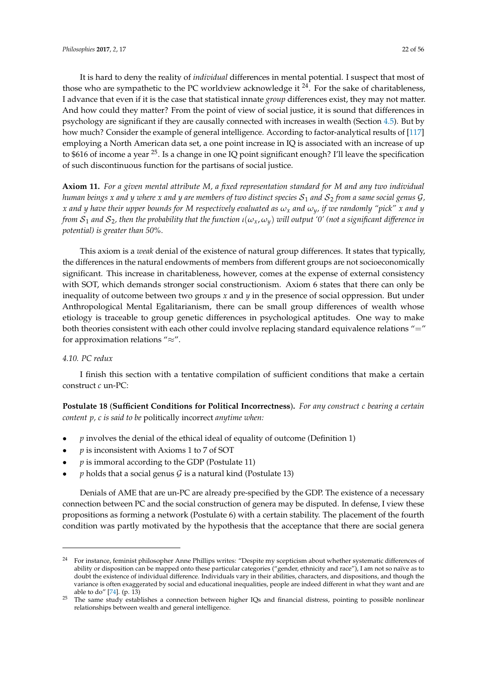It is hard to deny the reality of *individual* differences in mental potential. I suspect that most of those who are sympathetic to the PC worldview acknowledge it  $^{24}$ . For the sake of charitableness, I advance that even if it is the case that statistical innate *group* differences exist, they may not matter. And how could they matter? From the point of view of social justice, it is sound that differences in psychology are significant if they are causally connected with increases in wealth (Section [4.5\)](#page-11-0). But by how much? Consider the example of general intelligence. According to factor-analytical results of [\[117\]](#page-53-12) employing a North American data set, a one point increase in IQ is associated with an increase of up to \$616 of income a year <sup>25</sup>. Is a change in one IQ point significant enough? I'll leave the specification of such discontinuous function for the partisans of social justice.

**Axiom 11.** *For a given mental attribute M, a fixed representation standard for M and any two individual human beings x* and *y* where *x* and *y* are members of two distinct species  $S_1$  and  $S_2$  from a same social genus  $G$ , *x* and *y* have their upper bounds for M respectively evaluated as  $\omega_x$  and  $\omega_y$ , if we randomly "pick" *x* and *y from*  $S_1$  *and*  $S_2$ , then the probability that the function  $\iota(\omega_x, \omega_y)$  will output '0' (not a significant difference in *potential) is greater than 50%.*

This axiom is a *weak* denial of the existence of natural group differences. It states that typically, the differences in the natural endowments of members from different groups are not socioeconomically significant. This increase in charitableness, however, comes at the expense of external consistency with SOT, which demands stronger social constructionism. Axiom 6 states that there can only be inequality of outcome between two groups *x* and *y* in the presence of social oppression. But under Anthropological Mental Egalitarianism, there can be small group differences of wealth whose etiology is traceable to group genetic differences in psychological aptitudes. One way to make both theories consistent with each other could involve replacing standard equivalence relations "=" for approximation relations "≈".

### *4.10. PC redux*

I finish this section with a tentative compilation of sufficient conditions that make a certain construct *c* un-PC:

**Postulate 18** (**Sufficient Conditions for Political Incorrectness**)**.** *For any construct c bearing a certain content p, c is said to be* politically incorrect *anytime when:*

- *p* involves the denial of the ethical ideal of equality of outcome (Definition 1)
- *p* is inconsistent with Axioms 1 to 7 of SOT
- *p* is immoral according to the GDP (Postulate 11)
- $p$  holds that a social genus  $\mathcal G$  is a natural kind (Postulate 13)

Denials of AME that are un-PC are already pre-specified by the GDP. The existence of a necessary connection between PC and the social construction of genera may be disputed. In defense, I view these propositions as forming a network (Postulate 6) with a certain stability. The placement of the fourth condition was partly motivated by the hypothesis that the acceptance that there are social genera

<sup>&</sup>lt;sup>24</sup> For instance, feminist philosopher Anne Phillips writes: "Despite my scepticism about whether systematic differences of ability or disposition can be mapped onto these particular categories ("gender, ethnicity and race"), I am not so naïve as to doubt the existence of individual difference. Individuals vary in their abilities, characters, and dispositions, and though the variance is often exaggerated by social and educational inequalities, people are indeed different in what they want and are able to do" [\[74\]](#page-52-0). (p. 13)

<sup>&</sup>lt;sup>25</sup> The same study establishes a connection between higher IQs and financial distress, pointing to possible nonlinear relationships between wealth and general intelligence.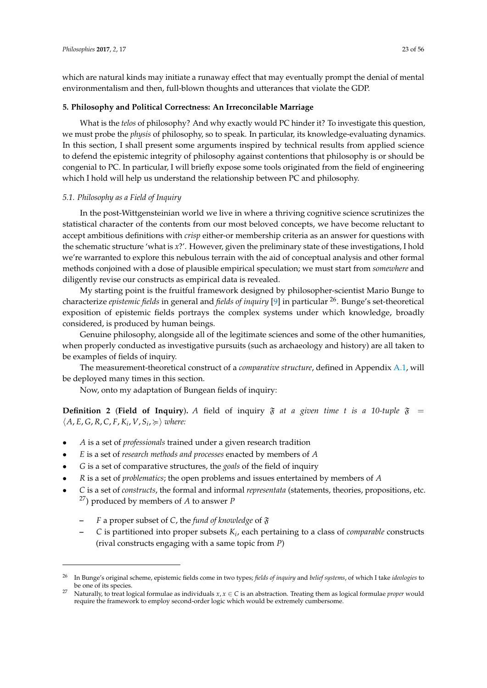which are natural kinds may initiate a runaway effect that may eventually prompt the denial of mental environmentalism and then, full-blown thoughts and utterances that violate the GDP.

# <span id="page-22-0"></span>**5. Philosophy and Political Correctness: An Irreconcilable Marriage**

What is the *telos* of philosophy? And why exactly would PC hinder it? To investigate this question, we must probe the *physis* of philosophy, so to speak. In particular, its knowledge-evaluating dynamics. In this section, I shall present some arguments inspired by technical results from applied science to defend the epistemic integrity of philosophy against contentions that philosophy is or should be congenial to PC. In particular, I will briefly expose some tools originated from the field of engineering which I hold will help us understand the relationship between PC and philosophy.

# *5.1. Philosophy as a Field of Inquiry*

In the post-Wittgensteinian world we live in where a thriving cognitive science scrutinizes the statistical character of the contents from our most beloved concepts, we have become reluctant to accept ambitious definitions with *crisp* either-or membership criteria as an answer for questions with the schematic structure 'what is *x*?'. However, given the preliminary state of these investigations, I hold we're warranted to explore this nebulous terrain with the aid of conceptual analysis and other formal methods conjoined with a dose of plausible empirical speculation; we must start from *somewhere* and diligently revise our constructs as empirical data is revealed.

My starting point is the fruitful framework designed by philosopher-scientist Mario Bunge to characterize *epistemic fields* in general and *fields of inquiry* [\[9\]](#page-49-7) in particular <sup>26</sup>. Bunge's set-theoretical exposition of epistemic fields portrays the complex systems under which knowledge, broadly considered, is produced by human beings.

Genuine philosophy, alongside all of the legitimate sciences and some of the other humanities, when properly conducted as investigative pursuits (such as archaeology and history) are all taken to be examples of fields of inquiry.

The measurement-theoretical construct of a *comparative structure*, defined in Appendix [A.1,](#page-44-0) will be deployed many times in this section.

Now, onto my adaptation of Bungean fields of inquiry:

**Definition 2** (Field of Inquiry). A field of inquiry  $\mathfrak{F}$  *at a given time t is a 10-tuple*  $\mathfrak{F}$  =  $\langle A, E, G, R, C, F, K_i, V, S_i \rangle \geq \rangle$  where:

- *A* is a set of *professionals* trained under a given research tradition
- *E* is a set of *research methods and processes* enacted by members of *A*
- *G* is a set of comparative structures, the *goals* of the field of inquiry
- *R* is a set of *problematics*; the open problems and issues entertained by members of *A*
- *C* is a set of *constructs*, the formal and informal *representata* (statements, theories, propositions, etc. <sup>27</sup>) produced by members of *A* to answer *P*
	- **–** *F* a proper subset of *C*, the *fund of knowledge* of F
	- **–** *C* is partitioned into proper subsets *K<sup>i</sup>* , each pertaining to a class of *comparable* constructs (rival constructs engaging with a same topic from *P*)

<sup>26</sup> In Bunge's original scheme, epistemic fields come in two types; *fields of inquiry* and *belief systems*, of which I take *ideologies* to be one of its species.

<sup>27</sup> Naturally, to treat logical formulae as individuals *x*, *x* ∈ *C* is an abstraction. Treating them as logical formulae *proper* would require the framework to employ second-order logic which would be extremely cumbersome.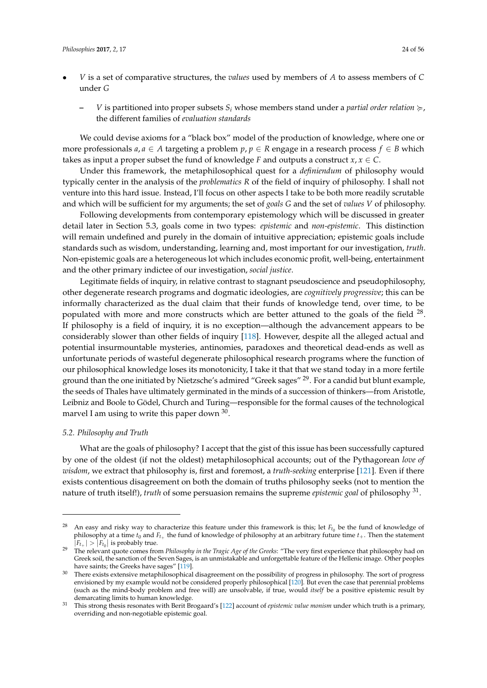- *V* is a set of comparative structures, the *values* used by members of *A* to assess members of *C* under *G*
	- $V$  is partitioned into proper subsets  $S_i$  whose members stand under a *partial order relation*  $\succeq$ , the different families of *evaluation standards*

We could devise axioms for a "black box" model of the production of knowledge, where one or more professionals  $a, a \in A$  targeting a problem  $p, p \in R$  engage in a research process  $f \in B$  which takes as input a proper subset the fund of knowledge *F* and outputs a construct  $x, x \in C$ .

Under this framework, the metaphilosophical quest for a *definiendum* of philosophy would typically center in the analysis of the *problematics R* of the field of inquiry of philosophy. I shall not venture into this hard issue. Instead, I'll focus on other aspects I take to be both more readily scrutable and which will be sufficient for my arguments; the set of *goals G* and the set of *values V* of philosophy.

Following developments from contemporary epistemology which will be discussed in greater detail later in Section 5.3, goals come in two types: *epistemic* and *non-epistemic*. This distinction will remain undefined and purely in the domain of intuitive appreciation; epistemic goals include standards such as wisdom, understanding, learning and, most important for our investigation, *truth*. Non-epistemic goals are a heterogeneous lot which includes economic profit, well-being, entertainment and the other primary indictee of our investigation, *social justice*.

Legitimate fields of inquiry, in relative contrast to stagnant pseudoscience and pseudophilosophy, other degenerate research programs and dogmatic ideologies, are *cognitively progressive*; this can be informally characterized as the dual claim that their funds of knowledge tend, over time, to be populated with more and more constructs which are better attuned to the goals of the field  $^{28}$ . If philosophy is a field of inquiry, it is no exception—although the advancement appears to be considerably slower than other fields of inquiry [\[118\]](#page-53-13). However, despite all the alleged actual and potential insurmountable mysteries, antinomies, paradoxes and theoretical dead-ends as well as unfortunate periods of wasteful degenerate philosophical research programs where the function of our philosophical knowledge loses its monotonicity, I take it that that we stand today in a more fertile ground than the one initiated by Nietzsche's admired "Greek sages" <sup>29</sup>. For a candid but blunt example, the seeds of Thales have ultimately germinated in the minds of a succession of thinkers—from Aristotle, Leibniz and Boole to Gödel, Church and Turing—responsible for the formal causes of the technological marvel I am using to write this paper down  $^{30}$ .

#### *5.2. Philosophy and Truth*

What are the goals of philosophy? I accept that the gist of this issue has been successfully captured by one of the oldest (if not the oldest) metaphilosophical accounts; out of the Pythagorean *love of wisdom*, we extract that philosophy is, first and foremost, a *truth-seeking* enterprise [\[121\]](#page-53-14). Even if there exists contentious disagreement on both the domain of truths philosophy seeks (not to mention the nature of truth itself!), *truth* of some persuasion remains the supreme *epistemic goal* of philosophy <sup>31</sup> .

<sup>&</sup>lt;sup>28</sup> An easy and risky way to characterize this feature under this framework is this; let  $F_{t_0}$  be the fund of knowledge of philosophy at a time  $t_0$  and  $F_{t_+}$  the fund of knowledge of philosophy at an arbitrary future time  $t_+$ . Then the statement  $|F_{t+}| > |F_{t_0}|$  is probably true.

<sup>&</sup>lt;sup>29</sup> The relevant quote comes from *Philosophy in the Tragic Age of the Greeks*: "The very first experience that philosophy had on Greek soil, the sanction of the Seven Sages, is an unmistakable and unforgettable feature of the Hellenic image. Other peoples have saints; the Greeks have sages" [\[119\]](#page-53-15).

<sup>&</sup>lt;sup>30</sup> There exists extensive metaphilosophical disagreement on the possibility of progress in philosophy. The sort of progress envisioned by my example would not be considered properly philosophical [\[120\]](#page-53-16). But even the case that perennial problems (such as the mind-body problem and free will) are unsolvable, if true, would *itself* be a positive epistemic result by demarcating limits to human knowledge.

<sup>31</sup> This strong thesis resonates with Berit Brogaard's [\[122\]](#page-53-17) account of *epistemic value monism* under which truth is a primary, overriding and non-negotiable epistemic goal.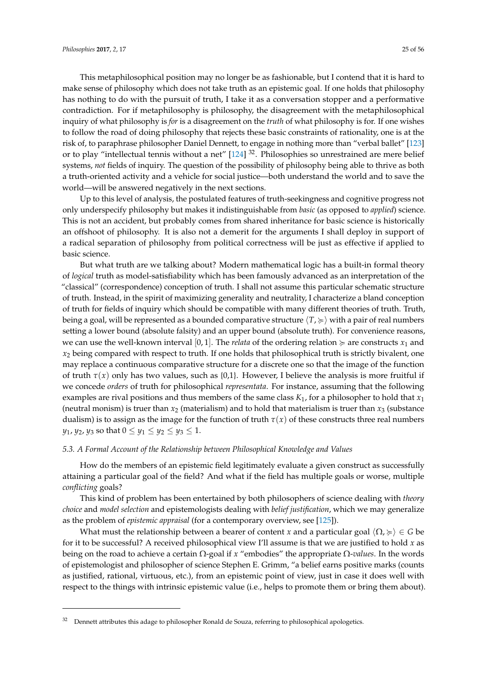This metaphilosophical position may no longer be as fashionable, but I contend that it is hard to make sense of philosophy which does not take truth as an epistemic goal. If one holds that philosophy has nothing to do with the pursuit of truth, I take it as a conversation stopper and a performative contradiction. For if metaphilosophy is philosophy, the disagreement with the metaphilosophical inquiry of what philosophy is *for* is a disagreement on the *truth* of what philosophy is for. If one wishes to follow the road of doing philosophy that rejects these basic constraints of rationality, one is at the risk of, to paraphrase philosopher Daniel Dennett, to engage in nothing more than "verbal ballet" [\[123\]](#page-53-18) or to play "intellectual tennis without a net" [\[124\]](#page-53-19) <sup>32</sup>. Philosophies so unrestrained are mere belief systems, *not* fields of inquiry. The question of the possibility of philosophy being able to thrive as both a truth-oriented activity and a vehicle for social justice—both understand the world and to save the world—will be answered negatively in the next sections.

Up to this level of analysis, the postulated features of truth-seekingness and cognitive progress not only underspecify philosophy but makes it indistinguishable from *basic* (as opposed to *applied*) science. This is not an accident, but probably comes from shared inheritance for basic science is historically an offshoot of philosophy. It is also not a demerit for the arguments I shall deploy in support of a radical separation of philosophy from political correctness will be just as effective if applied to basic science.

But what truth are we talking about? Modern mathematical logic has a built-in formal theory of *logical* truth as model-satisfiability which has been famously advanced as an interpretation of the "classical" (correspondence) conception of truth. I shall not assume this particular schematic structure of truth. Instead, in the spirit of maximizing generality and neutrality, I characterize a bland conception of truth for fields of inquiry which should be compatible with many different theories of truth. Truth, being a goal, will be represented as a bounded comparative structure  $\langle T \rangle \geq \rangle$  with a pair of real numbers setting a lower bound (absolute falsity) and an upper bound (absolute truth). For convenience reasons, we can use the well-known interval [0, 1]. The *relata* of the ordering relation  $\succeq$  are constructs  $x_1$  and *x*<sup>2</sup> being compared with respect to truth. If one holds that philosophical truth is strictly bivalent, one may replace a continuous comparative structure for a discrete one so that the image of the function of truth  $\tau(x)$  only has two values, such as {0,1}. However, I believe the analysis is more fruitful if we concede *orders* of truth for philosophical *representata*. For instance, assuming that the following examples are rival positions and thus members of the same class *K*1, for a philosopher to hold that *x*<sup>1</sup> (neutral monism) is truer than  $x_2$  (materialism) and to hold that materialism is truer than  $x_3$  (substance dualism) is to assign as the image for the function of truth  $\tau(x)$  of these constructs three real numbers *y*<sub>1</sub>, *y*<sub>2</sub>, *y*<sub>3</sub> so that  $0 \le y_1 \le y_2 \le y_3 \le 1$ .

#### <span id="page-24-0"></span>*5.3. A Formal Account of the Relationship between Philosophical Knowledge and Values*

How do the members of an epistemic field legitimately evaluate a given construct as successfully attaining a particular goal of the field? And what if the field has multiple goals or worse, multiple *conflicting* goals?

This kind of problem has been entertained by both philosophers of science dealing with *theory choice* and *model selection* and epistemologists dealing with *belief justification*, which we may generalize as the problem of *epistemic appraisal* (for a contemporary overview, see [\[125\]](#page-53-20)).

What must the relationship between a bearer of content *x* and a particular goal  $\langle \Omega, \succcurlyeq \rangle \in G$  be for it to be successful? A received philosophical view I'll assume is that we are justified to hold *x* as being on the road to achieve a certain Ω-goal if *x* "embodies" the appropriate Ω-*values*. In the words of epistemologist and philosopher of science Stephen E. Grimm, "a belief earns positive marks (counts as justified, rational, virtuous, etc.), from an epistemic point of view, just in case it does well with respect to the things with intrinsic epistemic value (i.e., helps to promote them or bring them about).

<sup>32</sup> Dennett attributes this adage to philosopher Ronald de Souza, referring to philosophical apologetics.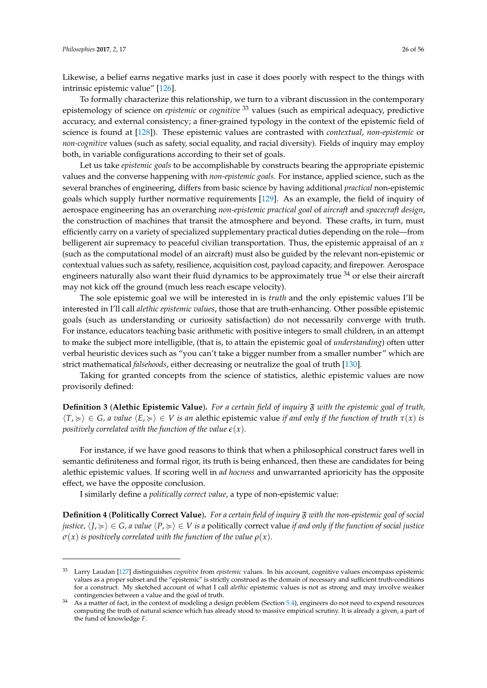Likewise, a belief earns negative marks just in case it does poorly with respect to the things with intrinsic epistemic value" [\[126\]](#page-53-21).

To formally characterize this relationship, we turn to a vibrant discussion in the contemporary epistemology of science on *epistemic* or *cognitive* <sup>33</sup> values (such as empirical adequacy, predictive accuracy, and external consistency; a finer-grained typology in the context of the epistemic field of science is found at [\[128\]](#page-53-22)). These epistemic values are contrasted with *contextual*, *non-epistemic* or *non-cognitive* values (such as safety, social equality, and racial diversity). Fields of inquiry may employ both, in variable configurations according to their set of goals.

Let us take *epistemic goals* to be accomplishable by constructs bearing the appropriate epistemic values and the converse happening with *non-epistemic goals*. For instance, applied science, such as the several branches of engineering, differs from basic science by having additional *practical* non-epistemic goals which supply further normative requirements [\[129\]](#page-53-23). As an example, the field of inquiry of aerospace engineering has an overarching *non-epistemic practical goal* of *aircraft* and *spacecraft design*, the construction of machines that transit the atmosphere and beyond. These crafts, in turn, must efficiently carry on a variety of specialized supplementary practical duties depending on the role—from belligerent air supremacy to peaceful civilian transportation. Thus, the epistemic appraisal of an *x* (such as the computational model of an aircraft) must also be guided by the relevant non-epistemic or contextual values such as safety, resilience, acquisition cost, payload capacity, and firepower. Aerospace engineers naturally also want their fluid dynamics to be approximately true  $34$  or else their aircraft may not kick off the ground (much less reach escape velocity).

The sole epistemic goal we will be interested in is *truth* and the only epistemic values I'll be interested in I'll call *alethic epistemic values*, those that are truth-enhancing. Other possible epistemic goals (such as understanding or curiosity satisfaction) do not necessarily converge with truth. For instance, educators teaching basic arithmetic with positive integers to small children, in an attempt to make the subject more intelligible, (that is, to attain the epistemic goal of *understanding*) often utter verbal heuristic devices such as "you can't take a bigger number from a smaller number" which are strict mathematical *falsehoods*, either decreasing or neutralize the goal of truth [\[130\]](#page-53-24).

Taking for granted concepts from the science of statistics, alethic epistemic values are now provisorily defined:

**Definition 3** (**Alethic Epistemic Value**)**.** *For a certain field of inquiry* F *with the epistemic goal of truth,*  $\langle T, \succcurlyeq \rangle \in G$ , *a value*  $\langle E, \succcurlyeq \rangle \in V$  *is an* alethic epistemic value *if and only if the function of truth*  $\tau(x)$  *is positively correlated with the function of the value*  $\epsilon(x)$ *.* 

For instance, if we have good reasons to think that when a philosophical construct fares well in semantic definiteness and formal rigor, its truth is being enhanced, then these are candidates for being alethic epistemic values. If scoring well in *ad hocness* and unwarranted aprioricity has the opposite effect, we have the opposite conclusion.

I similarly define a *politically correct value*, a type of non-epistemic value:

**Definition 4** (**Politically Correct Value**)**.** *For a certain field of inquiry* F *with the non-epistemic goal of social justice,*  $\langle I, \succcurlyeq \rangle \in G$ , a value  $\langle P, \succcurlyeq \rangle \in V$  is a politically correct value *if and only if the function of social justice*  $\sigma(x)$  *is positively correlated with the function of the value*  $\rho(x)$ *.* 

<sup>33</sup> Larry Laudan [\[127\]](#page-53-25) distinguishes *cognitive* from *epistemic* values. In his account, cognitive values encompass epistemic values as a proper subset and the "epistemic" is strictly construed as the domain of necessary and sufficient truth-conditions for a construct. My sketched account of what I call *alethic* epistemic values is not as strong and may involve weaker contingencies between a value and the goal of truth.

As a matter of fact, in the context of modeling a design problem (Section [5.4\)](#page-26-0), engineers do not need to expend resources computing the truth of natural science which has already stood to massive empirical scrutiny. It is already a given, a part of the fund of knowledge *F*.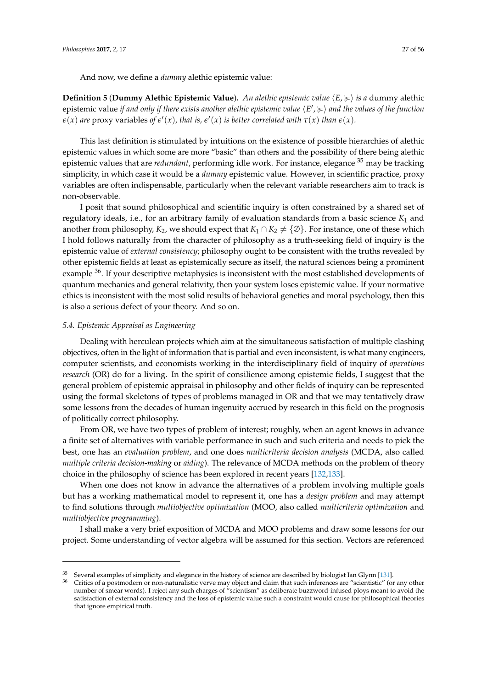And now, we define a *dummy* alethic epistemic value:

**Definition 5 (Dummy Alethic Epistemic Value).** An alethic epistemic value  $\langle E, \succcurlyeq \rangle$  is a dummy alethic epistemic value *if and only if there exists another alethic epistemic value*  $\langle E', \succcurlyeq \rangle$  *and the values of the function*  $\epsilon(x)$  are proxy variables of  $\epsilon'(x)$ , that is,  $\epsilon'(x)$  is better correlated with  $\tau(x)$  than  $\epsilon(x)$ .

This last definition is stimulated by intuitions on the existence of possible hierarchies of alethic epistemic values in which some are more "basic" than others and the possibility of there being alethic epistemic values that are *redundant*, performing idle work. For instance, elegance <sup>35</sup> may be tracking simplicity, in which case it would be a *dummy* epistemic value. However, in scientific practice, proxy variables are often indispensable, particularly when the relevant variable researchers aim to track is non-observable.

I posit that sound philosophical and scientific inquiry is often constrained by a shared set of regulatory ideals, i.e., for an arbitrary family of evaluation standards from a basic science *K*<sup>1</sup> and another from philosophy,  $K_2$ , we should expect that  $K_1 \cap K_2 \neq \{ \emptyset \}$ . For instance, one of these which I hold follows naturally from the character of philosophy as a truth-seeking field of inquiry is the epistemic value of *external consistency*; philosophy ought to be consistent with the truths revealed by other epistemic fields at least as epistemically secure as itself, the natural sciences being a prominent example <sup>36</sup>. If your descriptive metaphysics is inconsistent with the most established developments of quantum mechanics and general relativity, then your system loses epistemic value. If your normative ethics is inconsistent with the most solid results of behavioral genetics and moral psychology, then this is also a serious defect of your theory. And so on.

## <span id="page-26-0"></span>*5.4. Epistemic Appraisal as Engineering*

Dealing with herculean projects which aim at the simultaneous satisfaction of multiple clashing objectives, often in the light of information that is partial and even inconsistent, is what many engineers, computer scientists, and economists working in the interdisciplinary field of inquiry of *operations research* (OR) do for a living. In the spirit of consilience among epistemic fields, I suggest that the general problem of epistemic appraisal in philosophy and other fields of inquiry can be represented using the formal skeletons of types of problems managed in OR and that we may tentatively draw some lessons from the decades of human ingenuity accrued by research in this field on the prognosis of politically correct philosophy.

From OR, we have two types of problem of interest; roughly, when an agent knows in advance a finite set of alternatives with variable performance in such and such criteria and needs to pick the best, one has an *evaluation problem*, and one does *multicriteria decision analysis* (MCDA, also called *multiple criteria decision-making* or *aiding*). The relevance of MCDA methods on the problem of theory choice in the philosophy of science has been explored in recent years [\[132,](#page-53-26)[133\]](#page-53-27).

When one does not know in advance the alternatives of a problem involving multiple goals but has a working mathematical model to represent it, one has a *design problem* and may attempt to find solutions through *multiobjective optimization* (MOO, also called *multicriteria optimization* and *multiobjective programming*).

I shall make a very brief exposition of MCDA and MOO problems and draw some lessons for our project. Some understanding of vector algebra will be assumed for this section. Vectors are referenced

<sup>&</sup>lt;sup>35</sup> Several examples of simplicity and elegance in the history of science are described by biologist Ian Glynn [\[131\]](#page-53-28).

<sup>36</sup> Critics of a postmodern or non-naturalistic verve may object and claim that such inferences are "scientistic" (or any other number of smear words). I reject any such charges of "scientism" as deliberate buzzword-infused ploys meant to avoid the satisfaction of external consistency and the loss of epistemic value such a constraint would cause for philosophical theories that ignore empirical truth.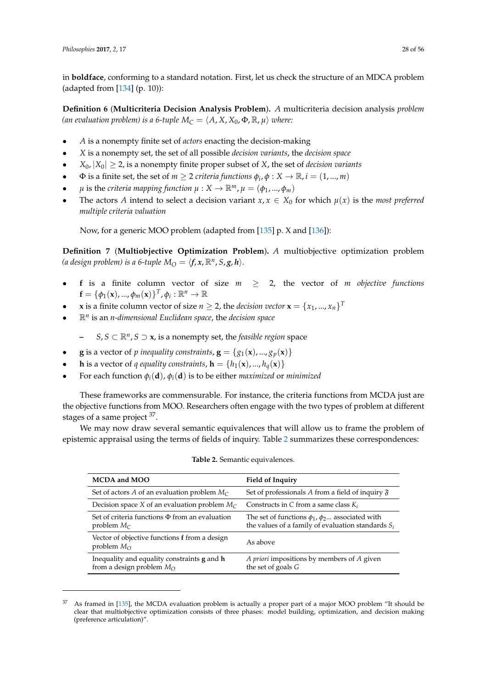in **boldface**, conforming to a standard notation. First, let us check the structure of an MDCA problem (adapted from [\[134\]](#page-53-29) (p. 10)):

**Definition 6** (**Multicriteria Decision Analysis Problem**)**.** *A* multicriteria decision analysis *problem (an evaluation problem) is a 6-tuple*  $M_C = \langle A, X, X_0, \Phi, \mathbb{R}, \mu \rangle$  *where:* 

- *A* is a nonempty finite set of *actors* enacting the decision-making
- *X* is a nonempty set, the set of all possible *decision variants*, the *decision space*
- $|X_0| \geq 2$ , is a nonempty finite proper subset of *X*, the set of *decision variants*
- $\Phi$  is a finite set, the set of  $m \geq 2$  *criteria functions*  $\phi_i$ ,  $\phi: X \to \mathbb{R}$ ,  $i = (1, ..., m)$
- $\mu$  is the *criteria mapping function*  $\mu : X \to \mathbb{R}^m$ ,  $\mu = (\phi_1, ..., \phi_m)$
- The actors *A* intend to select a decision variant  $x, x \in X_0$  for which  $\mu(x)$  is the *most preferred multiple criteria valuation*

Now, for a generic MOO problem (adapted from [\[135\]](#page-53-30) p. X and [\[136\]](#page-54-0)):

**Definition 7** (**Multiobjective Optimization Problem**)**.** *A* multiobjective optimization problem *(a design problem) is a 6-tuple*  $M_O = \langle f, x, \mathbb{R}^n, S, g, h \rangle$ .

- **f** is a finite column vector of size  $m \geq 2$ , the vector of *m* objective functions  $\mathbf{f} = \{\phi_1(\mathbf{x}), ..., \phi_m(\mathbf{x})\}^T, \phi_i : \mathbb{R}^n \to \mathbb{R}$
- **x** is a finite column vector of size  $n \geq 2$ , the *decision vector*  $\mathbf{x} = \{x_1, ..., x_n\}^T$
- R*<sup>n</sup>* is an *n-dimensional Euclidean space*, the *decision space*
	- **–** *S*, *S* ⊂ R*<sup>n</sup>* , *S* ⊃ **x**, is a nonempty set, the *feasible region* space
- **g** is a vector of *p* inequality constraints,  $\mathbf{g} = \{g_1(\mathbf{x}), ..., g_p(\mathbf{x})\}$
- **h** is a vector of *q equality constraints*,  $\mathbf{h} = \{h_1(\mathbf{x}), ..., h_q(\mathbf{x})\}$
- For each function  $\phi_i(\mathbf{d})$ ,  $\phi_i(\mathbf{d})$  is to be either *maximized* or *minimized*

These frameworks are commensurable. For instance, the criteria functions from MCDA just are the objective functions from MOO. Researchers often engage with the two types of problem at different stages of a same project <sup>37</sup>.

<span id="page-27-0"></span>We may now draw several semantic equivalences that will allow us to frame the problem of epistemic appraisal using the terms of fields of inquiry. Table [2](#page-27-0) summarizes these correspondences:

| MCDA and MOO                                                                             | <b>Field of Inquiry</b>                                                                                          |
|------------------------------------------------------------------------------------------|------------------------------------------------------------------------------------------------------------------|
| Set of actors A of an evaluation problem $M_C$                                           | Set of professionals A from a field of inquiry $\mathfrak F$                                                     |
| Decision space X of an evaluation problem $M_C$                                          | Constructs in C from a same class $K_i$                                                                          |
| Set of criteria functions $\Phi$ from an evaluation<br>problem $M_C$                     | The set of functions $\phi_1$ , $\phi_2$ associated with<br>the values of a family of evaluation standards $S_i$ |
| Vector of objective functions f from a design<br>problem $M_{\Omega}$                    | As above                                                                                                         |
| Inequality and equality constraints <b>g</b> and <b>h</b><br>from a design problem $M_O$ | A priori impositions by members of A given<br>the set of goals G                                                 |

**Table 2.** Semantic equivalences.

 $37$  As framed in [\[135\]](#page-53-30), the MCDA evaluation problem is actually a proper part of a major MOO problem "It should be clear that multiobjective optimization consists of three phases: model building, optimization, and decision making (preference articulation)".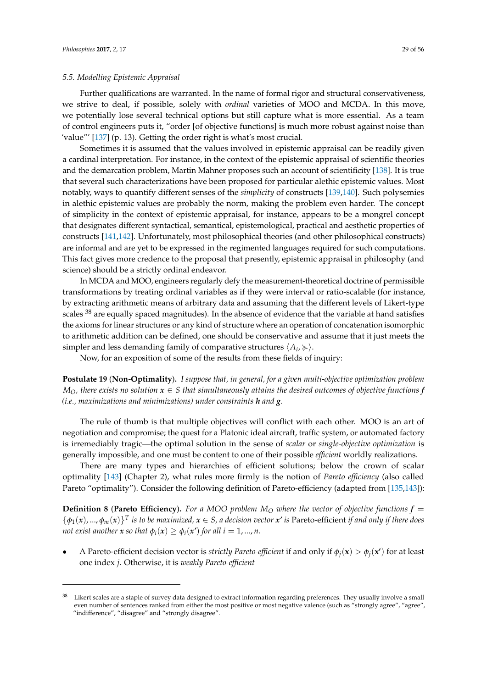#### *5.5. Modelling Epistemic Appraisal*

Further qualifications are warranted. In the name of formal rigor and structural conservativeness, we strive to deal, if possible, solely with *ordinal* varieties of MOO and MCDA. In this move, we potentially lose several technical options but still capture what is more essential. As a team of control engineers puts it, "order [of objective functions] is much more robust against noise than 'value"' [\[137\]](#page-54-1) (p. 13). Getting the order right is what's most crucial.

Sometimes it is assumed that the values involved in epistemic appraisal can be readily given a cardinal interpretation. For instance, in the context of the epistemic appraisal of scientific theories and the demarcation problem, Martin Mahner proposes such an account of scientificity [\[138\]](#page-54-2). It is true that several such characterizations have been proposed for particular alethic epistemic values. Most notably, ways to quantify different senses of the *simplicity* of constructs [\[139](#page-54-3)[,140\]](#page-54-4). Such polysemies in alethic epistemic values are probably the norm, making the problem even harder. The concept of simplicity in the context of epistemic appraisal, for instance, appears to be a mongrel concept that designates different syntactical, semantical, epistemological, practical and aesthetic properties of constructs [\[141](#page-54-5)[,142\]](#page-54-6). Unfortunately, most philosophical theories (and other philosophical constructs) are informal and are yet to be expressed in the regimented languages required for such computations. This fact gives more credence to the proposal that presently, epistemic appraisal in philosophy (and science) should be a strictly ordinal endeavor.

In MCDA and MOO, engineers regularly defy the measurement-theoretical doctrine of permissible transformations by treating ordinal variables as if they were interval or ratio-scalable (for instance, by extracting arithmetic means of arbitrary data and assuming that the different levels of Likert-type scales <sup>38</sup> are equally spaced magnitudes). In the absence of evidence that the variable at hand satisfies the axioms for linear structures or any kind of structure where an operation of concatenation isomorphic to arithmetic addition can be defined, one should be conservative and assume that it just meets the simpler and less demanding family of comparative structures  $\langle A_i, \succcurlyeq \rangle$ .

Now, for an exposition of some of the results from these fields of inquiry:

**Postulate 19** (**Non-Optimality**)**.** *I suppose that, in general, for a given multi-objective optimization problem*  $M_O$ , there exists no solution  $x \in S$  *that simultaneously attains the desired outcomes of objective functions* **f** *(i.e., maximizations and minimizations) under constraints h and g.*

The rule of thumb is that multiple objectives will conflict with each other. MOO is an art of negotiation and compromise; the quest for a Platonic ideal aircraft, traffic system, or automated factory is irremediably tragic—the optimal solution in the sense of *scalar* or *single-objective optimization* is generally impossible, and one must be content to one of their possible *efficient* worldly realizations.

There are many types and hierarchies of efficient solutions; below the crown of scalar optimality [\[143\]](#page-54-7) (Chapter 2), what rules more firmly is the notion of *Pareto efficiency* (also called Pareto "optimality"). Consider the following definition of Pareto-efficiency (adapted from [\[135,](#page-53-30)[143\]](#page-54-7)):

**Definition 8** (**Pareto Efficiency**). For a MOO problem  $M<sub>O</sub>$  where the vector of objective functions  $f =$  $\{\phi_1(x),...,\phi_m(x)\}^T$  is to be maximized,  $x \in S$ , a decision vector  $x'$  is Pareto-efficient *if and only if there does not exist another*  $x$  *so that*  $\phi_i(x) \geq \phi_i(x')$  *for all i* = 1, ..., *n*.

A Pareto-efficient decision vector is *strictly Pareto-efficient* if and only if  $\phi_i(\mathbf{x}) > \phi_i(\mathbf{x}')$  for at least one index *j*. Otherwise, it is *weakly Pareto-efficient*

 $38$  Likert scales are a staple of survey data designed to extract information regarding preferences. They usually involve a small even number of sentences ranked from either the most positive or most negative valence (such as "strongly agree", "agree", "indifference", "disagree" and "strongly disagree".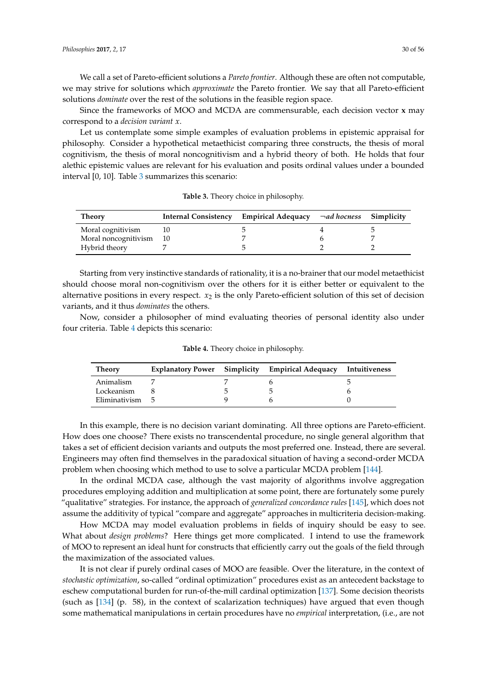We call a set of Pareto-efficient solutions a *Pareto frontier*. Although these are often not computable, we may strive for solutions which *approximate* the Pareto frontier. We say that all Pareto-efficient solutions *dominate* over the rest of the solutions in the feasible region space.

Since the frameworks of MOO and MCDA are commensurable, each decision vector **x** may correspond to a *decision variant x*.

Let us contemplate some simple examples of evaluation problems in epistemic appraisal for philosophy. Consider a hypothetical metaethicist comparing three constructs, the thesis of moral cognitivism, the thesis of moral noncognitivism and a hybrid theory of both. He holds that four alethic epistemic values are relevant for his evaluation and posits ordinal values under a bounded interval [0, 10]. Table [3](#page-29-0) summarizes this scenario:

<span id="page-29-0"></span>

| <b>Theory</b>        | Internal Consistency Empirical Adequacy $\neg ad$ hocness Simplicity |  |
|----------------------|----------------------------------------------------------------------|--|
| Moral cognitivism    |                                                                      |  |
| Moral noncognitivism |                                                                      |  |
| Hybrid theory        |                                                                      |  |

**Table 3.** Theory choice in philosophy.

Starting from very instinctive standards of rationality, it is a no-brainer that our model metaethicist should choose moral non-cognitivism over the others for it is either better or equivalent to the alternative positions in every respect.  $x<sub>2</sub>$  is the only Pareto-efficient solution of this set of decision variants, and it thus *dominates* the others.

<span id="page-29-1"></span>Now, consider a philosopher of mind evaluating theories of personal identity also under four criteria. Table [4](#page-29-1) depicts this scenario:

| Theory          |  | <b>Explanatory Power</b> Simplicity Empirical Adequacy Intuitiveness |  |
|-----------------|--|----------------------------------------------------------------------|--|
| Animalism       |  |                                                                      |  |
| Lockeanism      |  |                                                                      |  |
| Eliminativism 5 |  |                                                                      |  |

**Table 4.** Theory choice in philosophy.

In this example, there is no decision variant dominating. All three options are Pareto-efficient. How does one choose? There exists no transcendental procedure, no single general algorithm that takes a set of efficient decision variants and outputs the most preferred one. Instead, there are several. Engineers may often find themselves in the paradoxical situation of having a second-order MCDA problem when choosing which method to use to solve a particular MCDA problem [\[144\]](#page-54-8).

In the ordinal MCDA case, although the vast majority of algorithms involve aggregation procedures employing addition and multiplication at some point, there are fortunately some purely "qualitative" strategies. For instance, the approach of *generalized concordance rules* [\[145\]](#page-54-9), which does not assume the additivity of typical "compare and aggregate" approaches in multicriteria decision-making.

How MCDA may model evaluation problems in fields of inquiry should be easy to see. What about *design problems*? Here things get more complicated. I intend to use the framework of MOO to represent an ideal hunt for constructs that efficiently carry out the goals of the field through the maximization of the associated values.

It is not clear if purely ordinal cases of MOO are feasible. Over the literature, in the context of *stochastic optimization*, so-called "ordinal optimization" procedures exist as an antecedent backstage to eschew computational burden for run-of-the-mill cardinal optimization [\[137\]](#page-54-1). Some decision theorists (such as [\[134\]](#page-53-29) (p. 58), in the context of scalarization techniques) have argued that even though some mathematical manipulations in certain procedures have no *empirical* interpretation, (i.e., are not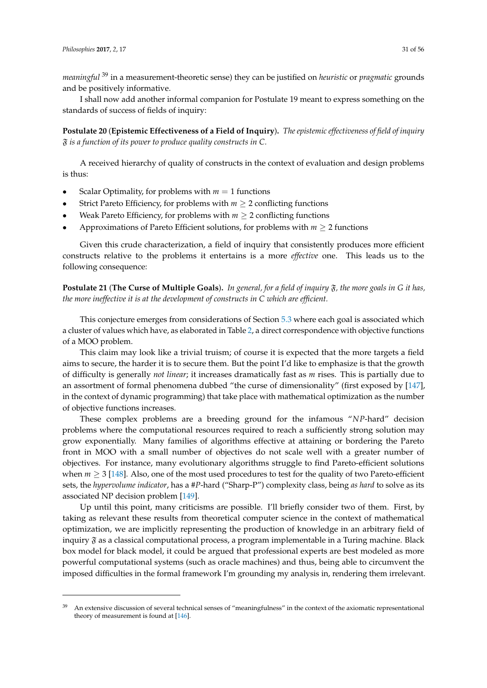*meaningful* <sup>39</sup> in a measurement-theoretic sense) they can be justified on *heuristic* or *pragmatic* grounds and be positively informative.

I shall now add another informal companion for Postulate 19 meant to express something on the standards of success of fields of inquiry:

**Postulate 20** (**Epistemic Effectiveness of a Field of Inquiry**)**.** *The epistemic effectiveness of field of inquiry* F *is a function of its power to produce quality constructs in C.*

A received hierarchy of quality of constructs in the context of evaluation and design problems is thus:

- Scalar Optimality, for problems with  $m = 1$  functions
- Strict Pareto Efficiency, for problems with  $m \geq 2$  conflicting functions
- Weak Pareto Efficiency, for problems with  $m \geq 2$  conflicting functions
- Approximations of Pareto Efficient solutions, for problems with  $m \geq 2$  functions

Given this crude characterization, a field of inquiry that consistently produces more efficient constructs relative to the problems it entertains is a more *effective* one. This leads us to the following consequence:

**Postulate 21** (**The Curse of Multiple Goals**)**.** *In general, for a field of inquiry* F*, the more goals in G it has, the more ineffective it is at the development of constructs in C which are efficient.*

This conjecture emerges from considerations of Section [5.3](#page-24-0) where each goal is associated which a cluster of values which have, as elaborated in Table [2,](#page-27-0) a direct correspondence with objective functions of a MOO problem.

This claim may look like a trivial truism; of course it is expected that the more targets a field aims to secure, the harder it is to secure them. But the point I'd like to emphasize is that the growth of difficulty is generally *not linear*; it increases dramatically fast as *m* rises. This is partially due to an assortment of formal phenomena dubbed "the curse of dimensionality" (first exposed by [\[147\]](#page-54-10), in the context of dynamic programming) that take place with mathematical optimization as the number of objective functions increases.

These complex problems are a breeding ground for the infamous "*NP*-hard" decision problems where the computational resources required to reach a sufficiently strong solution may grow exponentially. Many families of algorithms effective at attaining or bordering the Pareto front in MOO with a small number of objectives do not scale well with a greater number of objectives. For instance, many evolutionary algorithms struggle to find Pareto-efficient solutions when  $m \geq 3$  [\[148\]](#page-54-11). Also, one of the most used procedures to test for the quality of two Pareto-efficient sets, the *hypervolume indicator*, has a #*P*-hard ("Sharp-P") complexity class, being *as hard* to solve as its associated NP decision problem [\[149\]](#page-54-12).

Up until this point, many criticisms are possible. I'll briefly consider two of them. First, by taking as relevant these results from theoretical computer science in the context of mathematical optimization, we are implicitly representing the production of knowledge in an arbitrary field of inquiry  $\tilde{y}$  as a classical computational process, a program implementable in a Turing machine. Black box model for black model, it could be argued that professional experts are best modeled as more powerful computational systems (such as oracle machines) and thus, being able to circumvent the imposed difficulties in the formal framework I'm grounding my analysis in, rendering them irrelevant.

<sup>39</sup> An extensive discussion of several technical senses of "meaningfulness" in the context of the axiomatic representational theory of measurement is found at [\[146\]](#page-54-13).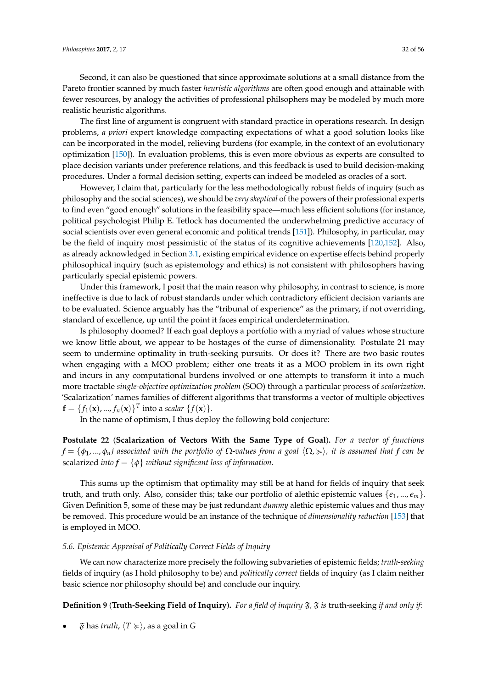Second, it can also be questioned that since approximate solutions at a small distance from the Pareto frontier scanned by much faster *heuristic algorithms* are often good enough and attainable with fewer resources, by analogy the activities of professional philsophers may be modeled by much more realistic heuristic algorithms.

The first line of argument is congruent with standard practice in operations research. In design problems, *a priori* expert knowledge compacting expectations of what a good solution looks like can be incorporated in the model, relieving burdens (for example, in the context of an evolutionary optimization [\[150\]](#page-54-14)). In evaluation problems, this is even more obvious as experts are consulted to place decision variants under preference relations, and this feedback is used to build decision-making procedures. Under a formal decision setting, experts can indeed be modeled as oracles of a sort.

However, I claim that, particularly for the less methodologically robust fields of inquiry (such as philosophy and the social sciences), we should be *very skeptical* of the powers of their professional experts to find even "good enough" solutions in the feasibility space—much less efficient solutions (for instance, political psychologist Philip E. Tetlock has documented the underwhelming predictive accuracy of social scientists over even general economic and political trends [\[151\]](#page-54-15)). Philosophy, in particular, may be the field of inquiry most pessimistic of the status of its cognitive achievements [\[120,](#page-53-16)[152\]](#page-54-16). Also, as already acknowledged in Section [3.1,](#page-5-0) existing empirical evidence on expertise effects behind properly philosophical inquiry (such as epistemology and ethics) is not consistent with philosophers having particularly special epistemic powers.

Under this framework, I posit that the main reason why philosophy, in contrast to science, is more ineffective is due to lack of robust standards under which contradictory efficient decision variants are to be evaluated. Science arguably has the "tribunal of experience" as the primary, if not overriding, standard of excellence, up until the point it faces empirical underdetermination.

Is philosophy doomed? If each goal deploys a portfolio with a myriad of values whose structure we know little about, we appear to be hostages of the curse of dimensionality. Postulate 21 may seem to undermine optimality in truth-seeking pursuits. Or does it? There are two basic routes when engaging with a MOO problem; either one treats it as a MOO problem in its own right and incurs in any computational burdens involved or one attempts to transform it into a much more tractable *single-objective optimization problem* (SOO) through a particular process of *scalarization*. 'Scalarization' names families of different algorithms that transforms a vector of multiple objectives  $\mathbf{f} = \{f_1(\mathbf{x}), ..., f_n(\mathbf{x})\}^T$  into a *scalar*  $\{f(\mathbf{x})\}.$ 

In the name of optimism, I thus deploy the following bold conjecture:

**Postulate 22** (**Scalarization of Vectors With the Same Type of Goal**)**.** *For a vector of functions*  $f = \{\phi_1, ..., \phi_n\}$  associated with the portfolio of  $\Omega$ -values from a goal  $\langle \Omega, \succcurlyeq \rangle$ , it is assumed that *f* can be scalarized *into*  $f = \{\phi\}$  *without significant loss of information.* 

This sums up the optimism that optimality may still be at hand for fields of inquiry that seek truth, and truth only. Also, consider this; take our portfolio of alethic epistemic values  $\{\epsilon_1, ..., \epsilon_m\}$ . Given Definition 5, some of these may be just redundant *dummy* alethic epistemic values and thus may be removed. This procedure would be an instance of the technique of *dimensionality reduction* [\[153\]](#page-54-17) that is employed in MOO.

## *5.6. Epistemic Appraisal of Politically Correct Fields of Inquiry*

We can now characterize more precisely the following subvarieties of epistemic fields; *truth-seeking* fields of inquiry (as I hold philosophy to be) and *politically correct* fields of inquiry (as I claim neither basic science nor philosophy should be) and conclude our inquiry.

**Definition 9** (**Truth-Seeking Field of Inquiry**)**.** *For a field of inquiry* F*,* F *is* truth-seeking *if and only if:*

 $\mathfrak F$  has *truth*,  $\langle T \succcurlyeq \rangle$ , as a goal in *G*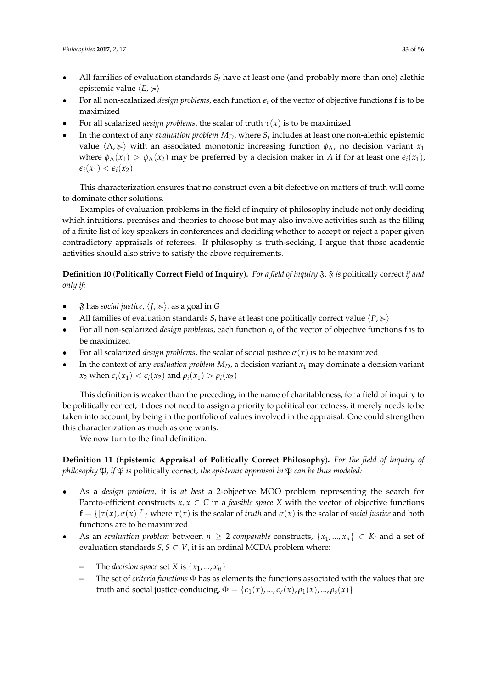- All families of evaluation standards  $S_i$  have at least one (and probably more than one) alethic epistemic value  $\langle E, \succcurlyeq \rangle$
- For all non-scalarized *design problems*, each function *e<sup>i</sup>* of the vector of objective functions **f** is to be maximized
- For all scalarized *design problems*, the scalar of truth  $\tau(x)$  is to be maximized
- In the context of any *evaluation problem*  $M_D$ , where  $S_i$  includes at least one non-alethic epistemic value  $\langle \Lambda \rangle \geq 0$  with an associated monotonic increasing function  $\phi_\Lambda$ , no decision variant *x*<sub>1</sub> where  $\phi_{\Lambda}(x_1) > \phi_{\Lambda}(x_2)$  may be preferred by a decision maker in *A* if for at least one  $\epsilon_i(x_1)$ ,  $\epsilon_i(x_1) < \epsilon_i(x_2)$

This characterization ensures that no construct even a bit defective on matters of truth will come to dominate other solutions.

Examples of evaluation problems in the field of inquiry of philosophy include not only deciding which intuitions, premises and theories to choose but may also involve activities such as the filling of a finite list of key speakers in conferences and deciding whether to accept or reject a paper given contradictory appraisals of referees. If philosophy is truth-seeking, I argue that those academic activities should also strive to satisfy the above requirements.

**Definition 10** (**Politically Correct Field of Inquiry**). For a field of inquiry  $\mathfrak{F}$ ,  $\mathfrak{F}$  is politically correct *if and only if:*

- $\mathfrak F$  has *social justice*,  $\langle J, \succcurlyeq \rangle$ , as a goal in G
- All families of evaluation standards  $S_i$  have at least one politically correct value  $\langle P, \rangle$
- For all non-scalarized *design problems*, each function *ρ<sup>i</sup>* of the vector of objective functions **f** is to be maximized
- For all scalarized *design problems*, the scalar of social justice  $\sigma(x)$  is to be maximized
- In the context of any *evaluation problem*  $M_D$ , a decision variant  $x_1$  may dominate a decision variant *x*<sub>2</sub> when  $\epsilon_i(x_1) < \epsilon_i(x_2)$  and  $\rho_i(x_1) > \rho_i(x_2)$

This definition is weaker than the preceding, in the name of charitableness; for a field of inquiry to be politically correct, it does not need to assign a priority to political correctness; it merely needs to be taken into account, by being in the portfolio of values involved in the appraisal. One could strengthen this characterization as much as one wants.

We now turn to the final definition:

**Definition 11** (**Epistemic Appraisal of Politically Correct Philosophy**)**.** *For the field of inquiry of philosophy*  $\mathfrak{P}$ *, if*  $\mathfrak{P}$  *is* politically correct*, the epistemic appraisal in*  $\mathfrak{P}$  *can be thus modeled:* 

- As a *design problem*, it is *at best* a 2-objective MOO problem representing the search for Pareto-efficient constructs  $x, x \in C$  in a *feasible space*  $X$  with the vector of objective functions  $f = \{[\tau(x), \sigma(x)]^T\}$  where  $\tau(x)$  is the scalar of *truth* and  $\sigma(x)$  is the scalar of *social justice* and both functions are to be maximized
- As an *evaluation problem* between  $n \geq 2$  *comparable* constructs,  $\{x_1, ..., x_n\} \in K_i$  and a set of evaluation standards  $S, S \subset V$ , it is an ordinal MCDA problem where:
	- The *decision space* set *X* is  $\{x_1, \ldots, x_n\}$
	- **–** The set of *criteria functions* Φ has as elements the functions associated with the values that are truth and social justice-conducing,  $\Phi = {\epsilon_1(x), ..., \epsilon_r(x), \rho_1(x), ..., \rho_s(x)}$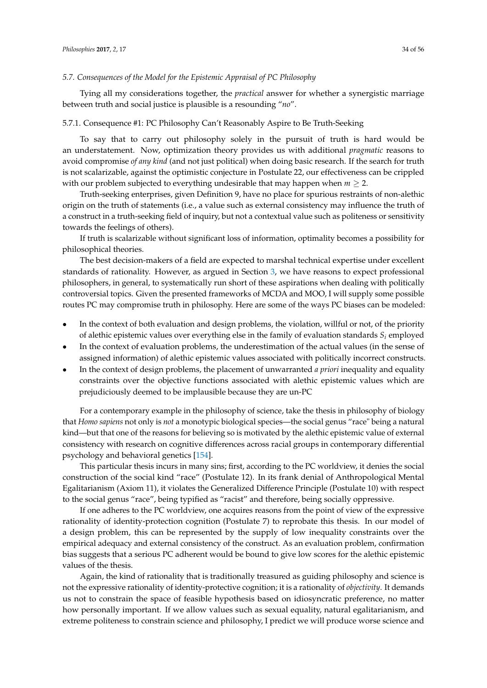#### *5.7. Consequences of the Model for the Epistemic Appraisal of PC Philosophy*

Tying all my considerations together, the *practical* answer for whether a synergistic marriage between truth and social justice is plausible is a resounding "*no*".

#### 5.7.1. Consequence #1: PC Philosophy Can't Reasonably Aspire to Be Truth-Seeking

To say that to carry out philosophy solely in the pursuit of truth is hard would be an understatement. Now, optimization theory provides us with additional *pragmatic* reasons to avoid compromise *of any kind* (and not just political) when doing basic research. If the search for truth is not scalarizable, against the optimistic conjecture in Postulate 22, our effectiveness can be crippled with our problem subjected to everything undesirable that may happen when  $m \geq 2$ .

Truth-seeking enterprises, given Definition 9, have no place for spurious restraints of non-alethic origin on the truth of statements (i.e., a value such as external consistency may influence the truth of a construct in a truth-seeking field of inquiry, but not a contextual value such as politeness or sensitivity towards the feelings of others).

If truth is scalarizable without significant loss of information, optimality becomes a possibility for philosophical theories.

The best decision-makers of a field are expected to marshal technical expertise under excellent standards of rationality. However, as argued in Section [3,](#page-4-0) we have reasons to expect professional philosophers, in general, to systematically run short of these aspirations when dealing with politically controversial topics. Given the presented frameworks of MCDA and MOO, I will supply some possible routes PC may compromise truth in philosophy. Here are some of the ways PC biases can be modeled:

- In the context of both evaluation and design problems, the violation, willful or not, of the priority of alethic epistemic values over everything else in the family of evaluation standards *S<sup>i</sup>* employed
- In the context of evaluation problems, the underestimation of the actual values (in the sense of assigned information) of alethic epistemic values associated with politically incorrect constructs.
- In the context of design problems, the placement of unwarranted *a priori* inequality and equality constraints over the objective functions associated with alethic epistemic values which are prejudiciously deemed to be implausible because they are un-PC

For a contemporary example in the philosophy of science, take the thesis in philosophy of biology that *Homo sapiens* not only is *not* a monotypic biological species—the social genus "race" being a natural kind—but that one of the reasons for believing so is motivated by the alethic epistemic value of external consistency with research on cognitive differences across racial groups in contemporary differential psychology and behavioral genetics [\[154\]](#page-54-18).

This particular thesis incurs in many sins; first, according to the PC worldview, it denies the social construction of the social kind "race" (Postulate 12). In its frank denial of Anthropological Mental Egalitarianism (Axiom 11), it violates the Generalized Difference Principle (Postulate 10) with respect to the social genus "race", being typified as "racist" and therefore, being socially oppressive.

If one adheres to the PC worldview, one acquires reasons from the point of view of the expressive rationality of identity-protection cognition (Postulate 7) to reprobate this thesis. In our model of a design problem, this can be represented by the supply of low inequality constraints over the empirical adequacy and external consistency of the construct. As an evaluation problem, confirmation bias suggests that a serious PC adherent would be bound to give low scores for the alethic epistemic values of the thesis.

Again, the kind of rationality that is traditionally treasured as guiding philosophy and science is not the expressive rationality of identity-protective cognition; it is a rationality of *objectivity*. It demands us not to constrain the space of feasible hypothesis based on idiosyncratic preference, no matter how personally important. If we allow values such as sexual equality, natural egalitarianism, and extreme politeness to constrain science and philosophy, I predict we will produce worse science and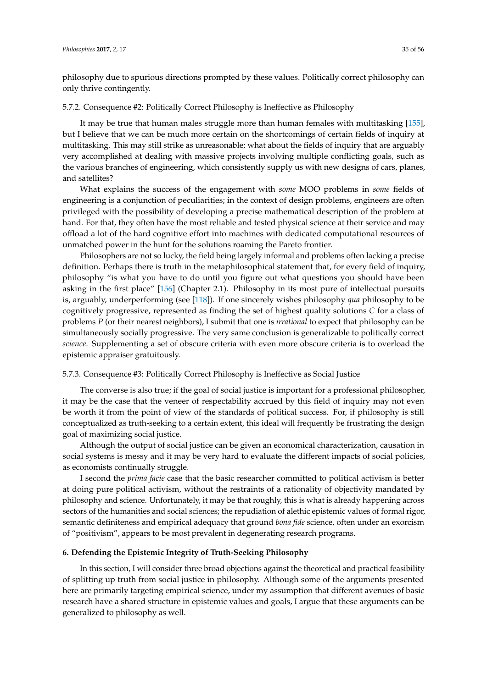philosophy due to spurious directions prompted by these values. Politically correct philosophy can only thrive contingently.

#### 5.7.2. Consequence #2: Politically Correct Philosophy is Ineffective as Philosophy

It may be true that human males struggle more than human females with multitasking [\[155\]](#page-54-19), but I believe that we can be much more certain on the shortcomings of certain fields of inquiry at multitasking. This may still strike as unreasonable; what about the fields of inquiry that are arguably very accomplished at dealing with massive projects involving multiple conflicting goals, such as the various branches of engineering, which consistently supply us with new designs of cars, planes, and satellites?

What explains the success of the engagement with *some* MOO problems in *some* fields of engineering is a conjunction of peculiarities; in the context of design problems, engineers are often privileged with the possibility of developing a precise mathematical description of the problem at hand. For that, they often have the most reliable and tested physical science at their service and may offload a lot of the hard cognitive effort into machines with dedicated computational resources of unmatched power in the hunt for the solutions roaming the Pareto frontier.

Philosophers are not so lucky, the field being largely informal and problems often lacking a precise definition. Perhaps there is truth in the metaphilosophical statement that, for every field of inquiry, philosophy "is what you have to do until you figure out what questions you should have been asking in the first place" [\[156\]](#page-54-20) (Chapter 2.1). Philosophy in its most pure of intellectual pursuits is, arguably, underperforming (see [\[118\]](#page-53-13)). If one sincerely wishes philosophy *qua* philosophy to be cognitively progressive, represented as finding the set of highest quality solutions *C* for a class of problems *P* (or their nearest neighbors), I submit that one is *irrational* to expect that philosophy can be simultaneously socially progressive. The very same conclusion is generalizable to politically correct *science*. Supplementing a set of obscure criteria with even more obscure criteria is to overload the epistemic appraiser gratuitously.

## 5.7.3. Consequence #3: Politically Correct Philosophy is Ineffective as Social Justice

The converse is also true; if the goal of social justice is important for a professional philosopher, it may be the case that the veneer of respectability accrued by this field of inquiry may not even be worth it from the point of view of the standards of political success. For, if philosophy is still conceptualized as truth-seeking to a certain extent, this ideal will frequently be frustrating the design goal of maximizing social justice.

Although the output of social justice can be given an economical characterization, causation in social systems is messy and it may be very hard to evaluate the different impacts of social policies, as economists continually struggle.

I second the *prima facie* case that the basic researcher committed to political activism is better at doing pure political activism, without the restraints of a rationality of objectivity mandated by philosophy and science. Unfortunately, it may be that roughly, this is what is already happening across sectors of the humanities and social sciences; the repudiation of alethic epistemic values of formal rigor, semantic definiteness and empirical adequacy that ground *bona fide* science, often under an exorcism of "positivism", appears to be most prevalent in degenerating research programs.

# <span id="page-34-0"></span>**6. Defending the Epistemic Integrity of Truth-Seeking Philosophy**

In this section, I will consider three broad objections against the theoretical and practical feasibility of splitting up truth from social justice in philosophy. Although some of the arguments presented here are primarily targeting empirical science, under my assumption that different avenues of basic research have a shared structure in epistemic values and goals, I argue that these arguments can be generalized to philosophy as well.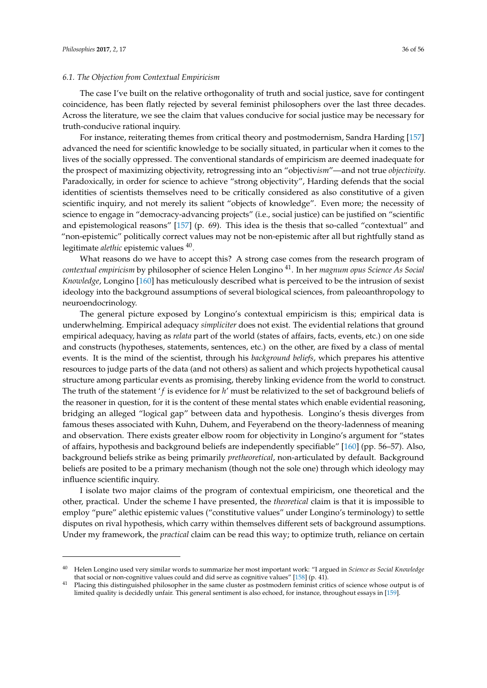#### *6.1. The Objection from Contextual Empiricism*

The case I've built on the relative orthogonality of truth and social justice, save for contingent coincidence, has been flatly rejected by several feminist philosophers over the last three decades. Across the literature, we see the claim that values conducive for social justice may be necessary for truth-conducive rational inquiry.

For instance, reiterating themes from critical theory and postmodernism, Sandra Harding [\[157\]](#page-54-21) advanced the need for scientific knowledge to be socially situated, in particular when it comes to the lives of the socially oppressed. The conventional standards of empiricism are deemed inadequate for the prospect of maximizing objectivity, retrogressing into an "objectiv*ism*"—and not true *objectivity*. Paradoxically, in order for science to achieve "strong objectivity", Harding defends that the social identities of scientists themselves need to be critically considered as also constitutive of a given scientific inquiry, and not merely its salient "objects of knowledge". Even more; the necessity of science to engage in "democracy-advancing projects" (i.e., social justice) can be justified on "scientific and epistemological reasons" [\[157\]](#page-54-21) (p. 69). This idea is the thesis that so-called "contextual" and "non-epistemic" politically correct values may not be non-epistemic after all but rightfully stand as legitimate *alethic* epistemic values <sup>40</sup>.

What reasons do we have to accept this? A strong case comes from the research program of *contextual empiricism* by philosopher of science Helen Longino <sup>41</sup>. In her *magnum opus Science As Social Knowledge*, Longino [\[160\]](#page-54-22) has meticulously described what is perceived to be the intrusion of sexist ideology into the background assumptions of several biological sciences, from paleoanthropology to neuroendocrinology.

The general picture exposed by Longino's contextual empiricism is this; empirical data is underwhelming. Empirical adequacy *simpliciter* does not exist. The evidential relations that ground empirical adequacy, having as *relata* part of the world (states of affairs, facts, events, etc.) on one side and constructs (hypotheses, statements, sentences, etc.) on the other, are fixed by a class of mental events. It is the mind of the scientist, through his *background beliefs*, which prepares his attentive resources to judge parts of the data (and not others) as salient and which projects hypothetical causal structure among particular events as promising, thereby linking evidence from the world to construct. The truth of the statement 'f is evidence for h' must be relativized to the set of background beliefs of the reasoner in question, for it is the content of these mental states which enable evidential reasoning, bridging an alleged "logical gap" between data and hypothesis. Longino's thesis diverges from famous theses associated with Kuhn, Duhem, and Feyerabend on the theory-ladenness of meaning and observation. There exists greater elbow room for objectivity in Longino's argument for "states of affairs, hypothesis and background beliefs are independently specifiable" [\[160\]](#page-54-22) (pp. 56–57). Also, background beliefs strike as being primarily *pretheoretical*, non-articulated by default. Background beliefs are posited to be a primary mechanism (though not the sole one) through which ideology may influence scientific inquiry.

I isolate two major claims of the program of contextual empiricism, one theoretical and the other, practical. Under the scheme I have presented, the *theoretical* claim is that it is impossible to employ "pure" alethic epistemic values ("constitutive values" under Longino's terminology) to settle disputes on rival hypothesis, which carry within themselves different sets of background assumptions. Under my framework, the *practical* claim can be read this way; to optimize truth, reliance on certain

<sup>40</sup> Helen Longino used very similar words to summarize her most important work: "I argued in *Science as Social Knowledge* that social or non-cognitive values could and did serve as cognitive values" [\[158\]](#page-54-23) (p. 41).

<sup>&</sup>lt;sup>41</sup> Placing this distinguished philosopher in the same cluster as postmodern feminist critics of science whose output is of limited quality is decidedly unfair. This general sentiment is also echoed, for instance, throughout essays in [\[159\]](#page-54-24).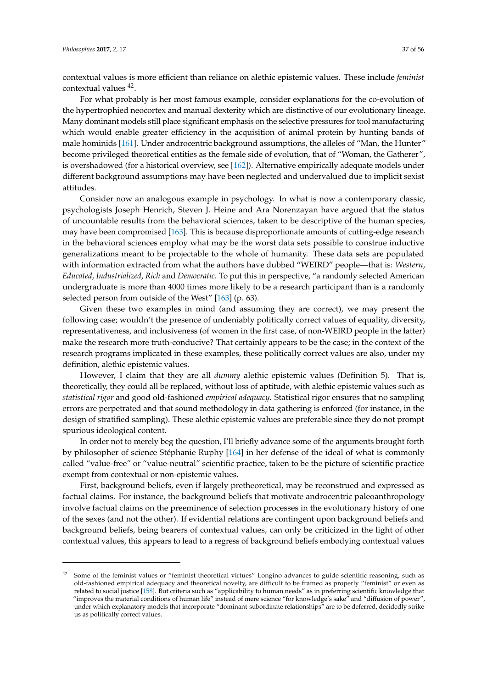contextual values is more efficient than reliance on alethic epistemic values. These include *feminist* contextual values <sup>42</sup> .

For what probably is her most famous example, consider explanations for the co-evolution of the hypertrophied neocortex and manual dexterity which are distinctive of our evolutionary lineage. Many dominant models still place significant emphasis on the selective pressures for tool manufacturing which would enable greater efficiency in the acquisition of animal protein by hunting bands of male hominids [\[161\]](#page-55-0). Under androcentric background assumptions, the alleles of "Man, the Hunter" become privileged theoretical entities as the female side of evolution, that of "Woman, the Gatherer", is overshadowed (for a historical overview, see [\[162\]](#page-55-1)). Alternative empirically adequate models under different background assumptions may have been neglected and undervalued due to implicit sexist attitudes.

Consider now an analogous example in psychology. In what is now a contemporary classic, psychologists Joseph Henrich, Steven J. Heine and Ara Norenzayan have argued that the status of uncountable results from the behavioral sciences, taken to be descriptive of the human species, may have been compromised [\[163\]](#page-55-2). This is because disproportionate amounts of cutting-edge research in the behavioral sciences employ what may be the worst data sets possible to construe inductive generalizations meant to be projectable to the whole of humanity. These data sets are populated with information extracted from what the authors have dubbed "WEIRD" people—that is: *Western*, *Educated*, *Industrialized*, *Rich* and *Democratic*. To put this in perspective, "a randomly selected American undergraduate is more than 4000 times more likely to be a research participant than is a randomly selected person from outside of the West" [\[163\]](#page-55-2) (p. 63).

Given these two examples in mind (and assuming they are correct), we may present the following case; wouldn't the presence of undeniably politically correct values of equality, diversity, representativeness, and inclusiveness (of women in the first case, of non-WEIRD people in the latter) make the research more truth-conducive? That certainly appears to be the case; in the context of the research programs implicated in these examples, these politically correct values are also, under my definition, alethic epistemic values.

However, I claim that they are all *dummy* alethic epistemic values (Definition 5). That is, theoretically, they could all be replaced, without loss of aptitude, with alethic epistemic values such as *statistical rigor* and good old-fashioned *empirical adequacy*. Statistical rigor ensures that no sampling errors are perpetrated and that sound methodology in data gathering is enforced (for instance, in the design of stratified sampling). These alethic epistemic values are preferable since they do not prompt spurious ideological content.

In order not to merely beg the question, I'll briefly advance some of the arguments brought forth by philosopher of science Stéphanie Ruphy [\[164\]](#page-55-3) in her defense of the ideal of what is commonly called "value-free" or "value-neutral" scientific practice, taken to be the picture of scientific practice exempt from contextual or non-epistemic values.

First, background beliefs, even if largely pretheoretical, may be reconstrued and expressed as factual claims. For instance, the background beliefs that motivate androcentric paleoanthropology involve factual claims on the preeminence of selection processes in the evolutionary history of one of the sexes (and not the other). If evidential relations are contingent upon background beliefs and background beliefs, being bearers of contextual values, can only be criticized in the light of other contextual values, this appears to lead to a regress of background beliefs embodying contextual values

 $42$  Some of the feminist values or "feminist theoretical virtues" Longino advances to guide scientific reasoning, such as old-fashioned empirical adequacy and theoretical novelty, are difficult to be framed as properly "feminist" or even as related to social justice [\[158\]](#page-54-23). But criteria such as "applicability to human needs" as in preferring scientific knowledge that "improves the material conditions of human life" instead of mere science "for knowledge's sake" and "diffusion of power", under which explanatory models that incorporate "dominant-subordinate relationships" are to be deferred, decidedly strike us as politically correct values.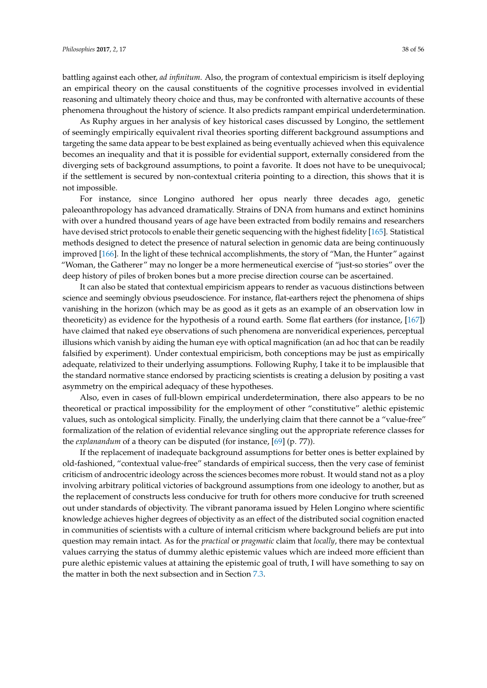battling against each other, *ad infinitum*. Also, the program of contextual empiricism is itself deploying an empirical theory on the causal constituents of the cognitive processes involved in evidential reasoning and ultimately theory choice and thus, may be confronted with alternative accounts of these phenomena throughout the history of science. It also predicts rampant empirical underdetermination.

As Ruphy argues in her analysis of key historical cases discussed by Longino, the settlement of seemingly empirically equivalent rival theories sporting different background assumptions and targeting the same data appear to be best explained as being eventually achieved when this equivalence becomes an inequality and that it is possible for evidential support, externally considered from the diverging sets of background assumptions, to point a favorite. It does not have to be unequivocal; if the settlement is secured by non-contextual criteria pointing to a direction, this shows that it is not impossible.

For instance, since Longino authored her opus nearly three decades ago, genetic paleoanthropology has advanced dramatically. Strains of DNA from humans and extinct hominins with over a hundred thousand years of age have been extracted from bodily remains and researchers have devised strict protocols to enable their genetic sequencing with the highest fidelity [\[165\]](#page-55-4). Statistical methods designed to detect the presence of natural selection in genomic data are being continuously improved [\[166\]](#page-55-5). In the light of these technical accomplishments, the story of "Man, the Hunter" against "Woman, the Gatherer" may no longer be a more hermeneutical exercise of "just-so stories" over the deep history of piles of broken bones but a more precise direction course can be ascertained.

It can also be stated that contextual empiricism appears to render as vacuous distinctions between science and seemingly obvious pseudoscience. For instance, flat-earthers reject the phenomena of ships vanishing in the horizon (which may be as good as it gets as an example of an observation low in theoreticity) as evidence for the hypothesis of a round earth. Some flat earthers (for instance, [\[167\]](#page-55-6)) have claimed that naked eye observations of such phenomena are nonveridical experiences, perceptual illusions which vanish by aiding the human eye with optical magnification (an ad hoc that can be readily falsified by experiment). Under contextual empiricism, both conceptions may be just as empirically adequate, relativized to their underlying assumptions. Following Ruphy, I take it to be implausible that the standard normative stance endorsed by practicing scientists is creating a delusion by positing a vast asymmetry on the empirical adequacy of these hypotheses.

Also, even in cases of full-blown empirical underdetermination, there also appears to be no theoretical or practical impossibility for the employment of other "constitutive" alethic epistemic values, such as ontological simplicity. Finally, the underlying claim that there cannot be a "value-free" formalization of the relation of evidential relevance singling out the appropriate reference classes for the *explanandum* of a theory can be disputed (for instance, [\[69\]](#page-51-26) (p. 77)).

If the replacement of inadequate background assumptions for better ones is better explained by old-fashioned, "contextual value-free" standards of empirical success, then the very case of feminist criticism of androcentric ideology across the sciences becomes more robust. It would stand not as a ploy involving arbitrary political victories of background assumptions from one ideology to another, but as the replacement of constructs less conducive for truth for others more conducive for truth screened out under standards of objectivity. The vibrant panorama issued by Helen Longino where scientific knowledge achieves higher degrees of objectivity as an effect of the distributed social cognition enacted in communities of scientists with a culture of internal criticism where background beliefs are put into question may remain intact. As for the *practical* or *pragmatic* claim that *locally*, there may be contextual values carrying the status of dummy alethic epistemic values which are indeed more efficient than pure alethic epistemic values at attaining the epistemic goal of truth, I will have something to say on the matter in both the next subsection and in Section [7.3.](#page-42-0)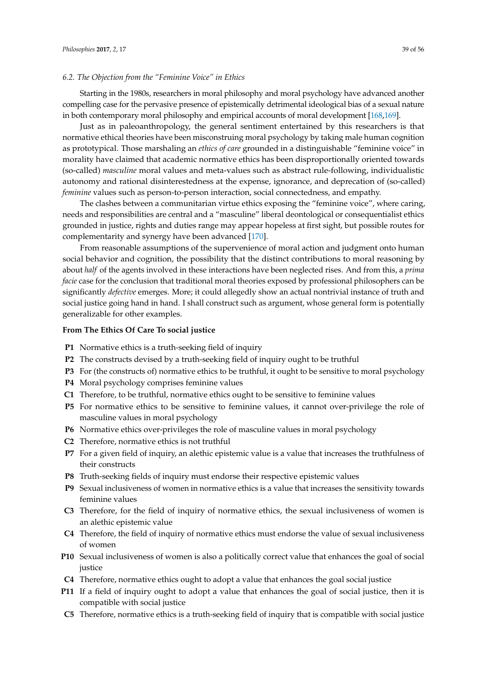#### <span id="page-38-0"></span>*6.2. The Objection from the "Feminine Voice" in Ethics*

Starting in the 1980s, researchers in moral philosophy and moral psychology have advanced another compelling case for the pervasive presence of epistemically detrimental ideological bias of a sexual nature in both contemporary moral philosophy and empirical accounts of moral development [\[168,](#page-55-7)[169\]](#page-55-8).

Just as in paleoanthropology, the general sentiment entertained by this researchers is that normative ethical theories have been misconstruing moral psychology by taking male human cognition as prototypical. Those marshaling an *ethics of care* grounded in a distinguishable "feminine voice" in morality have claimed that academic normative ethics has been disproportionally oriented towards (so-called) *masculine* moral values and meta-values such as abstract rule-following, individualistic autonomy and rational disinterestedness at the expense, ignorance, and deprecation of (so-called) *feminine* values such as person-to-person interaction, social connectedness, and empathy.

The clashes between a communitarian virtue ethics exposing the "feminine voice", where caring, needs and responsibilities are central and a "masculine" liberal deontological or consequentialist ethics grounded in justice, rights and duties range may appear hopeless at first sight, but possible routes for complementarity and synergy have been advanced [\[170\]](#page-55-9).

From reasonable assumptions of the supervenience of moral action and judgment onto human social behavior and cognition, the possibility that the distinct contributions to moral reasoning by about *half* of the agents involved in these interactions have been neglected rises. And from this, a *prima facie* case for the conclusion that traditional moral theories exposed by professional philosophers can be significantly *defective* emerges. More; it could allegedly show an actual nontrivial instance of truth and social justice going hand in hand. I shall construct such as argument, whose general form is potentially generalizable for other examples.

## **From The Ethics Of Care To social justice**

- **P1** Normative ethics is a truth-seeking field of inquiry
- **P2** The constructs devised by a truth-seeking field of inquiry ought to be truthful
- **P3** For (the constructs of) normative ethics to be truthful, it ought to be sensitive to moral psychology
- **P4** Moral psychology comprises feminine values
- **C1** Therefore, to be truthful, normative ethics ought to be sensitive to feminine values
- **P5** For normative ethics to be sensitive to feminine values, it cannot over-privilege the role of masculine values in moral psychology
- **P6** Normative ethics over-privileges the role of masculine values in moral psychology
- **C2** Therefore, normative ethics is not truthful
- **P7** For a given field of inquiry, an alethic epistemic value is a value that increases the truthfulness of their constructs
- **P8** Truth-seeking fields of inquiry must endorse their respective epistemic values
- **P9** Sexual inclusiveness of women in normative ethics is a value that increases the sensitivity towards feminine values
- **C3** Therefore, for the field of inquiry of normative ethics, the sexual inclusiveness of women is an alethic epistemic value
- **C4** Therefore, the field of inquiry of normative ethics must endorse the value of sexual inclusiveness of women
- **P10** Sexual inclusiveness of women is also a politically correct value that enhances the goal of social justice
- **C4** Therefore, normative ethics ought to adopt a value that enhances the goal social justice
- **P11** If a field of inquiry ought to adopt a value that enhances the goal of social justice, then it is compatible with social justice
- **C5** Therefore, normative ethics is a truth-seeking field of inquiry that is compatible with social justice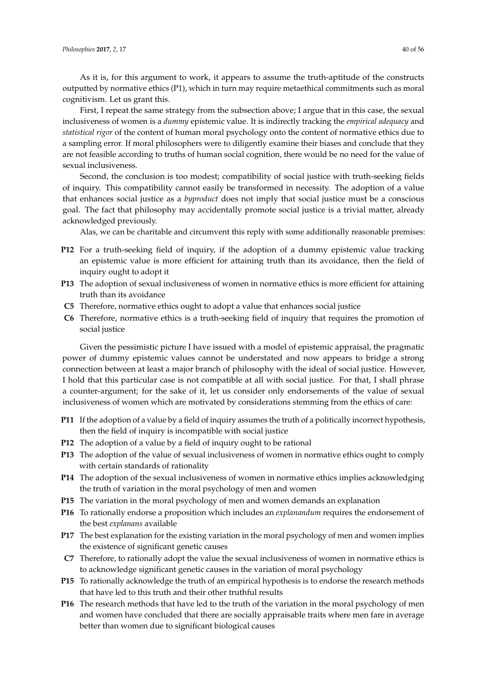As it is, for this argument to work, it appears to assume the truth-aptitude of the constructs outputted by normative ethics (P1), which in turn may require metaethical commitments such as moral cognitivism. Let us grant this.

First, I repeat the same strategy from the subsection above; I argue that in this case, the sexual inclusiveness of women is a *dummy* epistemic value. It is indirectly tracking the *empirical adequacy* and *statistical rigor* of the content of human moral psychology onto the content of normative ethics due to a sampling error. If moral philosophers were to diligently examine their biases and conclude that they are not feasible according to truths of human social cognition, there would be no need for the value of sexual inclusiveness.

Second, the conclusion is too modest; compatibility of social justice with truth-seeking fields of inquiry. This compatibility cannot easily be transformed in necessity. The adoption of a value that enhances social justice as a *byproduct* does not imply that social justice must be a conscious goal. The fact that philosophy may accidentally promote social justice is a trivial matter, already acknowledged previously.

Alas, we can be charitable and circumvent this reply with some additionally reasonable premises:

- **P12** For a truth-seeking field of inquiry, if the adoption of a dummy epistemic value tracking an epistemic value is more efficient for attaining truth than its avoidance, then the field of inquiry ought to adopt it
- **P13** The adoption of sexual inclusiveness of women in normative ethics is more efficient for attaining truth than its avoidance
- **C5** Therefore, normative ethics ought to adopt a value that enhances social justice
- **C6** Therefore, normative ethics is a truth-seeking field of inquiry that requires the promotion of social justice

Given the pessimistic picture I have issued with a model of epistemic appraisal, the pragmatic power of dummy epistemic values cannot be understated and now appears to bridge a strong connection between at least a major branch of philosophy with the ideal of social justice. However, I hold that this particular case is not compatible at all with social justice. For that, I shall phrase a counter-argument; for the sake of it, let us consider only endorsements of the value of sexual inclusiveness of women which are motivated by considerations stemming from the ethics of care:

- **P11** If the adoption of a value by a field of inquiry assumes the truth of a politically incorrect hypothesis, then the field of inquiry is incompatible with social justice
- **P12** The adoption of a value by a field of inquiry ought to be rational
- **P13** The adoption of the value of sexual inclusiveness of women in normative ethics ought to comply with certain standards of rationality
- **P14** The adoption of the sexual inclusiveness of women in normative ethics implies acknowledging the truth of variation in the moral psychology of men and women
- **P15** The variation in the moral psychology of men and women demands an explanation
- **P16** To rationally endorse a proposition which includes an *explanandum* requires the endorsement of the best *explanans* available
- **P17** The best explanation for the existing variation in the moral psychology of men and women implies the existence of significant genetic causes
- **C7** Therefore, to rationally adopt the value the sexual inclusiveness of women in normative ethics is to acknowledge significant genetic causes in the variation of moral psychology
- **P15** To rationally acknowledge the truth of an empirical hypothesis is to endorse the research methods that have led to this truth and their other truthful results
- **P16** The research methods that have led to the truth of the variation in the moral psychology of men and women have concluded that there are socially appraisable traits where men fare in average better than women due to significant biological causes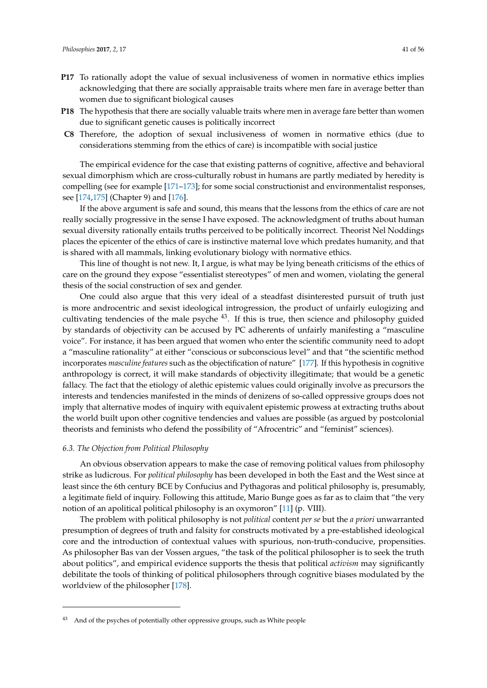- **P17** To rationally adopt the value of sexual inclusiveness of women in normative ethics implies acknowledging that there are socially appraisable traits where men fare in average better than women due to significant biological causes
- **P18** The hypothesis that there are socially valuable traits where men in average fare better than women due to significant genetic causes is politically incorrect
- **C8** Therefore, the adoption of sexual inclusiveness of women in normative ethics (due to considerations stemming from the ethics of care) is incompatible with social justice

The empirical evidence for the case that existing patterns of cognitive, affective and behavioral sexual dimorphism which are cross-culturally robust in humans are partly mediated by heredity is compelling (see for example [\[171–](#page-55-10)[173\]](#page-55-11); for some social constructionist and environmentalist responses, see [\[174,](#page-55-12)[175\]](#page-55-13) (Chapter 9) and [\[176\]](#page-55-14).

If the above argument is safe and sound, this means that the lessons from the ethics of care are not really socially progressive in the sense I have exposed. The acknowledgment of truths about human sexual diversity rationally entails truths perceived to be politically incorrect. Theorist Nel Noddings places the epicenter of the ethics of care is instinctive maternal love which predates humanity, and that is shared with all mammals, linking evolutionary biology with normative ethics.

This line of thought is not new. It, I argue, is what may be lying beneath criticisms of the ethics of care on the ground they expose "essentialist stereotypes" of men and women, violating the general thesis of the social construction of sex and gender.

One could also argue that this very ideal of a steadfast disinterested pursuit of truth just is more androcentric and sexist ideological introgression, the product of unfairly eulogizing and cultivating tendencies of the male psyche  $43$ . If this is true, then science and philosophy guided by standards of objectivity can be accused by PC adherents of unfairly manifesting a "masculine voice". For instance, it has been argued that women who enter the scientific community need to adopt a "masculine rationality" at either "conscious or subconscious level" and that "the scientific method incorporates *masculine features* such as the objectification of nature" [\[177\]](#page-55-15). If this hypothesis in cognitive anthropology is correct, it will make standards of objectivity illegitimate; that would be a genetic fallacy. The fact that the etiology of alethic epistemic values could originally involve as precursors the interests and tendencies manifested in the minds of denizens of so-called oppressive groups does not imply that alternative modes of inquiry with equivalent epistemic prowess at extracting truths about the world built upon other cognitive tendencies and values are possible (as argued by postcolonial theorists and feminists who defend the possibility of "Afrocentric" and "feminist" sciences).

#### *6.3. The Objection from Political Philosophy*

An obvious observation appears to make the case of removing political values from philosophy strike as ludicrous. For *political philosophy* has been developed in both the East and the West since at least since the 6th century BCE by Confucius and Pythagoras and political philosophy is, presumably, a legitimate field of inquiry. Following this attitude, Mario Bunge goes as far as to claim that "the very notion of an apolitical political philosophy is an oxymoron" [\[11\]](#page-50-4) (p. VIII).

The problem with political philosophy is not *political* content *per se* but the *a priori* unwarranted presumption of degrees of truth and falsity for constructs motivated by a pre-established ideological core and the introduction of contextual values with spurious, non-truth-conducive, propensities. As philosopher Bas van der Vossen argues, "the task of the political philosopher is to seek the truth about politics", and empirical evidence supports the thesis that political *activism* may significantly debilitate the tools of thinking of political philosophers through cognitive biases modulated by the worldview of the philosopher [\[178\]](#page-55-16).

<sup>43</sup> And of the psyches of potentially other oppressive groups, such as White people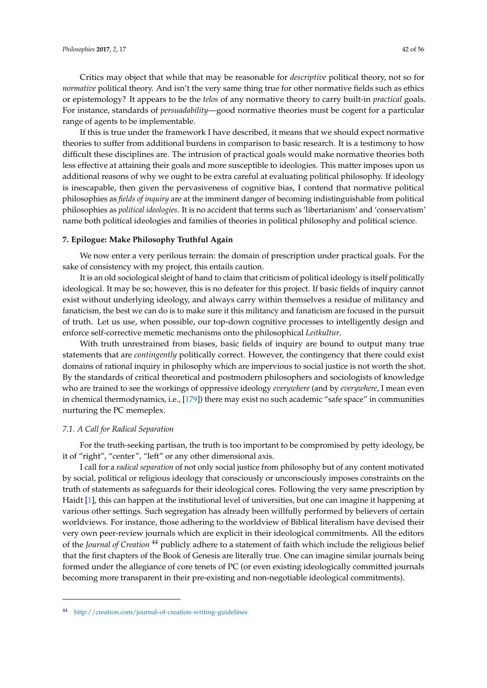Critics may object that while that may be reasonable for *descriptive* political theory, not so for *normative* political theory. And isn't the very same thing true for other normative fields such as ethics or epistemology? It appears to be the *telos* of any normative theory to carry built-in *practical* goals. For instance, standards of *persuadability*—good normative theories must be cogent for a particular range of agents to be implementable.

If this is true under the framework I have described, it means that we should expect normative theories to suffer from additional burdens in comparison to basic research. It is a testimony to how difficult these disciplines are. The intrusion of practical goals would make normative theories both less effective at attaining their goals and more susceptible to ideologies. This matter imposes upon us additional reasons of why we ought to be extra careful at evaluating political philosophy. If ideology is inescapable, then given the pervasiveness of cognitive bias, I contend that normative political philosophies as *fields of inquiry* are at the imminent danger of becoming indistinguishable from political philosophies as *political ideologies*. It is no accident that terms such as 'libertarianism' and 'conservatism' name both political ideologies and families of theories in political philosophy and political science.

### <span id="page-41-0"></span>**7. Epilogue: Make Philosophy Truthful Again**

We now enter a very perilous terrain: the domain of prescription under practical goals. For the sake of consistency with my project, this entails caution.

It is an old sociological sleight of hand to claim that criticism of political ideology is itself politically ideological. It may be so; however, this is no defeater for this project. If basic fields of inquiry cannot exist without underlying ideology, and always carry within themselves a residue of militancy and fanaticism, the best we can do is to make sure it this militancy and fanaticism are focused in the pursuit of truth. Let us use, when possible, our top-down cognitive processes to intelligently design and enforce self-corrective memetic mechanisms onto the philosophical *Leitkultur*.

With truth unrestrained from biases, basic fields of inquiry are bound to output many true statements that are *contingently* politically correct. However, the contingency that there could exist domains of rational inquiry in philosophy which are impervious to social justice is not worth the shot. By the standards of critical theoretical and postmodern philosophers and sociologists of knowledge who are trained to see the workings of oppressive ideology *everywhere* (and by *everywhere*, I mean even in chemical thermodynamics, i.e., [\[179\]](#page-55-17)) there may exist no such academic "safe space" in communities nurturing the PC memeplex.

### *7.1. A Call for Radical Separation*

For the truth-seeking partisan, the truth is too important to be compromised by petty ideology, be it of "right", "center", "left" or any other dimensional axis.

I call for a *radical separation* of not only social justice from philosophy but of any content motivated by social, political or religious ideology that consciously or unconsciously imposes constraints on the truth of statements as safeguards for their ideological cores. Following the very same prescription by Haidt [\[1\]](#page-49-0), this can happen at the institutional level of universities, but one can imagine it happening at various other settings. Such segregation has already been willfully performed by believers of certain worldviews. For instance, those adhering to the worldview of Biblical literalism have devised their very own peer-review journals which are explicit in their ideological commitments. All the editors of the *Journal of Creation* <sup>44</sup> publicly adhere to a statement of faith which include the religious belief that the first chapters of the Book of Genesis are literally true. One can imagine similar journals being formed under the allegiance of core tenets of PC (or even existing ideologically committed journals becoming more transparent in their pre-existing and non-negotiable ideological commitments).

<sup>44</sup> <http://creation.com/journal-of-creation-writing-guidelines>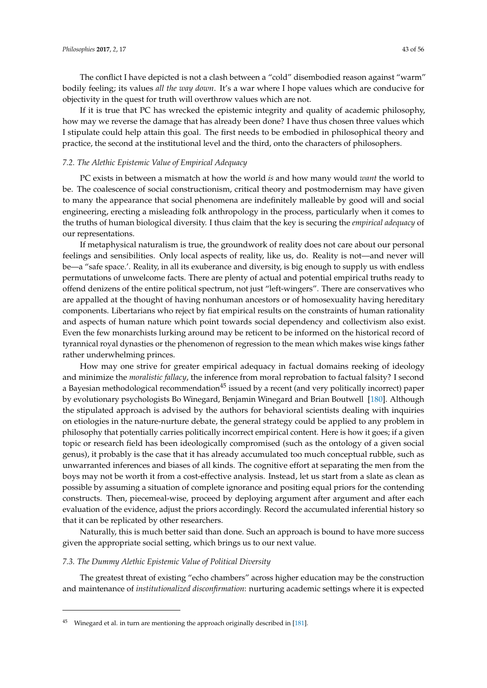The conflict I have depicted is not a clash between a "cold" disembodied reason against "warm" bodily feeling; its values *all the way down*. It's a war where I hope values which are conducive for objectivity in the quest for truth will overthrow values which are not.

If it is true that PC has wrecked the epistemic integrity and quality of academic philosophy, how may we reverse the damage that has already been done? I have thus chosen three values which I stipulate could help attain this goal. The first needs to be embodied in philosophical theory and practice, the second at the institutional level and the third, onto the characters of philosophers.

### *7.2. The Alethic Epistemic Value of Empirical Adequacy*

PC exists in between a mismatch at how the world *is* and how many would *want* the world to be. The coalescence of social constructionism, critical theory and postmodernism may have given to many the appearance that social phenomena are indefinitely malleable by good will and social engineering, erecting a misleading folk anthropology in the process, particularly when it comes to the truths of human biological diversity. I thus claim that the key is securing the *empirical adequacy* of our representations.

If metaphysical naturalism is true, the groundwork of reality does not care about our personal feelings and sensibilities. Only local aspects of reality, like us, do. Reality is not—and never will be—a "safe space.'. Reality, in all its exuberance and diversity, is big enough to supply us with endless permutations of unwelcome facts. There are plenty of actual and potential empirical truths ready to offend denizens of the entire political spectrum, not just "left-wingers". There are conservatives who are appalled at the thought of having nonhuman ancestors or of homosexuality having hereditary components. Libertarians who reject by fiat empirical results on the constraints of human rationality and aspects of human nature which point towards social dependency and collectivism also exist. Even the few monarchists lurking around may be reticent to be informed on the historical record of tyrannical royal dynasties or the phenomenon of regression to the mean which makes wise kings father rather underwhelming princes.

How may one strive for greater empirical adequacy in factual domains reeking of ideology and minimize the *moralistic fallacy*, the inference from moral reprobation to factual falsity? I second a Bayesian methodological recommendation<sup>45</sup> issued by a recent (and very politically incorrect) paper by evolutionary psychologists Bo Winegard, Benjamin Winegard and Brian Boutwell [\[180\]](#page-55-18). Although the stipulated approach is advised by the authors for behavioral scientists dealing with inquiries on etiologies in the nature-nurture debate, the general strategy could be applied to any problem in philosophy that potentially carries politically incorrect empirical content. Here is how it goes; if a given topic or research field has been ideologically compromised (such as the ontology of a given social genus), it probably is the case that it has already accumulated too much conceptual rubble, such as unwarranted inferences and biases of all kinds. The cognitive effort at separating the men from the boys may not be worth it from a cost-effective analysis. Instead, let us start from a slate as clean as possible by assuming a situation of complete ignorance and positing equal priors for the contending constructs. Then, piecemeal-wise, proceed by deploying argument after argument and after each evaluation of the evidence, adjust the priors accordingly. Record the accumulated inferential history so that it can be replicated by other researchers.

Naturally, this is much better said than done. Such an approach is bound to have more success given the appropriate social setting, which brings us to our next value.

#### <span id="page-42-0"></span>*7.3. The Dummy Alethic Epistemic Value of Political Diversity*

The greatest threat of existing "echo chambers" across higher education may be the construction and maintenance of *institutionalized disconfirmation*: nurturing academic settings where it is expected

Winegard et al. in turn are mentioning the approach originally described in [\[181\]](#page-55-19).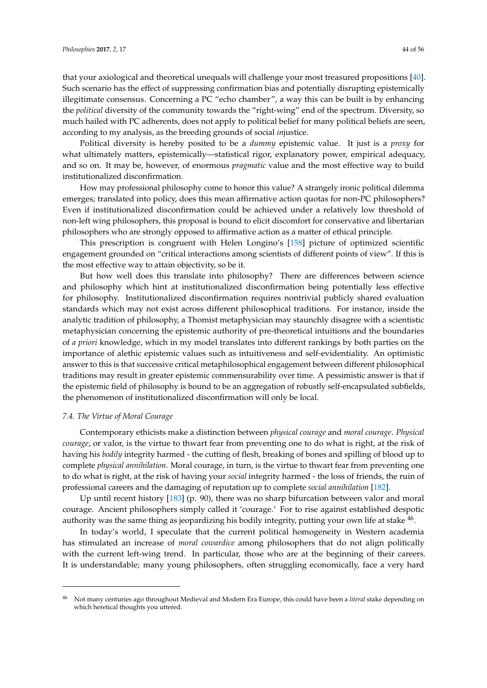that your axiological and theoretical unequals will challenge your most treasured propositions [\[40\]](#page-50-28). Such scenario has the effect of suppressing confirmation bias and potentially disrupting epistemically illegitimate consensus. Concerning a PC "echo chamber", a way this can be built is by enhancing the *political* diversity of the community towards the "right-wing" end of the spectrum. Diversity, so much hailed with PC adherents, does not apply to political belief for many political beliefs are seen, according to my analysis, as the breeding grounds of social *in*justice.

Political diversity is hereby posited to be a *dummy* epistemic value. It just is a *proxy* for what ultimately matters, epistemically—statistical rigor, explanatory power, empirical adequacy, and so on. It may be, however, of enormous *pragmatic* value and the most effective way to build institutionalized disconfirmation.

How may professional philosophy come to honor this value? A strangely ironic political dilemma emerges; translated into policy, does this mean affirmative action quotas for non-PC philosophers? Even if institutionalized disconfirmation could be achieved under a relatively low threshold of non-left wing philosophers, this proposal is bound to elicit discomfort for conservative and libertarian philosophers who are strongly opposed to affirmative action as a matter of ethical principle.

This prescription is congruent with Helen Longino's [\[158\]](#page-54-23) picture of optimized scientific engagement grounded on "critical interactions among scientists of different points of view". If this is the most effective way to attain objectivity, so be it.

But how well does this translate into philosophy? There are differences between science and philosophy which hint at institutionalized disconfirmation being potentially less effective for philosophy. Institutionalized disconfirmation requires nontrivial publicly shared evaluation standards which may not exist across different philosophical traditions. For instance, inside the analytic tradition of philosophy, a Thomist metaphysician may staunchly disagree with a scientistic metaphysician concerning the epistemic authority of pre-theoretical intuitions and the boundaries of *a priori* knowledge, which in my model translates into different rankings by both parties on the importance of alethic epistemic values such as intuitiveness and self-evidentiality. An optimistic answer to this is that successive critical metaphilosophical engagement between different philosophical traditions may result in greater epistemic commensurability over time. A pessimistic answer is that if the epistemic field of philosophy is bound to be an aggregation of robustly self-encapsulated subfields, the phenomenon of institutionalized disconfirmation will only be local.

## *7.4. The Virtue of Moral Courage*

Contemporary ethicists make a distinction between *physical courage* and *moral courage*. *Physical courage*, or valor, is the virtue to thwart fear from preventing one to do what is right, at the risk of having his *bodily* integrity harmed - the cutting of flesh, breaking of bones and spilling of blood up to complete *physical annihilation*. Moral courage, in turn, is the virtue to thwart fear from preventing one to do what is right, at the risk of having your *social* integrity harmed - the loss of friends, the ruin of professional careers and the damaging of reputation up to complete *social annihilation* [\[182\]](#page-55-20).

Up until recent history [\[183\]](#page-55-21) (p. 90), there was no sharp bifurcation between valor and moral courage. Ancient philosophers simply called it 'courage.' For to rise against established despotic authority was the same thing as jeopardizing his bodily integrity, putting your own life at stake  $^{46}$ .

In today's world, I speculate that the current political homogeneity in Western academia has stimulated an increase of *moral cowardice* among philosophers that do not align politically with the current left-wing trend. In particular, those who are at the beginning of their careers. It is understandable; many young philosophers, often struggling economically, face a very hard

<sup>46</sup> Not many centuries ago throughout Medieval and Modern Era Europe, this could have been a *literal* stake depending on which heretical thoughts you uttered.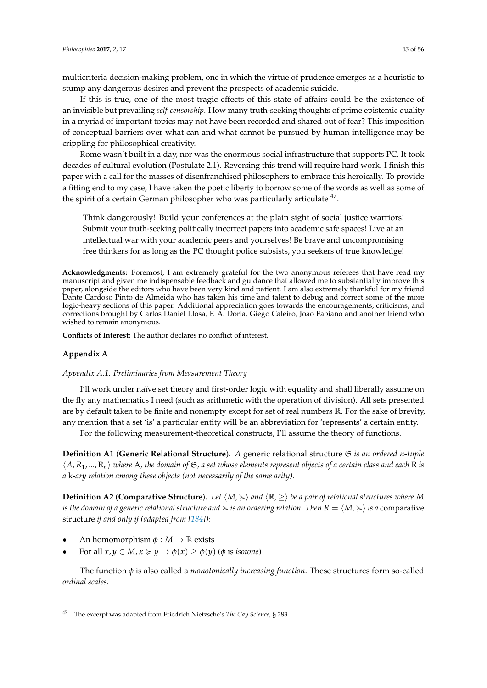If this is true, one of the most tragic effects of this state of affairs could be the existence of an invisible but prevailing *self-censorship*. How many truth-seeking thoughts of prime epistemic quality in a myriad of important topics may not have been recorded and shared out of fear? This imposition of conceptual barriers over what can and what cannot be pursued by human intelligence may be crippling for philosophical creativity.

Rome wasn't built in a day, nor was the enormous social infrastructure that supports PC. It took decades of cultural evolution (Postulate 2.1). Reversing this trend will require hard work. I finish this paper with a call for the masses of disenfranchised philosophers to embrace this heroically. To provide a fitting end to my case, I have taken the poetic liberty to borrow some of the words as well as some of the spirit of a certain German philosopher who was particularly articulate <sup>47</sup>.

Think dangerously! Build your conferences at the plain sight of social justice warriors! Submit your truth-seeking politically incorrect papers into academic safe spaces! Live at an intellectual war with your academic peers and yourselves! Be brave and uncompromising free thinkers for as long as the PC thought police subsists, you seekers of true knowledge!

**Acknowledgments:** Foremost, I am extremely grateful for the two anonymous referees that have read my manuscript and given me indispensable feedback and guidance that allowed me to substantially improve this paper, alongside the editors who have been very kind and patient. I am also extremely thankful for my friend Dante Cardoso Pinto de Almeida who has taken his time and talent to debug and correct some of the more logic-heavy sections of this paper. Additional appreciation goes towards the encouragements, criticisms, and corrections brought by Carlos Daniel Llosa, F. A. Doria, Giego Caleiro, Joao Fabiano and another friend who wished to remain anonymous.

**Conflicts of Interest:** The author declares no conflict of interest.

## **Appendix A**

### <span id="page-44-0"></span>*Appendix A.1. Preliminaries from Measurement Theory*

I'll work under naïve set theory and first-order logic with equality and shall liberally assume on the fly any mathematics I need (such as arithmetic with the operation of division). All sets presented are by default taken to be finite and nonempty except for set of real numbers R. For the sake of brevity, any mention that a set 'is' a particular entity will be an abbreviation for 'represents' a certain entity.

For the following measurement-theoretical constructs, I'll assume the theory of functions.

**Definition A1** (**Generic Relational Structure**)**.** *A* generic relational structure S *is an ordered n-tuple*  $\langle A, R_1, ..., R_n \rangle$  where A, the domain of G, a set whose elements represent objects of a certain class and each R is *a* k*-ary relation among these objects (not necessarily of the same arity).*

**Definition A2** (**Comparative Structure**). Let  $\langle M, \succ\rangle$  and  $\langle \mathbb{R}, \gt\rangle$  be a pair of relational structures where M *is the domain of a generic relational structure and*  $\geq$  *is an ordering relation. Then*  $R = \langle M, \geq \rangle$  *is a* comparative structure *if and only if (adapted from [\[184\]](#page-55-22)):*

- An homomorphism  $\phi : M \to \mathbb{R}$  exists
- For all  $x, y \in M$ ,  $x \succcurlyeq y \rightarrow \phi(x) \geq \phi(y)$  ( $\phi$  is *isotone*)

The function *φ* is also called a *monotonically increasing function*. These structures form so-called *ordinal scales*.

<sup>47</sup> The excerpt was adapted from Friedrich Nietzsche's *The Gay Science*, § 283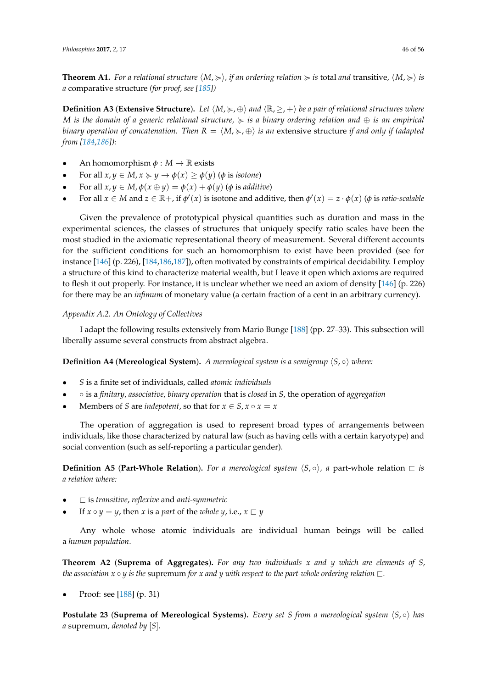**Theorem A1.** For a relational structure  $\langle M, \succcurlyeq \rangle$ , if an ordering relation  $\succcurlyeq$  is total and transitive,  $\langle M, \succcurlyeq \rangle$  is *a* comparative structure *(for proof, see [\[185\]](#page-55-23))*

**Definition A3** (**Extensive Structure**). Let  $\langle M, \succcurlyeq, \oplus \rangle$  and  $\langle \mathbb{R}, \geq, + \rangle$  be a pair of relational structures where *M is the domain of a generic relational structure,* < *is a binary ordering relation and* ⊕ *is an empirical binary operation of concatenation. Then*  $R = \langle M, \succcurlyeq, \oplus \rangle$  *is an* extensive structure *if and only if (adapted from [\[184](#page-55-22)[,186\]](#page-55-24)):*

- An homomorphism  $\phi : M \to \mathbb{R}$  exists
- For all  $x, y \in M$ ,  $x \succcurlyeq y \rightarrow \phi(x) \geq \phi(y)$  ( $\phi$  is *isotone*)
- For all  $x, y \in M$ ,  $\phi(x \oplus y) = \phi(x) + \phi(y)$  ( $\phi$  is *additive*)
- For all  $x \in M$  and  $z \in \mathbb{R}$ +, if  $\phi'(x)$  is isotone and additive, then  $\phi'(x) = z \cdot \phi(x)$  ( $\phi$  is *ratio-scalable*

Given the prevalence of prototypical physical quantities such as duration and mass in the experimental sciences, the classes of structures that uniquely specify ratio scales have been the most studied in the axiomatic representational theory of measurement. Several different accounts for the sufficient conditions for such an homomorphism to exist have been provided (see for instance [\[146\]](#page-54-13) (p. 226), [\[184](#page-55-22)[,186,](#page-55-24)[187\]](#page-55-25)), often motivated by constraints of empirical decidability. I employ a structure of this kind to characterize material wealth, but I leave it open which axioms are required to flesh it out properly. For instance, it is unclear whether we need an axiom of density [\[146\]](#page-54-13) (p. 226) for there may be an *infimum* of monetary value (a certain fraction of a cent in an arbitrary currency).

# <span id="page-45-0"></span>*Appendix A.2. An Ontology of Collectives*

I adapt the following results extensively from Mario Bunge [\[188\]](#page-55-26) (pp. 27–33). This subsection will liberally assume several constructs from abstract algebra.

**Definition A4 (Mereological System).** *A mereological system is a semigroup*  $\langle S, \circ \rangle$  *where:* 

- *S* is a finite set of individuals, called *atomic individuals*
- ◦ is a *finitary*, *associative*, *binary operation* that is *closed* in *S*, the operation of *aggregation*
- **Members of** *S* **are** *indepotent***, so that for**  $x \in S$ **,**  $x \circ x = x$

The operation of aggregation is used to represent broad types of arrangements between individuals, like those characterized by natural law (such as having cells with a certain karyotype) and social convention (such as self-reporting a particular gender).

**Definition A5** (Part-Whole Relation). For a mereological system  $\langle S, \circ \rangle$ , a part-whole relation  $\Box$  *is a relation where:*

- $\Box$  is *transitive*, *reflexive* and *anti-symmetric*
- If  $x \circ y = y$ , then  $x$  is a *part* of the *whole*  $y$ , i.e.,  $x \sqsubset y$

Any whole whose atomic individuals are individual human beings will be called a *human population*.

**Theorem A2** (**Suprema of Aggregates**)**.** *For any two individuals x and y which are elements of S, the association x*  $\circ$  *y is the supremum for x and y with respect to the part-whole ordering relation*  $\Box$ *.* 

• Proof: see [\[188\]](#page-55-26) (p. 31)

**Postulate 23 (Suprema of Mereological Systems).** *Every set S from a mereological system*  $\langle S, \circ \rangle$  *has a* supremum*, denoted by* [*S*]*.*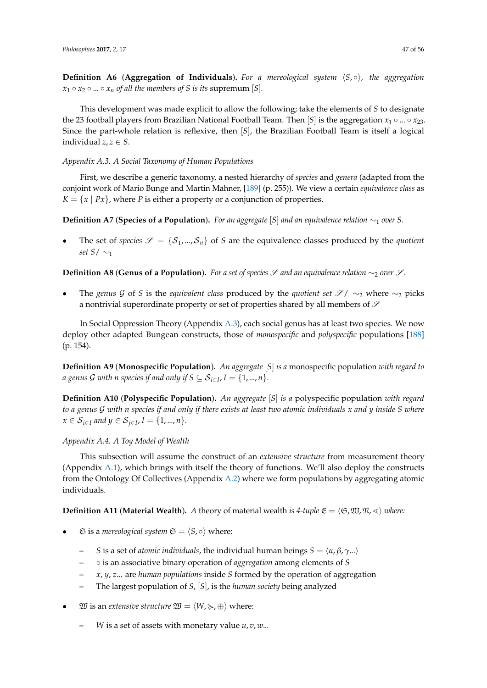**Definition A6** (**Aggregation of Individuals**). For a mereological system  $\langle S, \circ \rangle$ , the aggregation  $x_1 \circ x_2 \circ ... \circ x_n$  *of all the members of S is its supremum* [*S*]*.* 

This development was made explicit to allow the following; take the elements of *S* to designate the 23 football players from Brazilian National Football Team. Then [*S*] is the aggregation  $x_1 \circ ... \circ x_{23}$ . Since the part-whole relation is reflexive, then [*S*], the Brazilian Football Team is itself a logical individual  $z, z \in S$ .

## <span id="page-46-0"></span>*Appendix A.3. A Social Taxonomy of Human Populations*

First, we describe a generic taxonomy, a nested hierarchy of *species* and *genera* (adapted from the conjoint work of Mario Bunge and Martin Mahner, [\[189\]](#page-55-27) (p. 255)). We view a certain *equivalence class* as  $K = \{x \mid Px\}$ , where *P* is either a property or a conjunction of properties.

**Definition A7** (**Species of a Population**)**.** *For an aggregate* [*S*] *and an equivalence relation* ∼<sup>1</sup> *over S.*

The set of *species*  $\mathscr{S} = \{S_1, ..., S_n\}$  of *S* are the equivalence classes produced by the *quotient set S*/ ∼<sup>1</sup>

**Definition A8 (Genus of a Population).** *For a set of species*  $S$  *and an equivalence relation* ∼<sub>2</sub> *over*  $S$ *.* 

• The *genus* G of *S* is the *equivalent class* produced by the *quotient set* S / ∼<sup>2</sup> where ∼<sup>2</sup> picks a nontrivial superordinate property or set of properties shared by all members of  $\mathscr S$ 

In Social Oppression Theory (Appendix [A.3\)](#page-46-0), each social genus has at least two species. We now deploy other adapted Bungean constructs, those of *monospecific* and *polyspecific* populations [\[188\]](#page-55-26) (p. 154).

**Definition A9** (**Monospecific Population**)**.** *An aggregate* [*S*] *is a* monospecific population *with regard to a genus G with n species if and only if S*  $\subseteq$  $\mathcal{S}_{i\in I}$ *, I*  $=$  $\{1,...,n\}$ *.* 

**Definition A10** (**Polyspecific Population**)**.** *An aggregate* [*S*] *is a* polyspecific population *with regard to a genus* G *with n species if and only if there exists at least two atomic individuals x and y inside S where x* ∈  $S_{i∈I}$  and  $y ∈ S_{j∈I}$ ,  $I = \{1, ..., n\}$ .

### <span id="page-46-1"></span>*Appendix A.4. A Toy Model of Wealth*

This subsection will assume the construct of an *extensive structure* from measurement theory (Appendix [A.1\)](#page-44-0), which brings with itself the theory of functions. We'll also deploy the constructs from the Ontology Of Collectives (Appendix [A.2\)](#page-45-0) where we form populations by aggregating atomic individuals.

**Definition A11** (**Material Wealth**). *A* theory of material wealth *is 4-tuple*  $\mathfrak{E} = \langle \mathfrak{S}, \mathfrak{W}, \mathfrak{N}, \ll \rangle$  where:

- $\Im$  is a *mereological system*  $\Im$  =  $\langle S, \circ \rangle$  where:
	- **–** *S* is a set of *atomic individuals*, the individual human beings  $S = \langle \alpha, \beta, \gamma \rangle$ ...
	- **–** is an associative binary operation of *aggregation* among elements of *S*
	- **–** *x*, *y*, *z*... are *human populations* inside *S* formed by the operation of aggregation
	- **–** The largest population of *S*, [*S*], is the *human society* being analyzed
- $\mathfrak{W}$  is an *extensive structure*  $\mathfrak{W} = \langle W, \succcurlyeq, \oplus \rangle$  where:
	- **–** *W* is a set of assets with monetary value *u*, *v*, *w*...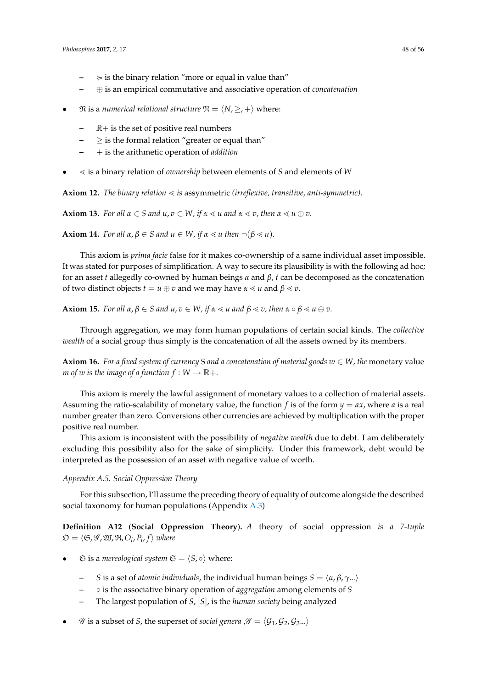- $\succcurlyeq$  is the binary relation "more or equal in value than"
- **–** ⊕ is an empirical commutative and associative operation of *concatenation*
- $\mathfrak{N}$  is a *numerical relational structure*  $\mathfrak{N} = \langle N, \geq, +\rangle$  where:
	- **–** R+ is the set of positive real numbers
	- **–** ≥ is the formal relation "greater or equal than"
	- **–** + is the arithmetic operation of *addition*
- $\leq$  is a binary relation of *ownership* between elements of *S* and elements of *W*

Axiom 12. *The binary relation*  $\leq$  *is* assymmetric *(irreflexive, transitive, anti-symmetric)*.

**Axiom 13.** *For all*  $\alpha \in S$  *and*  $u, v \in W$ , *if*  $\alpha \leq u$  *and*  $\alpha \leq v$ , *then*  $\alpha \leq u \oplus v$ .

**Axiom 14.** *For all*  $\alpha, \beta \in S$  *and*  $u \in W$ *, if*  $\alpha \le u$  *then*  $\neg(\beta \le u)$ *.* 

This axiom is *prima facie* false for it makes co-ownership of a same individual asset impossible. It was stated for purposes of simplification. A way to secure its plausibility is with the following ad hoc; for an asset *t* allegedly co-owned by human beings *α* and *β*, *t* can be decomposed as the concatenation of two distinct objects  $t = u \oplus v$  and we may have  $\alpha \leq u$  and  $\beta \leq v$ .

**Axiom 15.** *For all*  $\alpha, \beta \in S$  *and*  $u, v \in W$ *, if*  $\alpha \le u$  *and*  $\beta \le v$ *, then*  $\alpha \circ \beta \le u \oplus v$ *.* 

Through aggregation, we may form human populations of certain social kinds. The *collective wealth* of a social group thus simply is the concatenation of all the assets owned by its members.

**Axiom 16.** *For a fixed system of currency* \$ *and a concatenation of material goods*  $w \in W$ *, the* monetary value *m* of w is the image of a function  $f: W \to \mathbb{R}$ +.

This axiom is merely the lawful assignment of monetary values to a collection of material assets. Assuming the ratio-scalability of monetary value, the function *f* is of the form  $y = ax$ , where *a* is a real number greater than zero. Conversions other currencies are achieved by multiplication with the proper positive real number.

This axiom is inconsistent with the possibility of *negative wealth* due to debt. I am deliberately excluding this possibility also for the sake of simplicity. Under this framework, debt would be interpreted as the possession of an asset with negative value of worth.

## <span id="page-47-0"></span>*Appendix A.5. Social Oppression Theory*

For this subsection, I'll assume the preceding theory of equality of outcome alongside the described social taxonomy for human populations (Appendix [A.3\)](#page-46-0)

**Definition A12** (**Social Oppression Theory**)**.** *A* theory of social oppression *is a 7-tuple*  $\mathfrak{O} = \langle \mathfrak{S}, \mathscr{G}, \mathfrak{W}, \mathfrak{R}, O_{i}, P_{i}, f \rangle$  where

- $\Im$  is a *mereological system*  $\Im$  =  $\langle S, \circ \rangle$  where:
	- *S* is a set of *atomic individuals*, the individual human beings  $S = \langle \alpha, \beta, \gamma \rangle$ ...
	- **–** is the associative binary operation of *aggregation* among elements of *S*
	- **–** The largest population of *S*, [*S*], is the *human society* being analyzed
- $\mathscr G$  is a subset of *S*, the superset of *social genera*  $\mathscr G = \langle \mathcal G_1, \mathcal G_2, \mathcal G_3 \dots \rangle$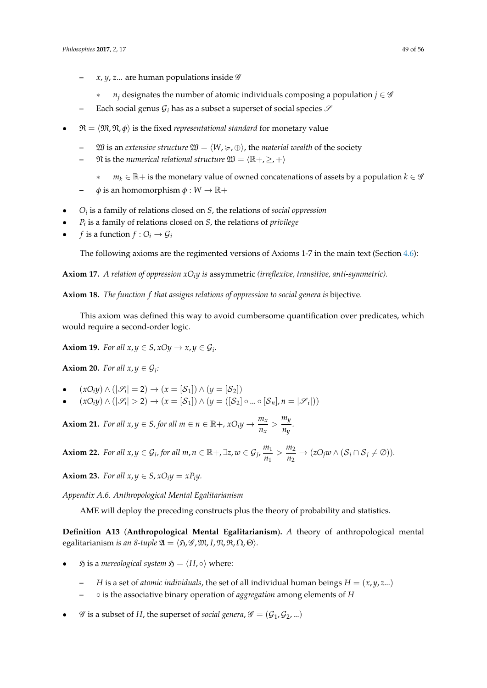- **–** *x*, *y*, *z*... are human populations inside G
	- $n_i$  designates the number of atomic individuals composing a population  $j \in \mathscr{G}$
- Each social genus  $\mathcal{G}_i$  has as a subset a superset of social species  $\mathcal S$
- $\mathfrak{R} = \langle \mathfrak{M}, \mathfrak{N}, \phi \rangle$  is the fixed *representational standard* for monetary value
	- $\mathfrak{W}$  is an *extensive structure*  $\mathfrak{W} = \langle W, \succcurlyeq, \oplus \rangle$ , the *material wealth* of the society
	- $\mathfrak{N}$  is the *numerical relational structure*  $\mathfrak{W} = \langle \mathbb{R}^+, \geq, + \rangle$ 
		- $m_k$  ∈  $\mathbb{R}$ + is the monetary value of owned concatenations of assets by a population  $k \in \mathscr{G}$
	- $\phi$  is an homomorphism  $\phi: W \to \mathbb{R}+$
- *O<sup>i</sup>* is a family of relations closed on *S*, the relations of *social oppression*
- *P<sup>i</sup>* is a family of relations closed on *S*, the relations of *privilege*
- *f* is a function  $f: O_i \to G_i$

The following axioms are the regimented versions of Axioms 1-7 in the main text (Section [4.6\)](#page-12-1):

**Axiom 17.** *A relation of oppression xOiy is* assymmetric *(irreflexive, transitive, anti-symmetric).*

**Axiom 18.** *The function f that assigns relations of oppression to social genera is* bijective*.*

This axiom was defined this way to avoid cumbersome quantification over predicates, which would require a second-order logic.

**Axiom 19.** *For all*  $x, y \in S$ ,  $xOy \rightarrow x, y \in G_i$ .

**Axiom 20.** *For all*  $x, y \in \mathcal{G}_i$ *:* 

- $(xO_iy) \wedge (|\mathscr{S}_i| = 2) \rightarrow (x = [\mathcal{S}_1]) \wedge (y = [\mathcal{S}_2])$
- $(xO_iy) \wedge (|\mathscr{S}_i| > 2) \rightarrow (x = [\mathcal{S}_1]) \wedge (y = ([\mathcal{S}_2] \circ ... \circ [\mathcal{S}_n], n = |\mathscr{S}_i|))$

**Axiom 21.** *For all x, y*  $\in$  *S, for all m*  $\in$  *n*  $\in$   $\mathbb{R}$ +,  $xO_iy \rightarrow \frac{m_x}{n}$  $\frac{m_x}{n_x}$  >  $\frac{m_y}{n_y}$  $\frac{y}{n_y}$ .

**Axiom 22.** *For all*  $x, y \in G_i$ , *for all*  $m, n \in \mathbb{R}$ +,  $\exists z, w \in G_j$ ,  $\frac{m_1}{m_1}$  $\frac{m_1}{n_1} > \frac{m_2}{n_2}$  $\frac{m_2}{n_2} \to (zO_jw \wedge (S_i \cap S_j \neq \emptyset)).$ 

**Axiom 23.** *For all*  $x, y \in S$ ,  $xO_iy = xP_iy$ .

<span id="page-48-0"></span>*Appendix A.6. Anthropological Mental Egalitarianism*

AME will deploy the preceding constructs plus the theory of probability and statistics.

**Definition A13** (**Anthropological Mental Egalitarianism**)**.** *A* theory of anthropological mental egalitarianism *is an 8-tuple*  $\mathfrak{A} = \langle \mathfrak{H}, \mathcal{G}, \mathfrak{M}, I, \mathfrak{N}, \mathfrak{R}, \Omega, \Theta \rangle$ *.* 

- $\mathfrak h$  is a *mereological system*  $\mathfrak H = \langle H, \circ \rangle$  where:
	- *H* is a set of *atomic individuals*, the set of all individual human beings  $H = (x, y, z...)$
	- **–** is the associative binary operation of *aggregation* among elements of *H*
- $\mathscr G$  is a subset of *H*, the superset of *social genera*,  $\mathscr G = (\mathcal G_1, \mathcal G_2, ...)$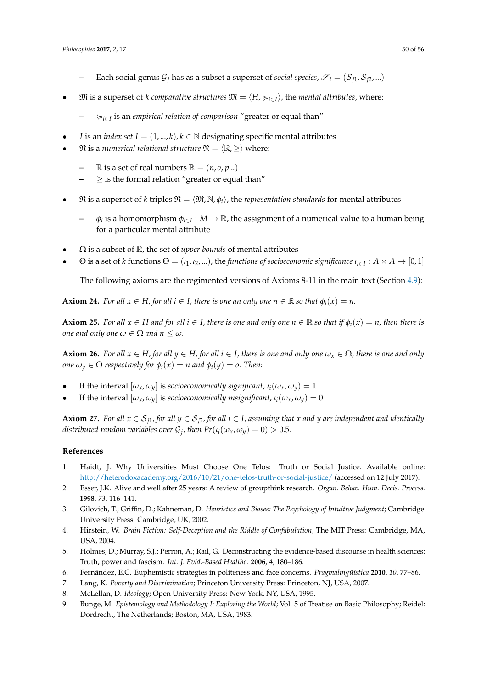- **–** Each social genus  $\mathcal{G}_j$  has as a subset a superset of *social species,*  $\mathcal{S}_i = (\mathcal{S}_{j1}, \mathcal{S}_{j2}, ...)$
- $\mathfrak{M}$  is a superset of *k* comparative structures  $\mathfrak{M} = \langle H, \succ_{i \in I} \rangle$ , the *mental attributes*, where:
	- **–** <*i*∈*<sup>I</sup>* is an *empirical relation of comparison* "greater or equal than"
- *I* is an *index set*  $I = (1, ..., k)$ ,  $k \in \mathbb{N}$  designating specific mental attributes
- $\mathfrak{N}$  is a *numerical relational structure*  $\mathfrak{N} = \langle \mathbb{R}, \geq \rangle$  where:
	- $\mathbb{R}$  is a set of real numbers  $\mathbb{R} = (n, o, p...)$
	- **–** ≥ is the formal relation "greater or equal than"
- $\mathfrak{R}$  is a superset of *k* triples  $\mathfrak{R} = \langle \mathfrak{M}, \mathbb{N}, \phi_i \rangle$ , the *representation standards* for mental attributes
	- **–** *φ<sup>i</sup>* is a homomorphism *φi*∈*<sup>I</sup>* : *M* → R, the assignment of a numerical value to a human being for a particular mental attribute
- Ω is a subset of R, the set of *upper bounds* of mental attributes
- $\Theta$  is a set of *k* functions  $\Theta = (\iota_1, \iota_2, ...)$ , the *functions of socioeconomic significance*  $\iota_{i \in I} : A \times A \to [0, 1]$

The following axioms are the regimented versions of Axioms 8-11 in the main text (Section [4.9\)](#page-18-0):

**Axiom 24.** *For all*  $x \in H$ *, for all*  $i \in I$ *, there is one an only one*  $n \in \mathbb{R}$  *so that*  $\phi_i(x) = n$ *.* 

**Axiom 25.** For all  $x \in H$  and for all  $i \in I$ , there is one and only one  $n \in \mathbb{R}$  so that if  $\phi_i(x) = n$ , then there is *one and only one*  $\omega \in \Omega$  *and*  $n \leq \omega$ *.* 

**Axiom 26.** For all  $x \in H$ , for all  $y \in H$ , for all  $i \in I$ , there is one and only one  $\omega_x \in \Omega$ , there is one and only *one*  $\omega_y \in \Omega$  *respectively for*  $\phi_i(x) = n$  *and*  $\phi_i(y) = o$ . Then:

- If the interval  $[\omega_x, \omega_y]$  is *socioeconomically significant*,  $\iota_i(\omega_x, \omega_y) = 1$
- If the interval  $[\omega_x, \omega_y]$  is *socioeconomically insignificant*,  $\iota_i(\omega_x, \omega_y) = 0$

**Axiom 27.** For all  $x \in S_{j1}$ , for all  $y \in S_{j2}$ , for all  $i \in I$ , assuming that  $x$  and  $y$  are independent and identically *distributed random variables over*  $\mathcal{G}_j$ *, then*  $Pr(\iota_i(\omega_x, \omega_y) = 0) > 0.5$ *.* 

# **References**

- <span id="page-49-0"></span>1. Haidt, J. Why Universities Must Choose One Telos: Truth or Social Justice. Available online: <http://heterodoxacademy.org/2016/10/21/one-telos-truth-or-social-justice/> (accessed on 12 July 2017).
- <span id="page-49-1"></span>2. Esser, J.K. Alive and well after 25 years: A review of groupthink research. *Organ. Behav. Hum. Decis. Process.* **1998**, *73*, 116–141.
- 3. Gilovich, T.; Griffin, D.; Kahneman, D. *Heuristics and Biases: The Psychology of Intuitive Judgment*; Cambridge University Press: Cambridge, UK, 2002.
- <span id="page-49-2"></span>4. Hirstein, W. *Brain Fiction: Self-Deception and the Riddle of Confabulation*; The MIT Press: Cambridge, MA, USA, 2004.
- <span id="page-49-5"></span>5. Holmes, D.; Murray, S.J.; Perron, A.; Rail, G. Deconstructing the evidence-based discourse in health sciences: Truth, power and fascism. *Int. J. Evid.-Based Healthc.* **2006**, *4*, 180–186.
- <span id="page-49-3"></span>6. Fernández, E.C. Euphemistic strategies in politeness and face concerns. *Pragmalingüística* **2010**, *10*, 77–86.
- <span id="page-49-4"></span>7. Lang, K. *Poverty and Discrimination*; Princeton University Press: Princeton, NJ, USA, 2007.
- <span id="page-49-6"></span>8. McLellan, D. *Ideology*; Open University Press: New York, NY, USA, 1995.
- <span id="page-49-7"></span>9. Bunge, M. *Epistemology and Methodology I: Exploring the World; Vol.* 5 of Treatise on Basic Philosophy; Reidel: Dordrecht, The Netherlands; Boston, MA, USA, 1983.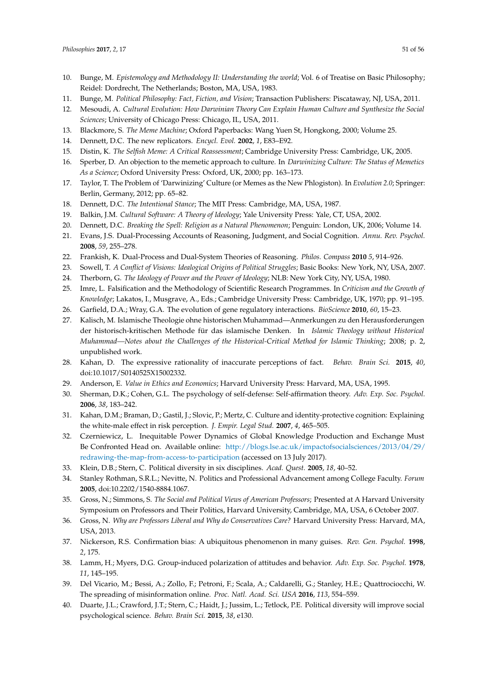- <span id="page-50-3"></span>10. Bunge, M. *Epistemology and Methodology II: Understanding the world; Vol.* 6 of Treatise on Basic Philosophy; Reidel: Dordrecht, The Netherlands; Boston, MA, USA, 1983.
- <span id="page-50-4"></span>11. Bunge, M. *Political Philosophy: Fact, Fiction, and Vision*; Transaction Publishers: Piscataway, NJ, USA, 2011.
- <span id="page-50-5"></span>12. Mesoudi, A. *Cultural Evolution: How Darwinian Theory Can Explain Human Culture and Synthesize the Social Sciences*; University of Chicago Press: Chicago, IL, USA, 2011.
- <span id="page-50-6"></span>13. Blackmore, S. *The Meme Machine*; Oxford Paperbacks: Wang Yuen St, Hongkong, 2000; Volume 25.
- <span id="page-50-7"></span>14. Dennett, D.C. The new replicators. *Encycl. Evol.* **2002**, *1*, E83–E92.
- <span id="page-50-8"></span>15. Distin, K. *The Selfish Meme: A Critical Reassessment*; Cambridge University Press: Cambridge, UK, 2005.
- <span id="page-50-9"></span>16. Sperber, D. An objection to the memetic approach to culture. In *Darwinizing Culture: The Status of Memetics As a Science*; Oxford University Press: Oxford, UK, 2000; pp. 163–173.
- <span id="page-50-10"></span>17. Taylor, T. The Problem of 'Darwinizing' Culture (or Memes as the New Phlogiston). In *Evolution 2.0*; Springer: Berlin, Germany, 2012; pp. 65–82.
- <span id="page-50-0"></span>18. Dennett, D.C. *The Intentional Stance*; The MIT Press: Cambridge, MA, USA, 1987.
- <span id="page-50-1"></span>19. Balkin, J.M. *Cultural Software: A Theory of Ideology*; Yale University Press: Yale, CT, USA, 2002.
- <span id="page-50-2"></span>20. Dennett, D.C. *Breaking the Spell: Religion as a Natural Phenomenon*; Penguin: London, UK, 2006; Volume 14.
- <span id="page-50-11"></span>21. Evans, J.S. Dual-Processing Accounts of Reasoning, Judgment, and Social Cognition. *Annu. Rev. Psychol.* **2008**, *59*, 255–278.
- <span id="page-50-12"></span>22. Frankish, K. Dual-Process and Dual-System Theories of Reasoning. *Philos. Compass* **2010** *5*, 914–926.
- <span id="page-50-13"></span>23. Sowell, T. *A Conflict of Visions: Idealogical Origins of Political Struggles*; Basic Books: New York, NY, USA, 2007.
- <span id="page-50-14"></span>24. Therborn, G. *The Ideology of Power and the Power of Ideology*; NLB: New York City, NY, USA, 1980.
- <span id="page-50-15"></span>25. Imre, L. Falsification and the Methodology of Scientific Research Programmes. In *Criticism and the Growth of Knowledge*; Lakatos, I., Musgrave, A., Eds.; Cambridge University Press: Cambridge, UK, 1970; pp. 91–195.
- <span id="page-50-16"></span>26. Garfield, D.A.; Wray, G.A. The evolution of gene regulatory interactions. *BioScience* **2010**, *60*, 15–23.
- <span id="page-50-21"></span>27. Kalisch, M. Islamische Theologie ohne historischen Muhammad—Anmerkungen zu den Herausforderungen der historisch-kritischen Methode für das islamische Denken. In *Islamic Theology without Historical Muhammad—Notes about the Challenges of the Historical-Critical Method for Islamic Thinking*; 2008; p. 2, unpublished work.
- <span id="page-50-17"></span>28. Kahan, D. The expressive rationality of inaccurate perceptions of fact. *Behav. Brain Sci.* **2015**, *40*, doi:10.1017/S0140525X15002332.
- <span id="page-50-18"></span>29. Anderson, E. *Value in Ethics and Economics*; Harvard University Press: Harvard, MA, USA, 1995.
- <span id="page-50-19"></span>30. Sherman, D.K.; Cohen, G.L. The psychology of self-defense: Self-affirmation theory. *Adv. Exp. Soc. Psychol.* **2006**, *38*, 183–242.
- <span id="page-50-20"></span>31. Kahan, D.M.; Braman, D.; Gastil, J.; Slovic, P.; Mertz, C. Culture and identity-protective cognition: Explaining the white-male effect in risk perception. *J. Empir. Legal Stud.* **2007**, *4*, 465–505.
- <span id="page-50-22"></span>32. Czerniewicz, L. Inequitable Power Dynamics of Global Knowledge Production and Exchange Must Be Confronted Head on. Available online: [http://blogs.lse.ac.uk/impactofsocialsciences/2013/04/29/](http://blogs. lse. ac. uk/impactofsocialsciences/2013/04/29/redrawing-the-map-from-access-to-participation) [redrawing-the-map-from-access-to-participation](http://blogs. lse. ac. uk/impactofsocialsciences/2013/04/29/redrawing-the-map-from-access-to-participation) (accessed on 13 July 2017).
- <span id="page-50-23"></span>33. Klein, D.B.; Stern, C. Political diversity in six disciplines. *Acad. Quest.* **2005**, *18*, 40–52.
- 34. Stanley Rothman, S.R.L.; Nevitte, N. Politics and Professional Advancement among College Faculty. *Forum* **2005**, doi:10.2202/1540-8884.1067.
- 35. Gross, N.; Simmons, S. *The Social and Political Views of American Professors*; Presented at A Harvard University Symposium on Professors and Their Politics, Harvard University, Cambridge, MA, USA, 6 October 2007.
- <span id="page-50-24"></span>36. Gross, N. *Why are Professors Liberal and Why do Conservatives Care?* Harvard University Press: Harvard, MA, USA, 2013.
- <span id="page-50-25"></span>37. Nickerson, R.S. Confirmation bias: A ubiquitous phenomenon in many guises. *Rev. Gen. Psychol.* **1998**, *2*, 175.
- <span id="page-50-26"></span>38. Lamm, H.; Myers, D.G. Group-induced polarization of attitudes and behavior. *Adv. Exp. Soc. Psychol.* **1978**, *11*, 145–195.
- <span id="page-50-27"></span>39. Del Vicario, M.; Bessi, A.; Zollo, F.; Petroni, F.; Scala, A.; Caldarelli, G.; Stanley, H.E.; Quattrociocchi, W. The spreading of misinformation online. *Proc. Natl. Acad. Sci. USA* **2016**, *113*, 554–559.
- <span id="page-50-28"></span>40. Duarte, J.L.; Crawford, J.T.; Stern, C.; Haidt, J.; Jussim, L.; Tetlock, P.E. Political diversity will improve social psychological science. *Behav. Brain Sci.* **2015**, *38*, e130.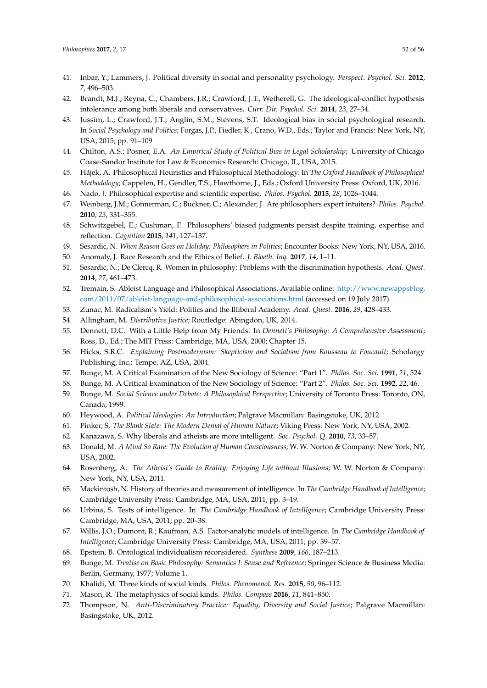- <span id="page-51-0"></span>41. Inbar, Y.; Lammers, J. Political diversity in social and personality psychology. *Perspect. Psychol. Sci.* **2012**, *7*, 496–503.
- <span id="page-51-1"></span>42. Brandt, M.J.; Reyna, C.; Chambers, J.R.; Crawford, J.T.; Wetherell, G. The ideological-conflict hypothesis intolerance among both liberals and conservatives. *Curr. Dir. Psychol. Sci.* **2014**, *23*, 27–34.
- <span id="page-51-2"></span>43. Jussim, L.; Crawford, J.T.; Anglin, S.M.; Stevens, S.T. Ideological bias in social psychological research. In *Social Psychology and Politics*; Forgas, J.P., Fiedler, K., Crano, W.D., Eds.; Taylor and Francis: New York, NY, USA, 2015; pp. 91–109
- <span id="page-51-3"></span>44. Chilton, A.S.; Posner, E.A. *An Empirical Study of Political Bias in Legal Scholarship*; University of Chicago Coase-Sandor Institute for Law & Economics Research: Chicago, IL, USA, 2015.
- <span id="page-51-4"></span>45. Hájek, A. Philosophical Heuristics and Philosophical Methodology. In *The Oxford Handbook of Philosophical Methodology*; Cappelen, H., Gendler, T.S., Hawthorne, J., Eds.; Oxford University Press: Oxford, UK, 2016.
- <span id="page-51-5"></span>46. Nado, J. Philosophical expertise and scientific expertise. *Philos. Psychol.* **2015**, *28*, 1026–1044.
- <span id="page-51-6"></span>47. Weinberg, J.M.; Gonnerman, C.; Buckner, C.; Alexander, J. Are philosophers expert intuiters? *Philos. Psychol.* **2010**, *23*, 331–355.
- <span id="page-51-7"></span>48. Schwitzgebel, E.; Cushman, F. Philosophers' biased judgments persist despite training, expertise and reflection. *Cognition* **2015**, *141*, 127–137.
- <span id="page-51-8"></span>49. Sesardic, N. *When Reason Goes on Holiday: Philosophers in Politics*; Encounter Books: New York, NY, USA, 2016.
- <span id="page-51-9"></span>50. Anomaly, J. Race Research and the Ethics of Belief. *J. Bioeth. Inq.* **2017**, *14*, 1–11.
- <span id="page-51-10"></span>51. Sesardic, N.; De Clercq, R. Women in philosophy: Problems with the discrimination hypothesis. *Acad. Quest.* **2014**, *27*, 461–473.
- <span id="page-51-11"></span>52. Tremain, S. Ableist Language and Philosophical Associations. Available online: [http://www.newappsblog.](http://www.newappsblog.com/2011/07/ableist-language-and-philosophical-associations.html) [com/2011/07/ableist-language-and-philosophical-associations.html](http://www.newappsblog.com/2011/07/ableist-language-and-philosophical-associations.html) (accessed on 19 July 2017).
- <span id="page-51-12"></span>53. Zunac, M. Radicalism's Yield: Politics and the Illiberal Academy. *Acad. Quest.* **2016**, *29*, 428–433.
- <span id="page-51-13"></span>54. Allingham, M. *Distributive Justice*; Routledge: Abingdon, UK, 2014.
- <span id="page-51-14"></span>55. Dennett, D.C. With a Little Help from My Friends. In *Dennett's Philosophy: A Comprehensive Assessment*; Ross, D., Ed.; The MIT Press: Cambridge, MA, USA, 2000; Chapter 15.
- <span id="page-51-15"></span>56. Hicks, S.R.C. *Explaining Postmodernism: Skepticism and Socialism from Rousseau to Foucault; Scholargy* Publishing, Inc.: Tempe, AZ, USA, 2004.
- <span id="page-51-16"></span>57. Bunge, M. A Critical Examination of the New Sociology of Science: "Part 1". *Philos. Soc. Sci.* **1991**, *21*, 524.
- 58. Bunge, M. A Critical Examination of the New Sociology of Science: "Part 2". *Philos. Soc. Sci.* **1992**, *22*, 46.
- <span id="page-51-17"></span>59. Bunge, M. *Social Science under Debate: A Philosophical Perspective*; University of Toronto Press: Toronto, ON, Canada, 1999.
- <span id="page-51-18"></span>60. Heywood, A. *Political Ideologies: An Introduction*; Palgrave Macmillan: Basingstoke, UK, 2012.
- <span id="page-51-19"></span>61. Pinker, S. *The Blank Slate: The Modern Denial of Human Nature*; Viking Press: New York, NY, USA, 2002.
- <span id="page-51-20"></span>62. Kanazawa, S. Why liberals and atheists are more intelligent. *Soc. Psychol. Q.* **2010**, *73*, 33–57.
- <span id="page-51-21"></span>63. Donald, M. *A Mind So Rare: The Evolution of Human Consciousness*; W. W. Norton & Company: New York, NY, USA, 2002.
- <span id="page-51-22"></span>64. Rosenberg, A. *The Atheist's Guide to Reality: Enjoying Life without Illusions*; W. W. Norton & Company: New York, NY, USA, 2011.
- <span id="page-51-23"></span>65. Mackintosh, N. History of theories and measurement of intelligence. In *The Cambridge Handbook of Intelligence*; Cambridge University Press: Cambridge, MA, USA, 2011; pp. 3–19.
- 66. Urbina, S. Tests of intelligence. In *The Cambridge Handbook of Intelligence*; Cambridge University Press: Cambridge, MA, USA, 2011; pp. 20–38.
- <span id="page-51-24"></span>67. Willis, J.O.; Dumont, R.; Kaufman, A.S. Factor-analytic models of intelligence. In *The Cambridge Handbook of Intelligence*; Cambridge University Press: Cambridge, MA, USA, 2011; pp. 39–57.
- <span id="page-51-25"></span>68. Epstein, B. Ontological individualism reconsidered. *Synthese* **2009**, *166*, 187–213.
- <span id="page-51-26"></span>69. Bunge, M. *Treatise on Basic Philosophy: Semantics I: Sense and Reference*; Springer Science & Business Media: Berlin, Germany, 1977; Volume 1.
- <span id="page-51-27"></span>70. Khalidi, M. Three kinds of social kinds. *Philos. Phenomenol. Res.* **2015**, *90*, 96–112.
- <span id="page-51-28"></span>71. Mason, R. The metaphysics of social kinds. *Philos. Compass* **2016**, *11*, 841–850.
- <span id="page-51-29"></span>72. Thompson, N. *Anti-Discriminatory Practice: Equality, Diversity and Social Justice*; Palgrave Macmillan: Basingstoke, UK, 2012.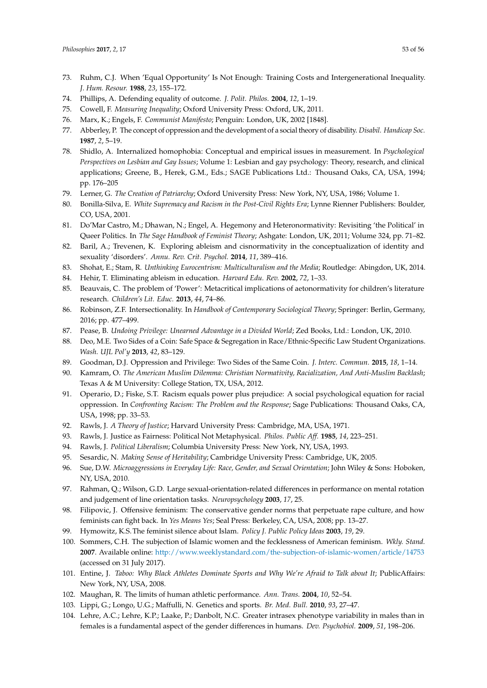- <span id="page-52-1"></span>73. Ruhm, C.J. When 'Equal Opportunity' Is Not Enough: Training Costs and Intergenerational Inequality. *J. Hum. Resour.* **1988**, *23*, 155–172.
- <span id="page-52-0"></span>74. Phillips, A. Defending equality of outcome. *J. Polit. Philos.* **2004**, *12*, 1–19.
- <span id="page-52-2"></span>75. Cowell, F. *Measuring Inequality*; Oxford University Press: Oxford, UK, 2011.
- <span id="page-52-3"></span>76. Marx, K.; Engels, F. *Communist Manifesto*; Penguin: London, UK, 2002 [1848].
- <span id="page-52-4"></span>77. Abberley, P. The concept of oppression and the development of a social theory of disability. *Disabil. Handicap Soc.* **1987**, *2*, 5–19.
- <span id="page-52-5"></span>78. Shidlo, A. Internalized homophobia: Conceptual and empirical issues in measurement. In *Psychological Perspectives on Lesbian and Gay Issues*; Volume 1: Lesbian and gay psychology: Theory, research, and clinical applications; Greene, B., Herek, G.M., Eds.; SAGE Publications Ltd.: Thousand Oaks, CA, USA, 1994; pp. 176–205
- <span id="page-52-6"></span>79. Lerner, G. *The Creation of Patriarchy*; Oxford University Press: New York, NY, USA, 1986; Volume 1.
- <span id="page-52-7"></span>80. Bonilla-Silva, E. *White Supremacy and Racism in the Post-Civil Rights Era*; Lynne Rienner Publishers: Boulder, CO, USA, 2001.
- <span id="page-52-8"></span>81. Do'Mar Castro, M.; Dhawan, N.; Engel, A. Hegemony and Heteronormativity: Revisiting 'the Political' in Queer Politics. In *The Sage Handbook of Feminist Theory*; Ashgate: London, UK, 2011; Volume 324, pp. 71–82.
- <span id="page-52-9"></span>82. Baril, A.; Trevenen, K. Exploring ableism and cisnormativity in the conceptualization of identity and sexuality 'disorders'. *Annu. Rev. Crit. Psychol.* **2014**, *11*, 389–416.
- <span id="page-52-11"></span><span id="page-52-10"></span>83. Shohat, E.; Stam, R. *Unthinking Eurocentrism: Multiculturalism and the Media*; Routledge: Abingdon, UK, 2014.
- 84. Hehir, T. Eliminating ableism in education. *Harvard Edu. Rev.* **2002**, *72*, 1–33.
- <span id="page-52-12"></span>85. Beauvais, C. The problem of 'Power': Metacritical implications of aetonormativity for children's literature research. *Children's Lit. Educ.* **2013**, *44*, 74–86.
- <span id="page-52-13"></span>86. Robinson, Z.F. Intersectionality. In *Handbook of Contemporary Sociological Theory*; Springer: Berlin, Germany, 2016; pp. 477–499.
- <span id="page-52-14"></span>87. Pease, B. *Undoing Privilege: Unearned Advantage in a Divided World*; Zed Books, Ltd.: London, UK, 2010.
- <span id="page-52-15"></span>88. Deo, M.E. Two Sides of a Coin: Safe Space & Segregation in Race/Ethnic-Specific Law Student Organizations. *Wash. UJL Pol'y* **2013**, *42*, 83–129.
- <span id="page-52-16"></span>89. Goodman, D.J. Oppression and Privilege: Two Sides of the Same Coin. *J. Interc. Commun.* **2015**, *18*, 1–14.
- <span id="page-52-17"></span>90. Kamram, O. *The American Muslim Dilemma: Christian Normativity, Racialization, And Anti-Muslim Backlash*; Texas A & M University: College Station, TX, USA, 2012.
- <span id="page-52-18"></span>91. Operario, D.; Fiske, S.T. Racism equals power plus prejudice: A social psychological equation for racial oppression. In *Confronting Racism: The Problem and the Response*; Sage Publications: Thousand Oaks, CA, USA, 1998; pp. 33–53.
- <span id="page-52-19"></span>92. Rawls, J. *A Theory of Justice*; Harvard University Press: Cambridge, MA, USA, 1971.
- <span id="page-52-20"></span>93. Rawls, J. Justice as Fairness: Political Not Metaphysical. *Philos. Public Aff.* **1985**, *14*, 223–251.
- <span id="page-52-21"></span>94. Rawls, J. *Political Liberalism*; Columbia University Press: New York, NY, USA, 1993.
- <span id="page-52-23"></span>95. Sesardic, N. *Making Sense of Heritability*; Cambridge University Press: Cambridge, UK, 2005.
- <span id="page-52-22"></span>96. Sue, D.W. *Microaggressions in Everyday Life: Race, Gender, and Sexual Orientation*; John Wiley & Sons: Hoboken, NY, USA, 2010.
- <span id="page-52-24"></span>97. Rahman, Q.; Wilson, G.D. Large sexual-orientation-related differences in performance on mental rotation and judgement of line orientation tasks. *Neuropsychology* **2003**, *17*, 25.
- <span id="page-52-25"></span>98. Filipovic, J. Offensive feminism: The conservative gender norms that perpetuate rape culture, and how feminists can fight back. In *Yes Means Yes*; Seal Press: Berkeley, CA, USA, 2008; pp. 13–27.
- <span id="page-52-26"></span>99. Hymowitz, K.S.The feminist silence about Islam. *Policy J. Public Policy Ideas* **2003**, *19*, 29.
- <span id="page-52-27"></span>100. Sommers, C.H. The subjection of Islamic women and the fecklessness of American feminism. *Wkly. Stand.* **2007**. Available online: <http://www.weeklystandard.com/the-subjection-of-islamic-women/article/14753> (accessed on 31 July 2017).
- <span id="page-52-28"></span>101. Entine, J. *Taboo: Why Black Athletes Dominate Sports and Why We're Afraid to Talk about It*; PublicAffairs: New York, NY, USA, 2008.
- <span id="page-52-29"></span>102. Maughan, R. The limits of human athletic performance. *Ann. Trans.* **2004**, *10*, 52–54.
- <span id="page-52-30"></span>103. Lippi, G.; Longo, U.G.; Maffulli, N. Genetics and sports. *Br. Med. Bull.* **2010**, *93*, 27–47.
- <span id="page-52-31"></span>104. Lehre, A.C.; Lehre, K.P.; Laake, P.; Danbolt, N.C. Greater intrasex phenotype variability in males than in females is a fundamental aspect of the gender differences in humans. *Dev. Psychobiol.* **2009**, *51*, 198–206.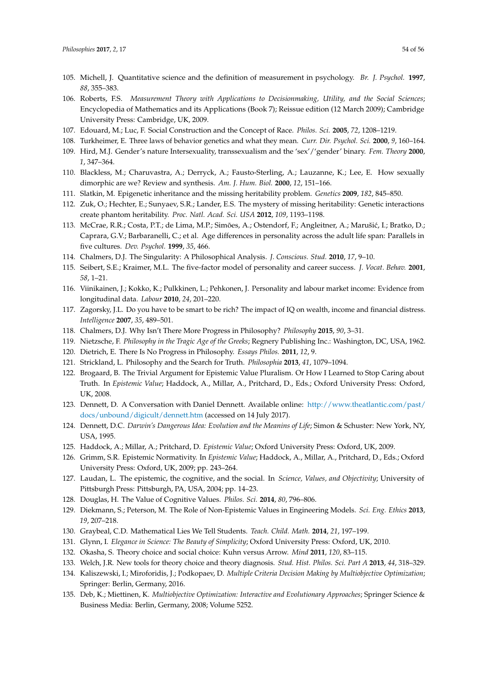- <span id="page-53-1"></span>105. Michell, J. Quantitative science and the definition of measurement in psychology. *Br. J. Psychol.* **1997**, *88*, 355–383.
- <span id="page-53-2"></span>106. Roberts, F.S. *Measurement Theory with Applications to Decisionmaking, Utility, and the Social Sciences*; Encyclopedia of Mathematics and its Applications (Book 7); Reissue edition (12 March 2009); Cambridge University Press: Cambridge, UK, 2009.
- <span id="page-53-0"></span>107. Edouard, M.; Luc, F. Social Construction and the Concept of Race. *Philos. Sci.* **2005**, *72*, 1208–1219.
- <span id="page-53-3"></span>108. Turkheimer, E. Three laws of behavior genetics and what they mean. *Curr. Dir. Psychol. Sci.* **2000**, *9*, 160–164.
- <span id="page-53-4"></span>109. Hird, M.J. Gender's nature Intersexuality, transsexualism and the 'sex'/'gender' binary. *Fem. Theory* **2000**, *1*, 347–364.
- <span id="page-53-5"></span>110. Blackless, M.; Charuvastra, A.; Derryck, A.; Fausto-Sterling, A.; Lauzanne, K.; Lee, E. How sexually dimorphic are we? Review and synthesis. *Am. J. Hum. Biol.* **2000**, *12*, 151–166.
- <span id="page-53-6"></span>111. Slatkin, M. Epigenetic inheritance and the missing heritability problem. *Genetics* **2009**, *182*, 845–850.
- <span id="page-53-7"></span>112. Zuk, O.; Hechter, E.; Sunyaev, S.R.; Lander, E.S. The mystery of missing heritability: Genetic interactions create phantom heritability. *Proc. Natl. Acad. Sci. USA* **2012**, *109*, 1193–1198.
- <span id="page-53-8"></span>113. McCrae, R.R.; Costa, P.T.; de Lima, M.P.; Simões, A.; Ostendorf, F.; Angleitner, A.; Marušić, I.; Bratko, D.; Caprara, G.V.; Barbaranelli, C.; et al. Age differences in personality across the adult life span: Parallels in five cultures. *Dev. Psychol.* **1999**, *35*, 466.
- <span id="page-53-10"></span><span id="page-53-9"></span>114. Chalmers, D.J. The Singularity: A Philosophical Analysis. *J. Conscious. Stud.* **2010**, *17*, 9–10.
- 115. Seibert, S.E.; Kraimer, M.L. The five-factor model of personality and career success. *J. Vocat. Behav.* **2001**, *58*, 1–21.
- <span id="page-53-11"></span>116. Viinikainen, J.; Kokko, K.; Pulkkinen, L.; Pehkonen, J. Personality and labour market income: Evidence from longitudinal data. *Labour* **2010**, *24*, 201–220.
- <span id="page-53-12"></span>117. Zagorsky, J.L. Do you have to be smart to be rich? The impact of IQ on wealth, income and financial distress. *Intelligence* **2007**, *35*, 489–501.
- <span id="page-53-13"></span>118. Chalmers, D.J. Why Isn't There More Progress in Philosophy? *Philosophy* **2015**, *90*, 3–31.
- <span id="page-53-15"></span>119. Nietzsche, F. *Philosophy in the Tragic Age of the Greeks*; Regnery Publishing Inc.: Washington, DC, USA, 1962.
- <span id="page-53-16"></span>120. Dietrich, E. There Is No Progress in Philosophy. *Essays Philos.* **2011**, *12*, 9.
- <span id="page-53-14"></span>121. Strickland, L. Philosophy and the Search for Truth. *Philosophia* **2013**, *41*, 1079–1094.
- <span id="page-53-17"></span>122. Brogaard, B. The Trivial Argument for Epistemic Value Pluralism. Or How I Learned to Stop Caring about Truth. In *Epistemic Value*; Haddock, A., Millar, A., Pritchard, D., Eds.; Oxford University Press: Oxford, UK, 2008.
- <span id="page-53-18"></span>123. Dennett, D. A Conversation with Daniel Dennett. Available online: [http://www.theatlantic.com/past/](http://www.theatlantic.com/past/docs/unbound/digicult/dennett.htm) [docs/unbound/digicult/dennett.htm](http://www.theatlantic.com/past/docs/unbound/digicult/dennett.htm) (accessed on 14 July 2017).
- <span id="page-53-19"></span>124. Dennett, D.C. *Darwin's Dangerous Idea: Evolution and the Meanins of Life*; Simon & Schuster: New York, NY, USA, 1995.
- <span id="page-53-20"></span>125. Haddock, A.; Millar, A.; Pritchard, D. *Epistemic Value*; Oxford University Press: Oxford, UK, 2009.
- <span id="page-53-21"></span>126. Grimm, S.R. Epistemic Normativity. In *Epistemic Value*; Haddock, A., Millar, A., Pritchard, D., Eds.; Oxford University Press: Oxford, UK, 2009; pp. 243–264.
- <span id="page-53-25"></span>127. Laudan, L. The epistemic, the cognitive, and the social. In *Science, Values, and Objectivity*; University of Pittsburgh Press: Pittsburgh, PA, USA, 2004; pp. 14–23.
- <span id="page-53-22"></span>128. Douglas, H. The Value of Cognitive Values. *Philos. Sci.* **2014**, *80*, 796–806.
- <span id="page-53-23"></span>129. Diekmann, S.; Peterson, M. The Role of Non-Epistemic Values in Engineering Models. *Sci. Eng. Ethics* **2013**, *19*, 207–218.
- <span id="page-53-24"></span>130. Graybeal, C.D. Mathematical Lies We Tell Students. *Teach. Child. Math.* **2014**, *21*, 197–199.
- <span id="page-53-28"></span>131. Glynn, I. *Elegance in Science: The Beauty of Simplicity*; Oxford University Press: Oxford, UK, 2010.
- <span id="page-53-26"></span>132. Okasha, S. Theory choice and social choice: Kuhn versus Arrow. *Mind* **2011**, *120*, 83–115.
- <span id="page-53-27"></span>133. Welch, J.R. New tools for theory choice and theory diagnosis. *Stud. Hist. Philos. Sci. Part A* **2013**, *44*, 318–329.
- <span id="page-53-29"></span>134. Kaliszewski, I.; Miroforidis, J.; Podkopaev, D. *Multiple Criteria Decision Making by Multiobjective Optimization*; Springer: Berlin, Germany, 2016.
- <span id="page-53-30"></span>135. Deb, K.; Miettinen, K. *Multiobjective Optimization: Interactive and Evolutionary Approaches*; Springer Science & Business Media: Berlin, Germany, 2008; Volume 5252.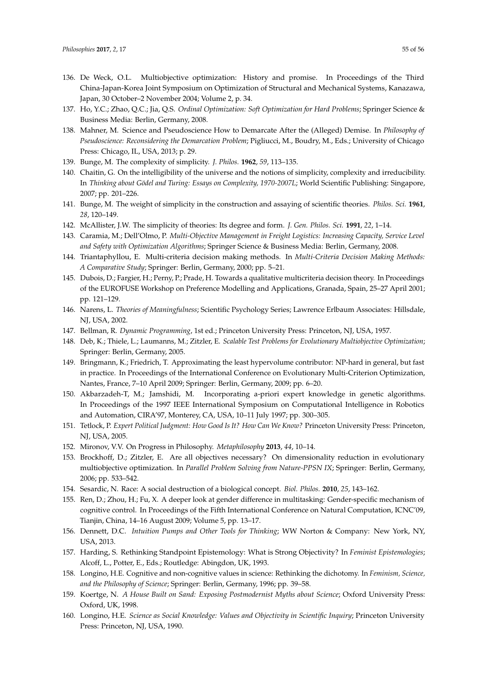- <span id="page-54-0"></span>136. De Weck, O.L. Multiobjective optimization: History and promise. In Proceedings of the Third China-Japan-Korea Joint Symposium on Optimization of Structural and Mechanical Systems, Kanazawa, Japan, 30 October–2 November 2004; Volume 2, p. 34.
- <span id="page-54-1"></span>137. Ho, Y.C.; Zhao, Q.C.; Jia, Q.S. *Ordinal Optimization: Soft Optimization for Hard Problems*; Springer Science & Business Media: Berlin, Germany, 2008.
- <span id="page-54-2"></span>138. Mahner, M. Science and Pseudoscience How to Demarcate After the (Alleged) Demise. In *Philosophy of Pseudoscience: Reconsidering the Demarcation Problem*; Pigliucci, M., Boudry, M., Eds.; University of Chicago Press: Chicago, IL, USA, 2013; p. 29.
- <span id="page-54-4"></span><span id="page-54-3"></span>139. Bunge, M. The complexity of simplicity. *J. Philos.* **1962**, *59*, 113–135.
- 140. Chaitin, G. On the intelligibility of the universe and the notions of simplicity, complexity and irreducibility. In *Thinking about Gödel and Turing: Essays on Complexity, 1970-2007L*; World Scientific Publishing: Singapore, 2007; pp. 201–226.
- <span id="page-54-5"></span>141. Bunge, M. The weight of simplicity in the construction and assaying of scientific theories. *Philos. Sci.* **1961**, *28*, 120–149.
- <span id="page-54-6"></span>142. McAllister, J.W. The simplicity of theories: Its degree and form. *J. Gen. Philos. Sci.* **1991**, *22*, 1–14.
- <span id="page-54-7"></span>143. Caramia, M.; Dell'Olmo, P. *Multi-Objective Management in Freight Logistics: Increasing Capacity, Service Level and Safety with Optimization Algorithms*; Springer Science & Business Media: Berlin, Germany, 2008.
- <span id="page-54-8"></span>144. Triantaphyllou, E. Multi-criteria decision making methods. In *Multi-Criteria Decision Making Methods: A Comparative Study*; Springer: Berlin, Germany, 2000; pp. 5–21.
- <span id="page-54-9"></span>145. Dubois, D.; Fargier, H.; Perny, P.; Prade, H. Towards a qualitative multicriteria decision theory. In Proceedings of the EUROFUSE Workshop on Preference Modelling and Applications, Granada, Spain, 25–27 April 2001; pp. 121–129.
- <span id="page-54-13"></span>146. Narens, L. *Theories of Meaningfulness*; Scientific Psychology Series; Lawrence Erlbaum Associates: Hillsdale, NJ, USA, 2002.
- <span id="page-54-10"></span>147. Bellman, R. *Dynamic Programming*, 1st ed.; Princeton University Press: Princeton, NJ, USA, 1957.
- <span id="page-54-11"></span>148. Deb, K.; Thiele, L.; Laumanns, M.; Zitzler, E. *Scalable Test Problems for Evolutionary Multiobjective Optimization*; Springer: Berlin, Germany, 2005.
- <span id="page-54-12"></span>149. Bringmann, K.; Friedrich, T. Approximating the least hypervolume contributor: NP-hard in general, but fast in practice. In Proceedings of the International Conference on Evolutionary Multi-Criterion Optimization, Nantes, France, 7–10 April 2009; Springer: Berlin, Germany, 2009; pp. 6–20.
- <span id="page-54-14"></span>150. Akbarzadeh-T, M.; Jamshidi, M. Incorporating a-priori expert knowledge in genetic algorithms. In Proceedings of the 1997 IEEE International Symposium on Computational Intelligence in Robotics and Automation, CIRA'97, Monterey, CA, USA, 10–11 July 1997; pp. 300–305.
- <span id="page-54-15"></span>151. Tetlock, P. *Expert Political Judgment: How Good Is It? How Can We Know?* Princeton University Press: Princeton, NJ, USA, 2005.
- <span id="page-54-16"></span>152. Mironov, V.V. On Progress in Philosophy. *Metaphilosophy* **2013**, *44*, 10–14.
- <span id="page-54-17"></span>153. Brockhoff, D.; Zitzler, E. Are all objectives necessary? On dimensionality reduction in evolutionary multiobjective optimization. In *Parallel Problem Solving from Nature-PPSN IX*; Springer: Berlin, Germany, 2006; pp. 533–542.
- <span id="page-54-18"></span>154. Sesardic, N. Race: A social destruction of a biological concept. *Biol. Philos.* **2010**, *25*, 143–162.
- <span id="page-54-19"></span>155. Ren, D.; Zhou, H.; Fu, X. A deeper look at gender difference in multitasking: Gender-specific mechanism of cognitive control. In Proceedings of the Fifth International Conference on Natural Computation, ICNC'09, Tianjin, China, 14–16 August 2009; Volume 5, pp. 13–17.
- <span id="page-54-20"></span>156. Dennett, D.C. *Intuition Pumps and Other Tools for Thinking*; WW Norton & Company: New York, NY, USA, 2013.
- <span id="page-54-21"></span>157. Harding, S. Rethinking Standpoint Epistemology: What is Strong Objectivity? In *Feminist Epistemologies*; Alcoff, L., Potter, E., Eds.; Routledge: Abingdon, UK, 1993.
- <span id="page-54-23"></span>158. Longino, H.E. Cognitive and non-cognitive values in science: Rethinking the dichotomy. In *Feminism, Science, and the Philosophy of Science*; Springer: Berlin, Germany, 1996; pp. 39–58.
- <span id="page-54-24"></span>159. Koertge, N. *A House Built on Sand: Exposing Postmodernist Myths about Science*; Oxford University Press: Oxford, UK, 1998.
- <span id="page-54-22"></span>160. Longino, H.E. *Science as Social Knowledge: Values and Objectivity in Scientific Inquiry*; Princeton University Press: Princeton, NJ, USA, 1990.